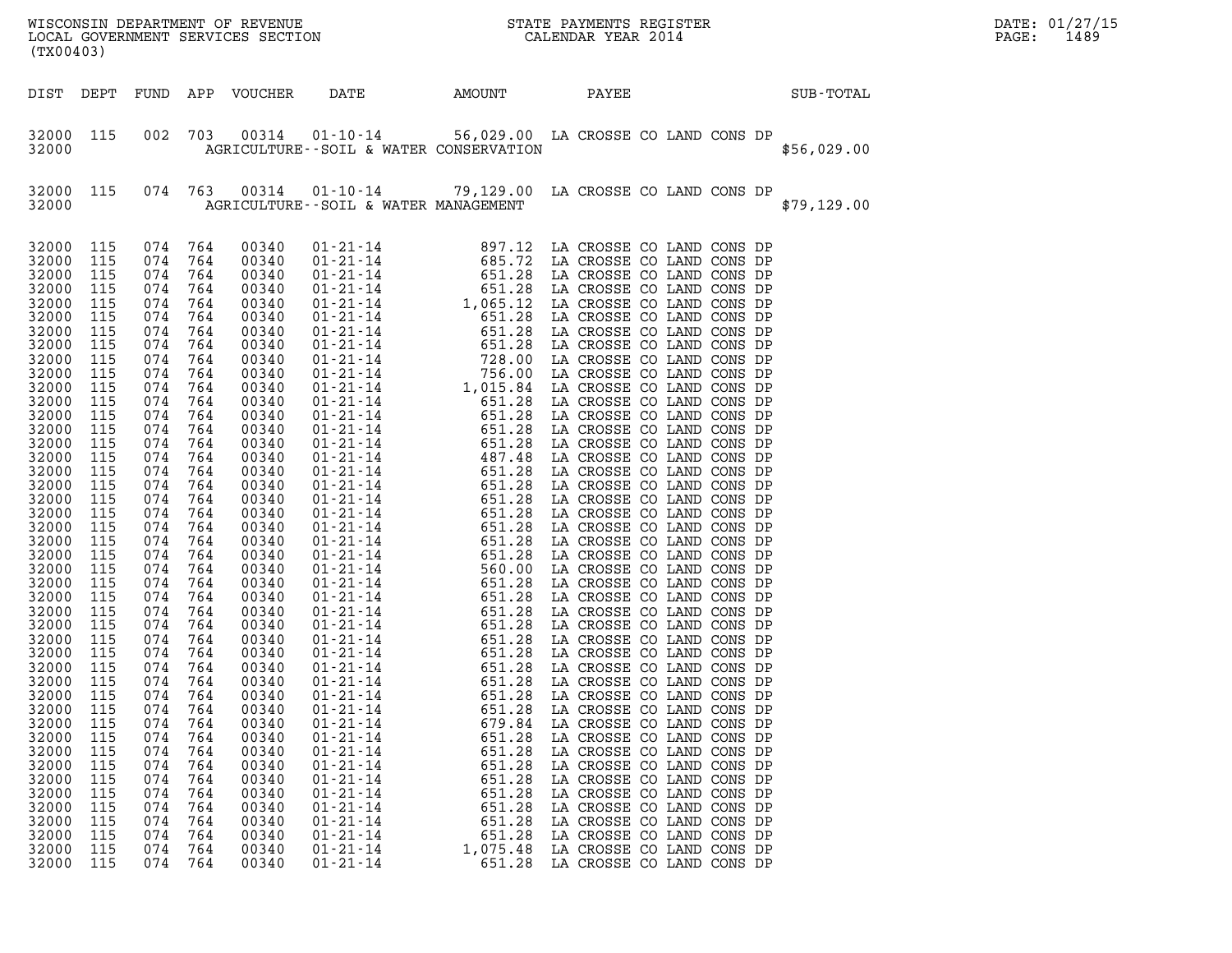| WISCONSIN DEPARTMENT OF REVENUE<br>LOCAL GOVERNMENT SERVICES SECTION<br>CALENDAR YEAR 2014<br>LOCAL GOVERNMENT SERVICES SECTION<br>(TX00403)                                                                                                                                                                                                                                                                      |                                                                                                                                                                                                                                                                                                                         |                                                                                                                                                                                                                                                                                                                      |                                                                                                                                                                                                                                                                                                                      |                                                                                                                                                                                                                                                                                                                                                                                                                   |                                                                                                                                                                                                                                                          |                                                                                                                                            |                                                                                                                                                                                                                                                                                                                                                                                                                    |  |  |  | DATE: 01/27/15<br>PAGE:<br>1489 |  |
|-------------------------------------------------------------------------------------------------------------------------------------------------------------------------------------------------------------------------------------------------------------------------------------------------------------------------------------------------------------------------------------------------------------------|-------------------------------------------------------------------------------------------------------------------------------------------------------------------------------------------------------------------------------------------------------------------------------------------------------------------------|----------------------------------------------------------------------------------------------------------------------------------------------------------------------------------------------------------------------------------------------------------------------------------------------------------------------|----------------------------------------------------------------------------------------------------------------------------------------------------------------------------------------------------------------------------------------------------------------------------------------------------------------------|-------------------------------------------------------------------------------------------------------------------------------------------------------------------------------------------------------------------------------------------------------------------------------------------------------------------------------------------------------------------------------------------------------------------|----------------------------------------------------------------------------------------------------------------------------------------------------------------------------------------------------------------------------------------------------------|--------------------------------------------------------------------------------------------------------------------------------------------|--------------------------------------------------------------------------------------------------------------------------------------------------------------------------------------------------------------------------------------------------------------------------------------------------------------------------------------------------------------------------------------------------------------------|--|--|--|---------------------------------|--|
|                                                                                                                                                                                                                                                                                                                                                                                                                   | DIST DEPT                                                                                                                                                                                                                                                                                                               |                                                                                                                                                                                                                                                                                                                      |                                                                                                                                                                                                                                                                                                                      | FUND APP VOUCHER                                                                                                                                                                                                                                                                                                                                                                                                  | DATE                                                                                                                                                                                                                                                     | AMOUNT                                                                                                                                     | PAYEE                                                                                                                                                                                                                                                                                                                                                                                                              |  |  |  | SUB-TOTAL                       |  |
| 32000                                                                                                                                                                                                                                                                                                                                                                                                             | 32000 115                                                                                                                                                                                                                                                                                                               | 002                                                                                                                                                                                                                                                                                                                  | 703                                                                                                                                                                                                                                                                                                                  |                                                                                                                                                                                                                                                                                                                                                                                                                   | 00314  01-10-14  56,029.00 LA CROSSE CO LAND CONS DP<br>AGRICULTURE--SOIL & WATER CONSERVATION                                                                                                                                                           |                                                                                                                                            |                                                                                                                                                                                                                                                                                                                                                                                                                    |  |  |  | \$56,029.00                     |  |
| 32000                                                                                                                                                                                                                                                                                                                                                                                                             | 32000 115                                                                                                                                                                                                                                                                                                               |                                                                                                                                                                                                                                                                                                                      | 074 763                                                                                                                                                                                                                                                                                                              |                                                                                                                                                                                                                                                                                                                                                                                                                   | 00314  01-10-14  79,129.00 LA CROSSE CO LAND CONS DP<br>AGRICULTURE--SOIL & WATER MANAGEMENT                                                                                                                                                             |                                                                                                                                            |                                                                                                                                                                                                                                                                                                                                                                                                                    |  |  |  | \$79,129.00                     |  |
| 32000<br>32000<br>32000<br>32000<br>32000<br>32000<br>32000<br>32000<br>32000<br>32000<br>32000<br>32000<br>32000<br>32000<br>32000<br>32000<br>32000<br>32000<br>32000<br>32000<br>32000<br>32000<br>32000<br>32000<br>32000<br>32000<br>32000<br>32000<br>32000<br>32000<br>32000<br>32000<br>32000<br>32000<br>32000<br>32000<br>32000<br>32000<br>32000<br>32000<br>32000<br>32000<br>32000<br>32000<br>32000 | 115<br>115<br>115<br>115<br>115<br>115<br>115<br>115<br>115<br>115<br>115<br>115<br>115<br>115<br>115<br>115<br>115<br>115<br>115<br>115<br>115<br>115<br>115<br>115<br>115<br>115<br>115<br>115<br>115<br>115<br>115<br>115<br>115<br>115<br>115<br>115<br>115<br>115<br>115<br>115<br>115<br>115<br>115<br>115<br>115 | 074 764<br>074<br>074<br>074<br>074<br>074<br>074<br>074<br>074<br>074<br>074<br>074<br>074<br>074<br>074<br>074<br>074<br>074<br>074<br>074<br>074<br>074<br>074<br>074<br>074<br>074<br>074<br>074<br>074<br>074<br>074<br>074<br>074<br>074<br>074<br>074<br>074<br>074<br>074<br>074<br>074<br>074<br>074<br>074 | 764<br>764<br>764<br>764<br>764<br>764<br>764<br>764<br>764<br>764<br>764<br>764<br>764<br>764<br>764<br>764<br>764<br>764<br>764<br>764<br>764<br>764<br>764<br>764<br>764<br>764<br>764<br>764<br>764<br>074 764<br>764<br>764<br>764<br>764<br>764<br>764<br>764<br>764<br>764<br>764<br>764<br>764<br>764<br>764 | 00340<br>00340<br>00340<br>00340<br>00340<br>00340<br>00340<br>00340<br>00340<br>00340<br>00340<br>00340<br>00340<br>00340<br>00340<br>00340<br>00340<br>00340<br>00340<br>00340<br>00340<br>00340<br>00340<br>00340<br>00340<br>00340<br>00340<br>00340<br>00340<br>00340<br>00340<br>00340<br>00340<br>00340<br>00340<br>00340<br>00340<br>00340<br>00340<br>00340<br>00340<br>00340<br>00340<br>00340<br>00340 | $01 - 21 - 14$<br>$01 - 21 - 14$<br>$01 - 21 - 14$<br>$01 - 21 - 14$<br>$01 - 21 - 14$<br>$01 - 21 - 14$<br>$01 - 21 - 14$<br>$01 - 21 - 14$<br>$01 - 21 - 14$<br>$01 - 21 - 14$<br>$01 - 21 - 14$<br>$01 - 21 - 14$<br>$01 - 21 - 14$<br>$01 - 21 - 14$ | 651.28<br>651.28<br>651.28<br>679.84<br>651.28<br>651.28<br>651.28<br>651.28<br>651.28<br>651.28<br>651.28<br>651.28<br>1,075.48<br>651.28 | LA CROSSE CO LAND CONS DP<br>LA CROSSE CO LAND CONS DP<br>LA CROSSE CO LAND CONS DP<br>LA CROSSE CO LAND CONS DP<br>LA CROSSE CO LAND CONS DP<br>LA CROSSE CO LAND CONS DP<br>LA CROSSE CO LAND CONS DP<br>LA CROSSE CO LAND CONS DP<br>LA CROSSE CO LAND CONS DP<br>LA CROSSE CO LAND CONS DP<br>LA CROSSE CO LAND CONS DP<br>LA CROSSE CO LAND CONS DP<br>LA CROSSE CO LAND CONS DP<br>LA CROSSE CO LAND CONS DP |  |  |  |                                 |  |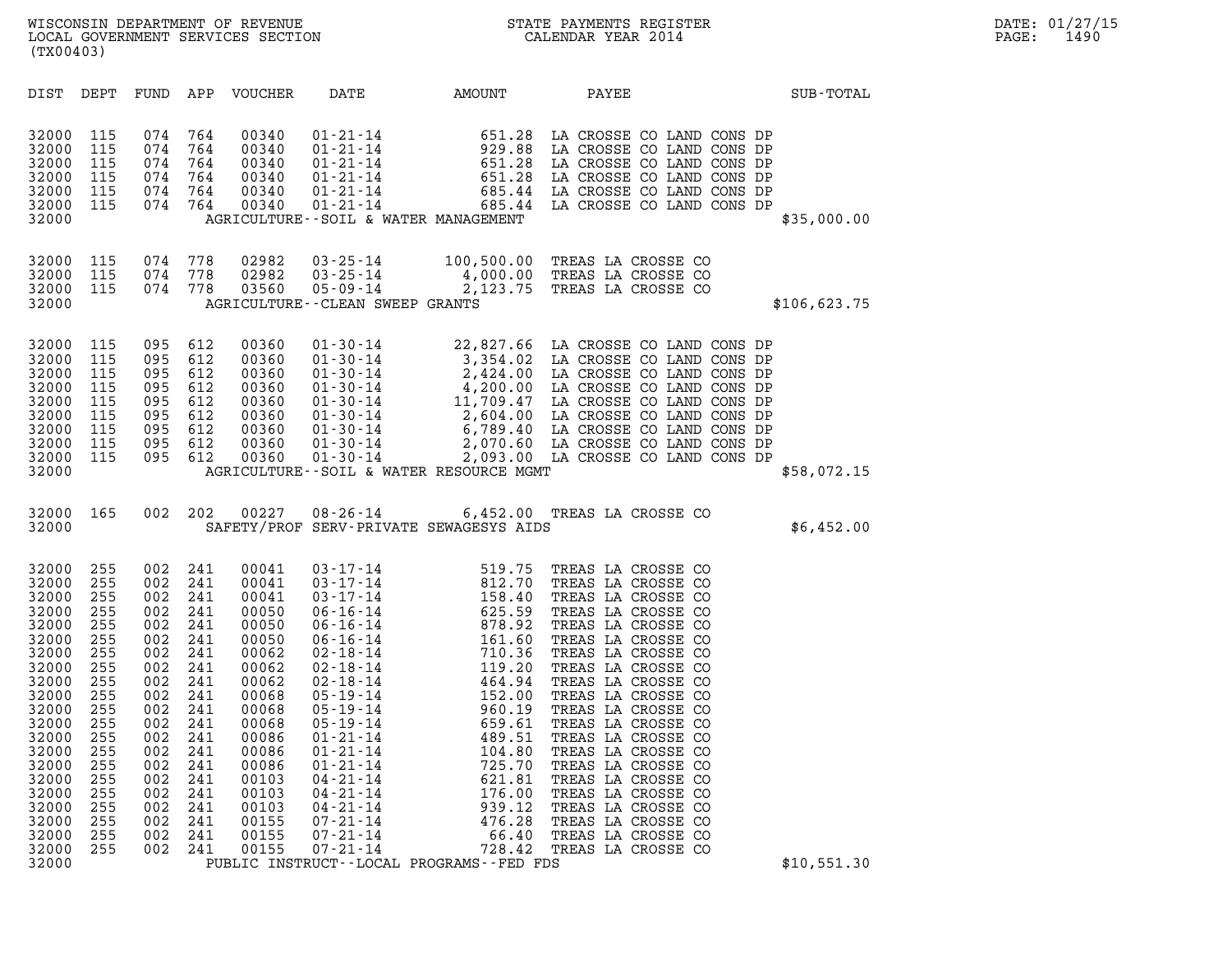| (TX00403)                                                                                                                                                                                                                                                                                                                                             |                                                                                                                                                                                                                                                                                                                                                                                                                                                                                                 |                                                                                                                                                                                                                                                                                                                                                                                                                                    |                                                                                                                                                                                                                                                             |                                                                                                                                                                                                                                                                                                                                                                                                                                                                            |              |
|-------------------------------------------------------------------------------------------------------------------------------------------------------------------------------------------------------------------------------------------------------------------------------------------------------------------------------------------------------|-------------------------------------------------------------------------------------------------------------------------------------------------------------------------------------------------------------------------------------------------------------------------------------------------------------------------------------------------------------------------------------------------------------------------------------------------------------------------------------------------|------------------------------------------------------------------------------------------------------------------------------------------------------------------------------------------------------------------------------------------------------------------------------------------------------------------------------------------------------------------------------------------------------------------------------------|-------------------------------------------------------------------------------------------------------------------------------------------------------------------------------------------------------------------------------------------------------------|----------------------------------------------------------------------------------------------------------------------------------------------------------------------------------------------------------------------------------------------------------------------------------------------------------------------------------------------------------------------------------------------------------------------------------------------------------------------------|--------------|
| DIST<br>DEPT                                                                                                                                                                                                                                                                                                                                          | FUND<br>APP<br>VOUCHER                                                                                                                                                                                                                                                                                                                                                                                                                                                                          | DATE                                                                                                                                                                                                                                                                                                                                                                                                                               | <b>AMOUNT</b>                                                                                                                                                                                                                                               | PAYEE                                                                                                                                                                                                                                                                                                                                                                                                                                                                      | SUB-TOTAL    |
| 32000<br>115<br>32000<br>115<br>32000<br>115<br>32000<br>115<br>32000<br>115<br>32000<br>115<br>32000                                                                                                                                                                                                                                                 | 074<br>00340<br>764<br>074<br>764<br>00340<br>074<br>764<br>00340<br>074<br>764<br>00340<br>074<br>764<br>00340<br>074<br>764<br>00340                                                                                                                                                                                                                                                                                                                                                          | $01 - 21 - 14$<br>$01 - 21 - 14$<br>$01 - 21 - 14$<br>$01 - 21 - 14$<br>$01 - 21 - 14$<br>$01 - 21 - 14$<br>AGRICULTURE--SOIL & WATER MANAGEMENT                                                                                                                                                                                                                                                                                   | 651.28<br>929.88<br>651.28<br>651.28<br>685.44                                                                                                                                                                                                              | LA CROSSE CO LAND CONS DP<br>LA CROSSE CO LAND CONS DP<br>LA CROSSE CO LAND CONS DP<br>LA CROSSE CO LAND CONS DP<br>LA CROSSE CO LAND CONS DP<br>685.44 LA CROSSE CO LAND CONS DP                                                                                                                                                                                                                                                                                          | \$35,000.00  |
| 32000<br>115<br>32000<br>115<br>115<br>32000<br>32000                                                                                                                                                                                                                                                                                                 | 074<br>778<br>02982<br>074<br>778<br>02982<br>074<br>778<br>03560                                                                                                                                                                                                                                                                                                                                                                                                                               | $03 - 25 - 14$<br>$03 - 25 - 14$<br>$05 - 09 - 14$<br>AGRICULTURE - - CLEAN SWEEP GRANTS                                                                                                                                                                                                                                                                                                                                           | 100,500.00                                                                                                                                                                                                                                                  | TREAS LA CROSSE CO<br>4,000.00 TREAS LA CROSSE CO<br>2,123.75 TREAS LA CROSSE CO                                                                                                                                                                                                                                                                                                                                                                                           | \$106,623.75 |
| 115<br>32000<br>32000<br>115<br>32000<br>115<br>32000<br>115<br>32000<br>115<br>32000<br>115<br>32000<br>115<br>32000<br>115<br>115<br>32000<br>32000                                                                                                                                                                                                 | 00360<br>095<br>612<br>095<br>612<br>00360<br>095<br>612<br>00360<br>095<br>612<br>00360<br>095<br>612<br>00360<br>095<br>612<br>00360<br>095<br>612<br>00360<br>095<br>612<br>00360<br>095<br>612<br>00360                                                                                                                                                                                                                                                                                     | $01 - 30 - 14$<br>$01 - 30 - 14$<br>$01 - 30 - 14$<br>AGRICULTURE--SOIL & WATER RESOURCE MGMT                                                                                                                                                                                                                                                                                                                                      |                                                                                                                                                                                                                                                             | 22,827.66 LA CROSSE CO LAND CONS DP<br>3,354.02 LA CROSSE CO LAND CONS DP<br>2,424.00 LA CROSSE CO LAND CONS DP<br>01-30-14<br>01-30-14<br>01-30-14<br>01-30-14<br>01-30-14<br>11,709.47<br>11,709.47<br>12,604.00<br>12,604.00<br>12,605 CO LAND CONS DP<br>01-30-14<br>01-30-14<br>2,070.60<br>14 CROSSE CO LAND CONS DP<br>01-30-14<br>2,070.60<br>14 CROSSE CO LAND CONS DP<br><br>2,093.00 LA CROSSE CO LAND CONS DP                                                  | \$58,072.15  |
| 32000<br>165<br>32000                                                                                                                                                                                                                                                                                                                                 | 002<br>202<br>00227                                                                                                                                                                                                                                                                                                                                                                                                                                                                             | $08 - 26 - 14$<br>SAFETY/PROF SERV-PRIVATE SEWAGESYS AIDS                                                                                                                                                                                                                                                                                                                                                                          |                                                                                                                                                                                                                                                             | 6,452.00 TREAS LA CROSSE CO                                                                                                                                                                                                                                                                                                                                                                                                                                                | \$6,452.00   |
| 32000<br>255<br>32000<br>255<br>32000<br>255<br>32000<br>255<br>32000<br>255<br>32000<br>255<br>32000<br>255<br>32000<br>255<br>32000<br>255<br>32000<br>255<br>32000<br>255<br>32000<br>255<br>255<br>32000<br>32000<br>255<br>32000<br>255<br>32000<br>255<br>32000<br>255<br>32000<br>255<br>32000<br>255<br>32000<br>255<br>32000<br>255<br>32000 | 002<br>241<br>00041<br>002<br>241<br>00041<br>002<br>241<br>00041<br>002<br>241<br>00050<br>002<br>241<br>00050<br>002<br>241<br>00050<br>002<br>241<br>00062<br>002<br>241<br>00062<br>002<br>241<br>00062<br>002<br>241<br>00068<br>002<br>241<br>00068<br>002<br>241<br>00068<br>002<br>241<br>00086<br>002<br>241<br>00086<br>002<br>241<br>00086<br>002<br>241<br>00103<br>002<br>241<br>00103<br>002<br>241<br>00103<br>002<br>00155<br>241<br>002<br>241<br>00155<br>002<br>00155<br>241 | $03 - 17 - 14$<br>$03 - 17 - 14$<br>$03 - 17 - 14$<br>$06 - 16 - 14$<br>$06 - 16 - 14$<br>$06 - 16 - 14$<br>$02 - 18 - 14$<br>$02 - 18 - 14$<br>$02 - 18 - 14$<br>$05 - 19 - 14$<br>$05 - 19 - 14$<br>$05 - 19 - 14$<br>$01 - 21 - 14$<br>$01 - 21 - 14$<br>$01 - 21 - 14$<br>$04 - 21 - 14$<br>$04 - 21 - 14$<br>$04 - 21 - 14$<br>$07 - 21 - 14$<br>$07 - 21 - 14$<br>$07 - 21 - 14$<br>PUBLIC INSTRUCT--LOCAL PROGRAMS--FED FDS | 519.75<br>$519.75$<br>$812.70$<br>$158.40$<br>$625.59$<br>$878.92$<br>$161.60$<br>$710.36$<br>$119.20$<br>$464.94$<br>$152.00$<br>$960.19$<br>$659.61$<br>$489.51$<br>489.51<br>104.80<br>725.70<br>621.81<br>176.00<br>939.12<br>476.28<br>66.40<br>728.42 | TREAS LA CROSSE CO<br>TREAS LA CROSSE CO<br>TREAS LA CROSSE CO<br>TREAS LA CROSSE CO<br>TREAS LA CROSSE CO<br>TREAS LA CROSSE CO<br>TREAS LA CROSSE CO<br>TREAS LA CROSSE CO<br>TREAS LA CROSSE CO<br>TREAS LA CROSSE CO<br>TREAS LA CROSSE CO<br>TREAS LA CROSSE CO<br>TREAS LA CROSSE CO<br>TREAS LA CROSSE CO<br>TREAS LA CROSSE CO<br>TREAS LA CROSSE CO<br>TREAS LA CROSSE CO<br>TREAS LA CROSSE CO<br>TREAS LA CROSSE CO<br>TREAS LA CROSSE CO<br>TREAS LA CROSSE CO | \$10,551.30  |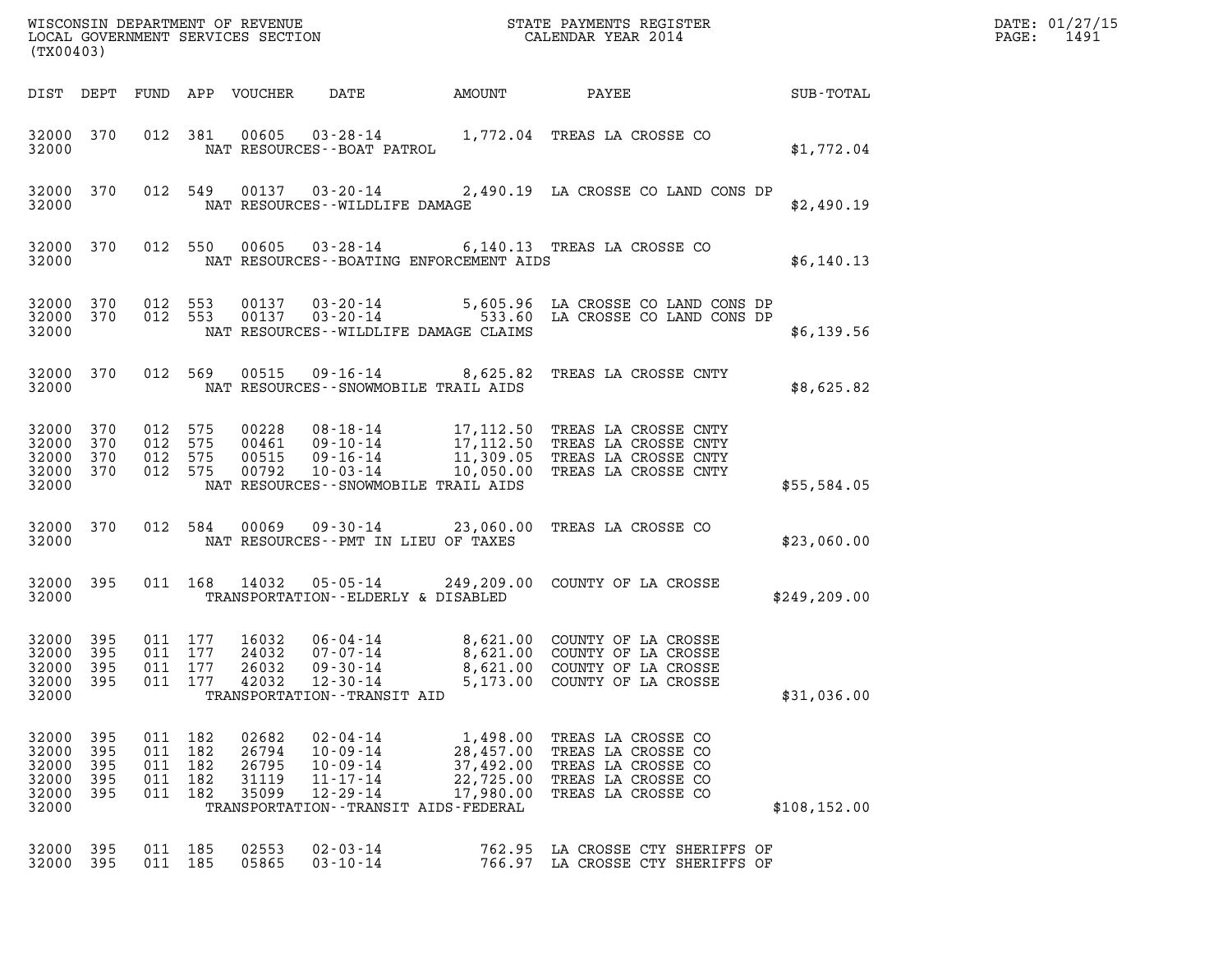| DATE: | 01/27/15 |
|-------|----------|
| PAGE: | 1491     |

| (TX00403)                                             |                                  |                                                     |         |                                           |                                                                                                                                     |                                                              |                                                                                                                                                                                   | DATE: 01/27/15<br>$\mathtt{PAGE}$ :<br>1491 |  |
|-------------------------------------------------------|----------------------------------|-----------------------------------------------------|---------|-------------------------------------------|-------------------------------------------------------------------------------------------------------------------------------------|--------------------------------------------------------------|-----------------------------------------------------------------------------------------------------------------------------------------------------------------------------------|---------------------------------------------|--|
|                                                       |                                  |                                                     |         | DIST DEPT FUND APP VOUCHER                | DATE                                                                                                                                | AMOUNT                                                       | PAYEE                                                                                                                                                                             | SUB-TOTAL                                   |  |
| 32000 370<br>32000                                    |                                  |                                                     | 012 381 | 00605                                     | NAT RESOURCES - - BOAT PATROL                                                                                                       |                                                              | 03-28-14 1,772.04 TREAS LA CROSSE CO                                                                                                                                              | \$1,772.04                                  |  |
| 32000                                                 | 32000 370                        |                                                     |         |                                           | NAT RESOURCES--WILDLIFE DAMAGE                                                                                                      |                                                              | 012 549 00137 03-20-14 2,490.19 LA CROSSE CO LAND CONS DP                                                                                                                         | \$2,490.19                                  |  |
| 32000                                                 | 32000 370                        |                                                     | 012 550 | 00605                                     |                                                                                                                                     | NAT RESOURCES--BOATING ENFORCEMENT AIDS                      | 03-28-14 6,140.13 TREAS LA CROSSE CO                                                                                                                                              | \$6,140.13                                  |  |
| 32000 370<br>32000                                    |                                  | 32000 370 012 553<br>012 553                        |         |                                           | NAT RESOURCES--WILDLIFE DAMAGE CLAIMS                                                                                               |                                                              | 00137  03-20-14  5,605.96 LA CROSSE CO LAND CONS DP<br>00137  03-20-14  533.60 LA CROSSE CO LAND CONS DP                                                                          | \$6,139.56                                  |  |
| 32000 370<br>32000                                    |                                  |                                                     | 012 569 |                                           | NAT RESOURCES - - SNOWMOBILE TRAIL AIDS                                                                                             |                                                              | 00515  09-16-14  8,625.82  TREAS LA CROSSE CNTY                                                                                                                                   | \$8,625.82                                  |  |
| 32000 370<br>32000 370<br>32000<br>32000 370<br>32000 | 370                              | 012 575<br>012 575<br>012 575<br>012 575            |         | 00792                                     | 10-03-14<br>NAT RESOURCES - - SNOWMOBILE TRAIL AIDS                                                                                 |                                                              | 00228 08-18-14 17,112.50 TREAS LA CROSSE CNTY<br>00461 09-10-14 17,112.50 TREAS LA CROSSE CNTY<br>00515 09-16-14 11,309.05 TREAS LA CROSSE CNTY<br>10,050.00 TREAS LA CROSSE CNTY | \$55,584.05                                 |  |
| 32000 370<br>32000                                    |                                  |                                                     | 012 584 | 00069                                     | NAT RESOURCES -- PMT IN LIEU OF TAXES                                                                                               |                                                              | 09-30-14 23,060.00 TREAS LA CROSSE CO                                                                                                                                             | \$23,060.00                                 |  |
| 32000                                                 | 32000 395                        |                                                     |         | 011 168 14032                             | 05-05-14<br>TRANSPORTATION--ELDERLY & DISABLED                                                                                      |                                                              | 249,209.00 COUNTY OF LA CROSSE                                                                                                                                                    | \$249, 209.00                               |  |
| 32000 395<br>32000<br>32000 395<br>32000<br>32000     | 395<br>- 395                     | 011 177<br>011 177<br>011 177<br>011 177            |         | 16032<br>24032<br>26032<br>42032          | $06 - 04 - 14$<br>07-07-14<br>09-30-14<br>$12 - 30 - 14$<br>TRANSPORTATION - - TRANSIT AID                                          |                                                              | 8,621.00 COUNTY OF LA CROSSE<br>8,621.00 COUNTY OF LA CROSSE<br>8,621.00 COUNTY OF LA CROSSE<br>5,173.00 COUNTY OF LA CROSSE                                                      | \$31,036.00                                 |  |
| 32000<br>32000<br>32000<br>32000<br>32000<br>32000    | -395<br>395<br>395<br>395<br>395 | 011 182<br>011 182<br>011 182<br>011 182<br>011 182 |         | 02682<br>26794<br>26795<br>31119<br>35099 | $02 - 04 - 14$<br>$10 - 09 - 14$<br>$10 - 09 - 14$<br>$11 - 17 - 14$<br>$12 - 29 - 14$<br>TRANSPORTATION - - TRANSIT AIDS - FEDERAL | 1,498.00<br>28,457.00<br>37,492.00<br>22,725.00<br>17,980.00 | TREAS LA CROSSE CO<br>TREAS LA CROSSE CO<br>TREAS LA CROSSE CO<br>TREAS LA CROSSE CO<br>TREAS LA CROSSE CO                                                                        | \$108, 152.00                               |  |
| 32000<br>32000                                        | - 395<br>395                     | 011 185<br>011 185                                  |         | 02553<br>05865                            | $02 - 03 - 14$<br>$03 - 10 - 14$                                                                                                    | 762.95                                                       | LA CROSSE CTY SHERIFFS OF<br>766.97 LA CROSSE CTY SHERIFFS OF                                                                                                                     |                                             |  |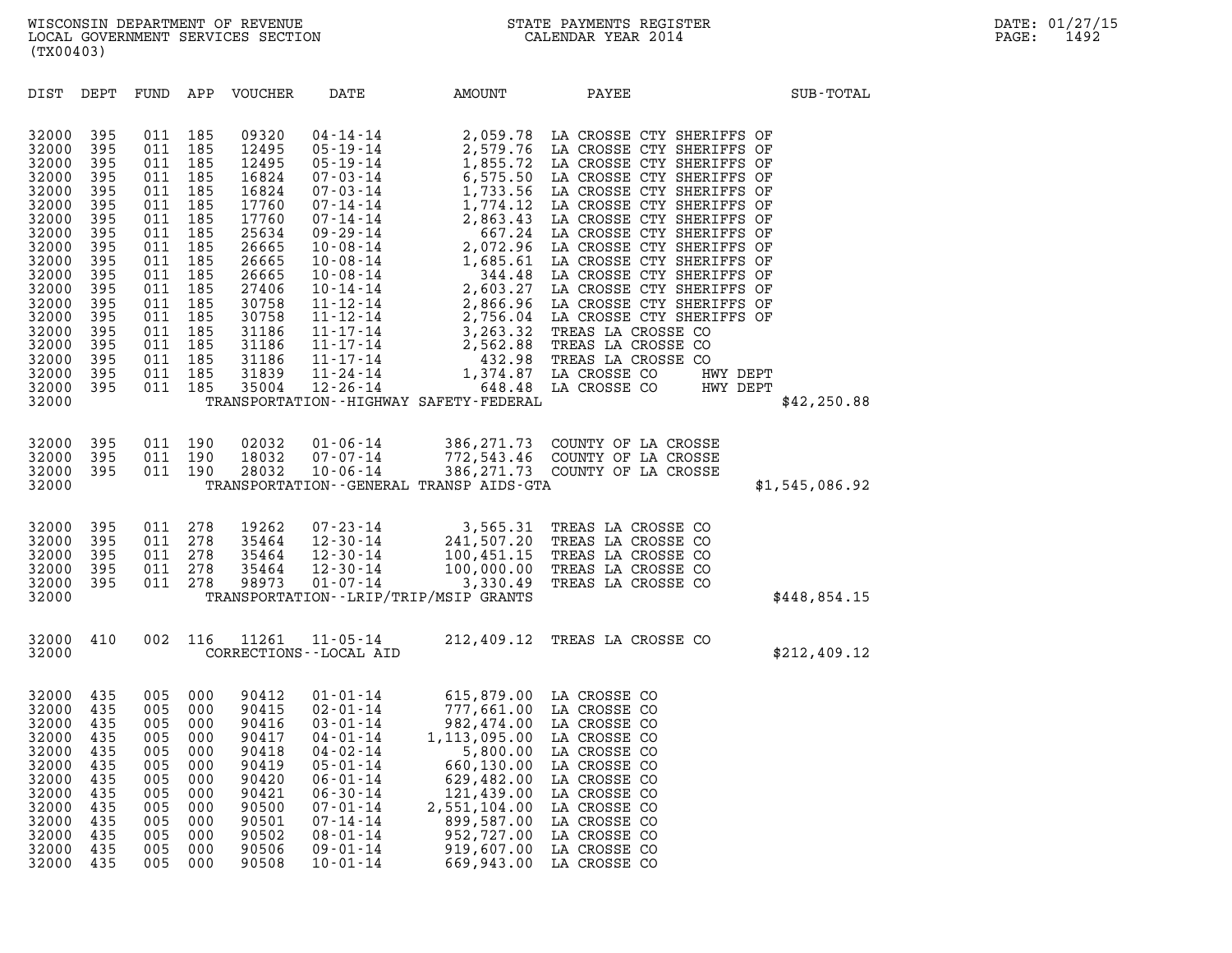| (TX00403)                                                                                                                                                                        |                                                                                                                                   |                                                                                                                                   |                                                                                                                                   |                                                                                                                                                                         |                                                                                                                                                                                              |                                                                                                                                                                                                                                                                                     |                                                                                                                                                                                          |                |
|----------------------------------------------------------------------------------------------------------------------------------------------------------------------------------|-----------------------------------------------------------------------------------------------------------------------------------|-----------------------------------------------------------------------------------------------------------------------------------|-----------------------------------------------------------------------------------------------------------------------------------|-------------------------------------------------------------------------------------------------------------------------------------------------------------------------|----------------------------------------------------------------------------------------------------------------------------------------------------------------------------------------------|-------------------------------------------------------------------------------------------------------------------------------------------------------------------------------------------------------------------------------------------------------------------------------------|------------------------------------------------------------------------------------------------------------------------------------------------------------------------------------------|----------------|
| DIST                                                                                                                                                                             | DEPT                                                                                                                              | FUND APP                                                                                                                          |                                                                                                                                   | VOUCHER                                                                                                                                                                 | DATE                                                                                                                                                                                         | AMOUNT                                                                                                                                                                                                                                                                              | PAYEE                                                                                                                                                                                    | SUB-TOTAL      |
| 32000<br>32000<br>32000<br>32000<br>32000<br>32000<br>32000<br>32000<br>32000<br>32000<br>32000<br>32000<br>32000<br>32000<br>32000<br>32000<br>32000<br>32000<br>32000<br>32000 | 395<br>395<br>395<br>395<br>395<br>395<br>395<br>395<br>395<br>395<br>395<br>395<br>395<br>395<br>395<br>395<br>395<br>395<br>395 | 011<br>011<br>011<br>011<br>011<br>011<br>011<br>011<br>011<br>011<br>011<br>011<br>011<br>011<br>011<br>011<br>011<br>011<br>011 | 185<br>185<br>185<br>185<br>185<br>185<br>185<br>185<br>185<br>185<br>185<br>185<br>185<br>185<br>185<br>185<br>185<br>185<br>185 | 09320<br>12495<br>12495<br>16824<br>16824<br>17760<br>17760<br>25634<br>26665<br>26665<br>26665<br>27406<br>30758<br>30758<br>31186<br>31186<br>31186<br>31839<br>35004 |                                                                                                                                                                                              | TRANSPORTATION - - HIGHWAY SAFETY - FEDERAL                                                                                                                                                                                                                                         |                                                                                                                                                                                          | \$42, 250.88   |
| 32000<br>32000<br>32000<br>32000                                                                                                                                                 | 395<br>395<br>395                                                                                                                 | 011<br>011<br>011                                                                                                                 | 190<br>190<br>190                                                                                                                 | 02032<br>18032<br>28032                                                                                                                                                 | $01 - 06 - 14$<br>07-07-14<br>$10 - 06 - 14$                                                                                                                                                 | TRANSPORTATION--GENERAL TRANSP AIDS-GTA                                                                                                                                                                                                                                             | 386,271.73 COUNTY OF LA CROSSE<br>772,543.46 COUNTY OF LA CROSSE<br>386,271.73 COUNTY OF LA CROSSE                                                                                       | \$1,545,086.92 |
| 32000<br>32000<br>32000<br>32000<br>32000<br>32000                                                                                                                               | 395<br>395<br>395<br>395<br>395                                                                                                   | 011<br>011<br>011<br>011<br>011                                                                                                   | 278<br>278<br>278<br>278<br>278                                                                                                   | 19262<br>35464<br>35464<br>35464<br>98973                                                                                                                               | $12 - 30 - 14$<br>01 - 07 - 14                                                                                                                                                               | TRANSPORTATION - - LRIP/TRIP/MSIP GRANTS                                                                                                                                                                                                                                            | 07-23-14 3,565.31 TREAS LA CROSSE CO<br>12-30-14 241,507.20 TREAS LA CROSSE CO<br>12-30-14 100,451.15 TREAS LA CROSSE CO<br>100,000.00 TREAS LA CROSSE CO<br>3,330.49 TREAS LA CROSSE CO | \$448,854.15   |
| 32000<br>32000                                                                                                                                                                   | 410                                                                                                                               | 002                                                                                                                               | 116                                                                                                                               | 11261                                                                                                                                                                   | $11 - 05 - 14$<br>CORRECTIONS - - LOCAL AID                                                                                                                                                  | 212,409.12                                                                                                                                                                                                                                                                          | TREAS LA CROSSE CO                                                                                                                                                                       | \$212,409.12   |
| 32000<br>32000<br>32000<br>32000<br>32000<br>32000<br>32000<br>32000<br>32000<br>32000<br>32000<br>32000<br>32000                                                                | 435<br>435<br>435<br>435<br>435<br>435<br>435<br>435<br>435<br>435<br>435<br>435<br>435                                           | 005<br>005<br>005<br>005<br>005<br>005<br>005<br>005<br>005<br>005<br>005<br>005<br>005                                           | 000<br>000<br>000<br>000<br>000<br>000<br>000<br>000<br>000<br>000<br>000<br>000<br>000                                           | 90412<br>90415<br>90416<br>90417<br>90418<br>90419<br>90420<br>90421<br>90500<br>90501<br>90502<br>90506<br>90508                                                       | $01 - 01 - 14$<br>04-01-14<br>$04 - 02 - 14$<br>$05 - 01 - 14$<br>$06 - 01 - 14$<br>$06 - 30 - 14$<br>$07 - 01 - 14$<br>$07 - 14 - 14$<br>$08 - 01 - 14$<br>$09 - 01 - 14$<br>$10 - 01 - 14$ | 615,879.00 LA CROSSE CO<br>01-01-14 615,879.00 LA CROSSE CO<br>02-01-14 777,661.00 LA CROSSE CO<br>03-01-14 982,474.00 LA CROSSE CO<br>1, 113, 095.00<br>5,800.00<br>660,130.00<br>629,482.00<br>121,439.00<br>2,551,104.00<br>899,587.00<br>952,727.00<br>919,607.00<br>669,943.00 | LA CROSSE CO<br>LA CROSSE CO<br>LA CROSSE CO<br>LA CROSSE CO<br>LA CROSSE CO<br>LA CROSSE CO<br>LA CROSSE CO<br>LA CROSSE CO<br>LA CROSSE CO<br>LA CROSSE CO                             |                |
|                                                                                                                                                                                  |                                                                                                                                   |                                                                                                                                   |                                                                                                                                   |                                                                                                                                                                         |                                                                                                                                                                                              |                                                                                                                                                                                                                                                                                     |                                                                                                                                                                                          |                |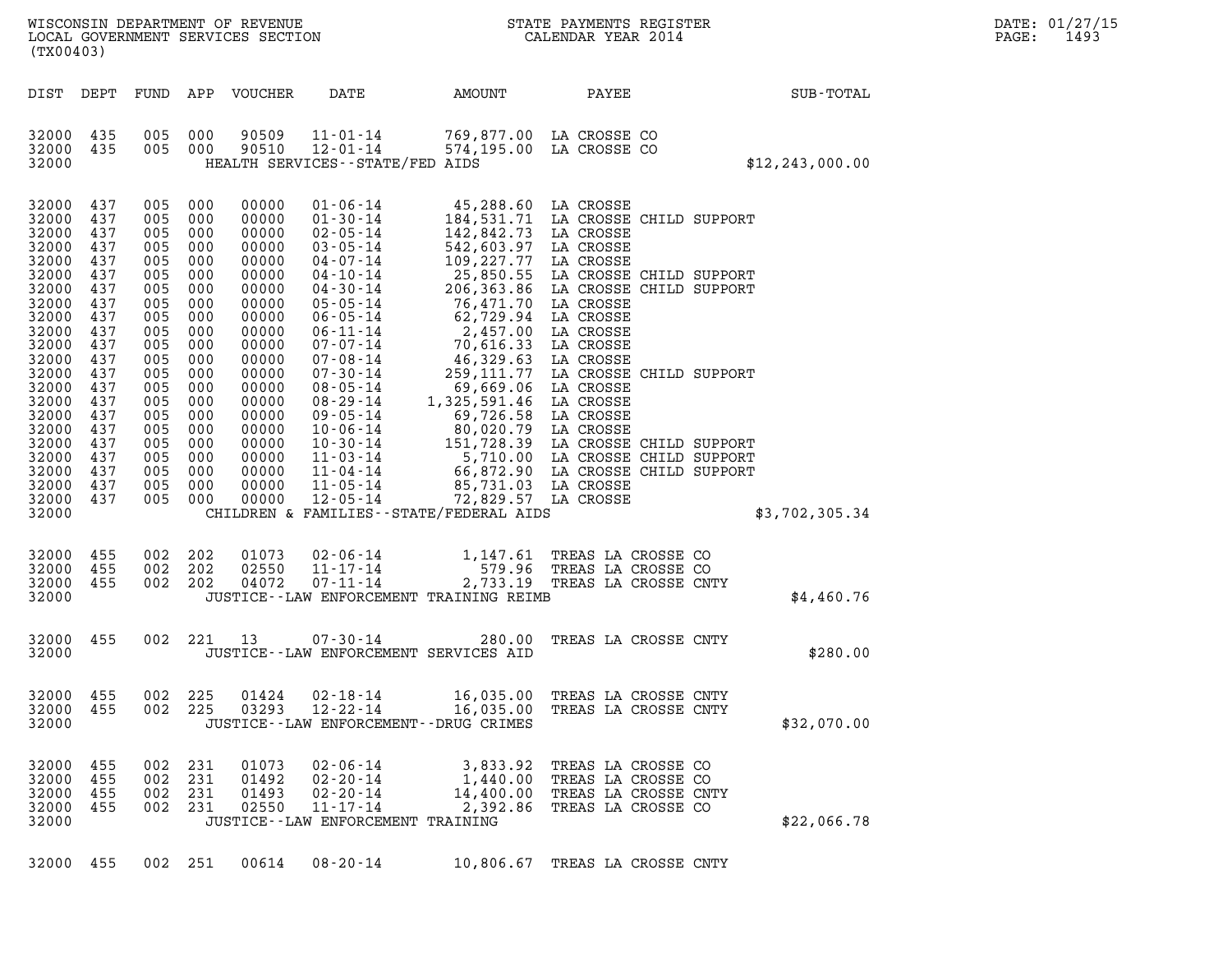| DATE:             | 01/27/15 |
|-------------------|----------|
| $\mathtt{PAGE}$ : | 1493     |

| (TX00403)                                                                                                                                                                                                                                                                                                                                                                                          | WISCONSIN DEPARTMENT OF REVENUE<br>LOCAL GOVERNMENT SERVICES SECTION                                                                                                                                                                                                                                                                                                                                                                                                                                                                                                                                                                                                                                                                                                                                                                                                                                                                          | STATE PAYMENTS REGISTER<br>CALENDAR YEAR 2014                                                                                                                                                                                                                                                                                                                                                                                                                                                                                                                                                                                                               |                                                                                                       | DATE: 01/27/15<br>1493<br>$\mathtt{PAGE}$ : |
|----------------------------------------------------------------------------------------------------------------------------------------------------------------------------------------------------------------------------------------------------------------------------------------------------------------------------------------------------------------------------------------------------|-----------------------------------------------------------------------------------------------------------------------------------------------------------------------------------------------------------------------------------------------------------------------------------------------------------------------------------------------------------------------------------------------------------------------------------------------------------------------------------------------------------------------------------------------------------------------------------------------------------------------------------------------------------------------------------------------------------------------------------------------------------------------------------------------------------------------------------------------------------------------------------------------------------------------------------------------|-------------------------------------------------------------------------------------------------------------------------------------------------------------------------------------------------------------------------------------------------------------------------------------------------------------------------------------------------------------------------------------------------------------------------------------------------------------------------------------------------------------------------------------------------------------------------------------------------------------------------------------------------------------|-------------------------------------------------------------------------------------------------------|---------------------------------------------|
| DIST DEPT                                                                                                                                                                                                                                                                                                                                                                                          | DATE<br>FUND APP VOUCHER                                                                                                                                                                                                                                                                                                                                                                                                                                                                                                                                                                                                                                                                                                                                                                                                                                                                                                                      | AMOUNT<br>PAYEE                                                                                                                                                                                                                                                                                                                                                                                                                                                                                                                                                                                                                                             | SUB-TOTAL                                                                                             |                                             |
| 32000 435<br>32000 435<br>32000                                                                                                                                                                                                                                                                                                                                                                    | 000<br>90509<br>$11 - 01 - 14$<br>005<br>90510<br>005 000<br>$12 - 01 - 14$<br>HEALTH SERVICES - - STATE/FED AIDS                                                                                                                                                                                                                                                                                                                                                                                                                                                                                                                                                                                                                                                                                                                                                                                                                             | 769,877.00 LA CROSSE CO<br>574,195.00 LA CROSSE CO                                                                                                                                                                                                                                                                                                                                                                                                                                                                                                                                                                                                          | \$12, 243, 000.00                                                                                     |                                             |
| 32000<br>437<br>32000<br>437<br>32000<br>437<br>32000<br>437<br>32000<br>437<br>005<br>32000<br>437<br>32000<br>437<br>005<br>32000<br>437<br>32000<br>437<br>005<br>32000<br>437<br>32000<br>437<br>32000<br>437<br>32000<br>437<br>005<br>32000<br>437<br>32000<br>437<br>32000<br>437<br>32000<br>437<br>005<br>32000<br>437<br>32000<br>437<br>32000<br>437<br>32000 437<br>32000 437<br>32000 | 005<br>000<br>$01 - 06 - 14$<br>00000<br>005<br>000<br>00000<br>$01 - 30 - 14$<br>005<br>00000<br>$02 - 05 - 14$<br>000<br>$03 - 05 - 14$<br>005<br>000<br>00000<br>00000<br>$04 - 07 - 14$<br>000<br>005<br>000<br>00000<br>$04 - 10 - 14$<br>$04 - 30 - 14$<br>00000<br>000<br>005<br>000<br>00000<br>$05 - 05 - 14$<br>$06 - 05 - 14$<br>00000<br>000<br>005<br>000<br>00000<br>$06 - 11 - 14$<br>$07 - 07 - 14$<br>005<br>00000<br>000<br>$07 - 08 - 14$<br>005<br>000<br>00000<br>$07 - 30 - 14$<br>00000<br>000<br>005<br>000<br>00000<br>$08 - 05 - 14$<br>$08 - 29 - 14$<br>005<br>00000<br>000<br>$09 - 05 - 14$<br>005<br>000<br>00000<br>00000<br>$10 - 06 - 14$<br>000<br>005<br>000<br>00000<br>$10 - 30 - 14$<br>005<br>00000<br>$11 - 03 - 14$<br>000<br>$11 - 04 - 14$<br>005<br>000<br>00000<br>005<br>00000<br>$11 - 05 - 14$<br>000<br>005<br>$12 - 05 - 14$<br>000<br>00000<br>CHILDREN & FAMILIES - - STATE/FEDERAL AIDS | 45,288.60 LA CROSSE<br>184,531.71 LA CROSSE CHILD SUPPORT<br>142,842.73<br>LA CROSSE<br>542,603.97 LA CROSSE<br>109, 227.77 LA CROSSE<br>25, 850.55 LA CROSSE<br>206, 363.86 LA CROSSE<br>76, 471.70 LA CROSSE<br>62, 729.94 LA CROSSE<br>2, 457.00 LA CROSSE<br>70, 616.33 LA CROSSE<br>46, 329.63 LA CROSSE<br>169.32.63 LA CROSSE<br>759.111.77 LA CROSSE<br>259, 111.77<br>69,669.06<br>LA CROSSE<br>1,325,591.46<br>LA CROSSE<br>69,726.58 LA CROSSE<br>80,020.79 LA CROSSE CHILD SUPPORT<br>151,728.39 LA CROSSE CHILD SUPPORT<br>5,710.00 LA CROSSE CHILD SUPPORT<br>66,872.90 LA CROSSE CHILD SUPPORT<br>85,731.03 LA CROSSE<br>72,829.57 LA CROSSE | LA CROSSE CHILD SUPPORT<br>LA CROSSE CHILD SUPPORT<br>LA CROSSE CHILD SUPPORT<br>\$3,702,305.34       |                                             |
| 32000 455<br>32000<br>455<br>32000 455<br>32000                                                                                                                                                                                                                                                                                                                                                    | 202<br>01073<br>$02 - 06 - 14$<br>002<br>$11 - 17 - 14$<br>002<br>202<br>02550<br>$07 - 11 - 14$<br>002<br>202<br>04072<br>JUSTICE--LAW ENFORCEMENT TRAINING REIMB                                                                                                                                                                                                                                                                                                                                                                                                                                                                                                                                                                                                                                                                                                                                                                            | 1,147.61<br>579.96<br>2,733.19                                                                                                                                                                                                                                                                                                                                                                                                                                                                                                                                                                                                                              | TREAS LA CROSSE CO<br>TREAS LA CROSSE CO<br>TREAS LA CROSSE CNTY<br>\$4,460.76                        |                                             |
| 32000 455<br>32000                                                                                                                                                                                                                                                                                                                                                                                 | 002 221 13<br>$07 - 30 - 14$<br>JUSTICE -- LAW ENFORCEMENT SERVICES AID                                                                                                                                                                                                                                                                                                                                                                                                                                                                                                                                                                                                                                                                                                                                                                                                                                                                       | 280.00                                                                                                                                                                                                                                                                                                                                                                                                                                                                                                                                                                                                                                                      | TREAS LA CROSSE CNTY<br>\$280.00                                                                      |                                             |
| 32000<br>455<br>32000<br>455<br>32000                                                                                                                                                                                                                                                                                                                                                              | 225<br>01424<br>$02 - 18 - 14$<br>002<br>002<br>225<br>03293<br>$12 - 22 - 14$<br>JUSTICE - - LAW ENFORCEMENT - - DRUG CRIMES                                                                                                                                                                                                                                                                                                                                                                                                                                                                                                                                                                                                                                                                                                                                                                                                                 | 16,035.00<br>16,035.00                                                                                                                                                                                                                                                                                                                                                                                                                                                                                                                                                                                                                                      | TREAS LA CROSSE CNTY<br>TREAS LA CROSSE CNTY<br>\$32,070.00                                           |                                             |
| 32000<br>455<br>32000<br>455<br>32000<br>455<br>32000<br>455<br>32000                                                                                                                                                                                                                                                                                                                              | $02 - 06 - 14$<br>002<br>231<br>01073<br>002<br>231<br>01492<br>$02 - 20 - 14$<br>231<br>01493<br>$02 - 20 - 14$<br>002<br>002<br>231<br>02550<br>$11 - 17 - 14$<br>JUSTICE - - LAW ENFORCEMENT TRAINING                                                                                                                                                                                                                                                                                                                                                                                                                                                                                                                                                                                                                                                                                                                                      | 3,833.92<br>1,440.00<br>14,400.00<br>2,392.86                                                                                                                                                                                                                                                                                                                                                                                                                                                                                                                                                                                                               | TREAS LA CROSSE CO<br>TREAS LA CROSSE CO<br>TREAS LA CROSSE CNTY<br>TREAS LA CROSSE CO<br>\$22,066.78 |                                             |

32000 455 002 251 00614 08-20-14 10,806.67 TREAS LA CROSSE CNTY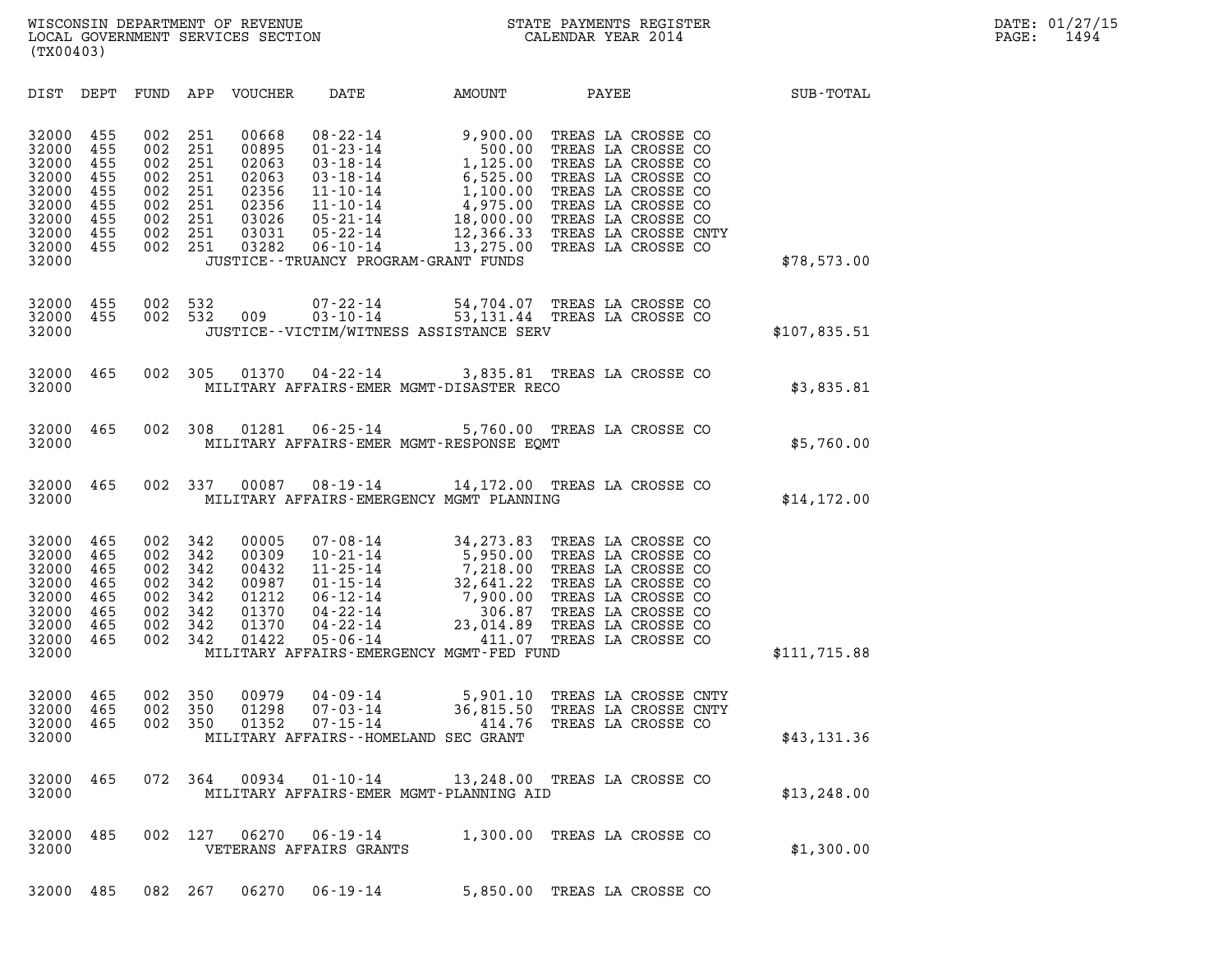| (TX00403)                                                                                                                                             |                                                                                                                            |                                                                                                                                                                                                                                                 |                                                                                                                 |                                                                                                                                                                                                                                    |              |
|-------------------------------------------------------------------------------------------------------------------------------------------------------|----------------------------------------------------------------------------------------------------------------------------|-------------------------------------------------------------------------------------------------------------------------------------------------------------------------------------------------------------------------------------------------|-----------------------------------------------------------------------------------------------------------------|------------------------------------------------------------------------------------------------------------------------------------------------------------------------------------------------------------------------------------|--------------|
| DIST<br>DEPT                                                                                                                                          | FUND<br>APP                                                                                                                | <b>VOUCHER</b><br>DATE                                                                                                                                                                                                                          | AMOUNT                                                                                                          | PAYEE                                                                                                                                                                                                                              | SUB-TOTAL    |
| 455<br>32000<br>32000<br>455<br>32000<br>455<br>32000<br>455<br>32000<br>455<br>32000<br>455<br>32000<br>455<br>32000<br>455<br>32000<br>455<br>32000 | 251<br>002<br>002<br>251<br>002<br>251<br>002<br>251<br>002<br>251<br>002<br>251<br>002<br>251<br>251<br>002<br>002<br>251 | 00668<br>$08 - 22 - 14$<br>00895<br>$01 - 23 - 14$<br>02063<br>$03 - 18 - 14$<br>02063<br>$03 - 18 - 14$<br>02356<br>$11 - 10 - 14$<br>02356<br>$11 - 10 - 14$<br>03026<br>$05 - 21 - 14$<br>03031<br>$05 - 22 - 14$<br>03282<br>$06 - 10 - 14$ | 9,900.00<br>500.00<br>1,125.00<br>6,525.00<br>1,100.00<br>4,975.00<br>JUSTICE - - TRUANCY PROGRAM - GRANT FUNDS | TREAS LA CROSSE CO<br>TREAS LA CROSSE CO<br>TREAS LA CROSSE CO<br>TREAS LA CROSSE CO<br>TREAS LA CROSSE CO<br>TREAS LA CROSSE CO<br>18,000.00 TREAS LA CROSSE CO<br>12,366.33 TREAS LA CROSSE CNTY<br>13,275.00 TREAS LA CROSSE CO | \$78,573.00  |
| 455<br>32000<br>455<br>32000<br>32000                                                                                                                 | 002<br>532<br>002<br>532                                                                                                   | $07 - 22 - 14$<br>009<br>$03 - 10 - 14$                                                                                                                                                                                                         | JUSTICE - - VICTIM/WITNESS ASSISTANCE SERV                                                                      | 54,704.07 TREAS LA CROSSE CO<br>53,131.44 TREAS LA CROSSE CO                                                                                                                                                                       | \$107,835.51 |
| 32000<br>465<br>32000                                                                                                                                 | 002<br>305                                                                                                                 | 01370<br>$04 - 22 - 14$                                                                                                                                                                                                                         | MILITARY AFFAIRS-EMER MGMT-DISASTER RECO                                                                        | 3,835.81 TREAS LA CROSSE CO                                                                                                                                                                                                        | \$3,835.81   |
| 32000<br>465<br>32000                                                                                                                                 | 002<br>308                                                                                                                 | 01281<br>$06 - 25 - 14$                                                                                                                                                                                                                         | MILITARY AFFAIRS-EMER MGMT-RESPONSE EQMT                                                                        | 5,760.00 TREAS LA CROSSE CO                                                                                                                                                                                                        | \$5,760.00   |
| 32000<br>465<br>32000                                                                                                                                 | 002<br>337                                                                                                                 | 00087<br>$08 - 19 - 14$                                                                                                                                                                                                                         | MILITARY AFFAIRS-EMERGENCY MGMT PLANNING                                                                        | 14,172.00 TREAS LA CROSSE CO                                                                                                                                                                                                       | \$14, 172.00 |
| 32000<br>465<br>32000<br>465<br>32000<br>465<br>32000<br>465<br>32000<br>465<br>32000<br>465<br>32000<br>465<br>32000<br>465<br>32000                 | 002<br>342<br>002<br>342<br>002<br>342<br>002<br>342<br>002<br>342<br>002<br>342<br>342<br>002<br>002<br>342               | 00005<br>$07 - 08 - 14$<br>00309<br>$10 - 21 - 14$<br>00432<br>$11 - 25 - 14$<br>00987<br>$01 - 15 - 14$<br>01212<br>$06 - 12 - 14$<br>01370<br>$04 - 22 - 14$<br>01370<br>$04 - 22 - 14$<br>01422<br>$05 - 06 - 14$                            | 32,641.22<br>7,900.00<br>306.87<br>23,014.89<br>411.07<br>MILITARY AFFAIRS-EMERGENCY MGMT-FED FUND              | 34,273.83 TREAS LA CROSSE CO<br>5,950.00 TREAS LA CROSSE CO<br>7,218.00 TREAS LA CROSSE CO<br>TREAS LA CROSSE CO<br>TREAS LA CROSSE CO<br>TREAS LA CROSSE CO<br>TREAS LA CROSSE CO<br>TREAS LA CROSSE CO                           | \$111,715.88 |
| 465<br>32000<br>465<br>32000<br>465<br>32000<br>32000                                                                                                 | 002<br>350<br>002<br>350<br>002<br>350                                                                                     | 00979<br>$04 - 09 - 14$<br>01298<br>$07 - 03 - 14$<br>01352<br>$07 - 15 - 14$                                                                                                                                                                   | 5,901.10<br>36,815.50<br>414.76<br>MILITARY AFFAIRS -- HOMELAND SEC GRANT                                       | TREAS LA CROSSE CNTY<br>TREAS LA CROSSE CNTY<br>TREAS LA CROSSE CO                                                                                                                                                                 | \$43,131.36  |
| 465<br>32000<br>32000                                                                                                                                 | 072 364                                                                                                                    | 00934<br>$01 - 10 - 14$                                                                                                                                                                                                                         | MILITARY AFFAIRS-EMER MGMT-PLANNING AID                                                                         | 13,248.00 TREAS LA CROSSE CO                                                                                                                                                                                                       | \$13, 248.00 |
| 485<br>32000<br>32000                                                                                                                                 | 002<br>127                                                                                                                 | 06270<br>$06 - 19 - 14$<br>VETERANS AFFAIRS GRANTS                                                                                                                                                                                              |                                                                                                                 | 1,300.00 TREAS LA CROSSE CO                                                                                                                                                                                                        | \$1,300.00   |
| 32000<br>485                                                                                                                                          | 082 267                                                                                                                    | 06270<br>06-19-14                                                                                                                                                                                                                               |                                                                                                                 | 5,850.00 TREAS LA CROSSE CO                                                                                                                                                                                                        |              |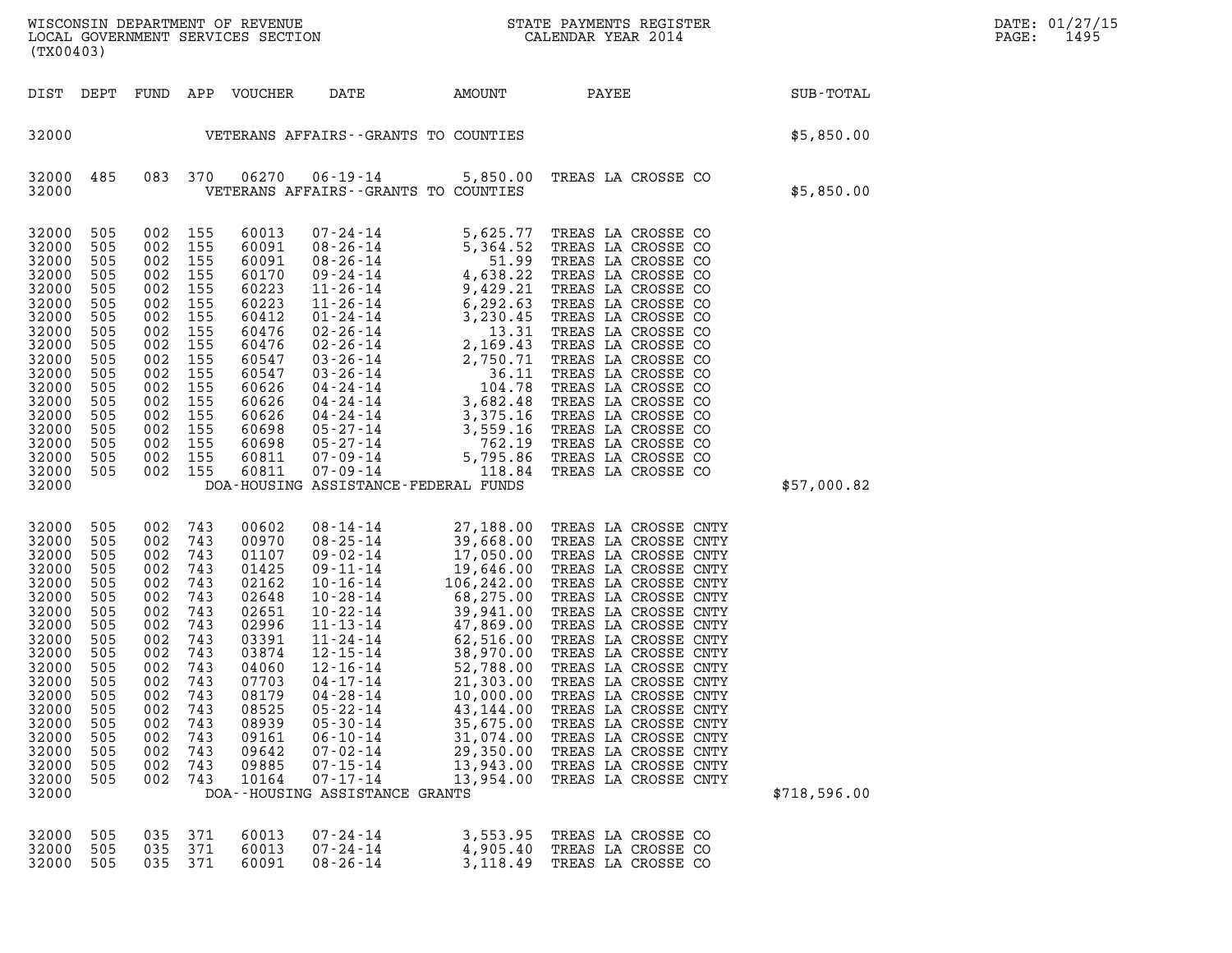| $\texttt{DATE}$ : | 01/27/15 |
|-------------------|----------|
| PAGE:             | 1495     |

| (TX00403)                                                                                                                                                                        |                                                                                                                                    |                                                                                                                                                                            |                                                                                                                            |                                                                                                                                                                         |                                                                                                                                                                                            |                                                                                                                                                                                                                                                                                                                                                                                                                                                                                              |                                                                                                                                                                                                                                                                                                                                                                                                                                                                      |              | DATE: 01/27/15<br>PAGE:<br>1495 |
|----------------------------------------------------------------------------------------------------------------------------------------------------------------------------------|------------------------------------------------------------------------------------------------------------------------------------|----------------------------------------------------------------------------------------------------------------------------------------------------------------------------|----------------------------------------------------------------------------------------------------------------------------|-------------------------------------------------------------------------------------------------------------------------------------------------------------------------|--------------------------------------------------------------------------------------------------------------------------------------------------------------------------------------------|----------------------------------------------------------------------------------------------------------------------------------------------------------------------------------------------------------------------------------------------------------------------------------------------------------------------------------------------------------------------------------------------------------------------------------------------------------------------------------------------|----------------------------------------------------------------------------------------------------------------------------------------------------------------------------------------------------------------------------------------------------------------------------------------------------------------------------------------------------------------------------------------------------------------------------------------------------------------------|--------------|---------------------------------|
|                                                                                                                                                                                  |                                                                                                                                    |                                                                                                                                                                            |                                                                                                                            | DIST DEPT FUND APP VOUCHER                                                                                                                                              | DATE                                                                                                                                                                                       | AMOUNT                                                                                                                                                                                                                                                                                                                                                                                                                                                                                       | PAYEE SUB-TOTAL                                                                                                                                                                                                                                                                                                                                                                                                                                                      |              |                                 |
| 32000                                                                                                                                                                            |                                                                                                                                    |                                                                                                                                                                            |                                                                                                                            |                                                                                                                                                                         | VETERANS AFFAIRS--GRANTS TO COUNTIES                                                                                                                                                       |                                                                                                                                                                                                                                                                                                                                                                                                                                                                                              |                                                                                                                                                                                                                                                                                                                                                                                                                                                                      | \$5,850.00   |                                 |
| 32000 485<br>32000                                                                                                                                                               |                                                                                                                                    |                                                                                                                                                                            | 083 370                                                                                                                    | 06270                                                                                                                                                                   | VETERANS AFFAIRS -- GRANTS TO COUNTIES                                                                                                                                                     |                                                                                                                                                                                                                                                                                                                                                                                                                                                                                              | 06-19-14 5,850.00 TREAS LA CROSSE CO                                                                                                                                                                                                                                                                                                                                                                                                                                 | \$5,850.00   |                                 |
| 32000<br>32000<br>32000<br>32000<br>32000<br>32000<br>32000<br>32000<br>32000<br>32000<br>32000<br>32000<br>32000<br>32000<br>32000<br>32000<br>32000<br>32000<br>32000          | 505<br>505<br>505<br>505<br>505<br>505<br>505<br>505<br>505<br>505<br>505<br>505<br>505<br>505<br>505<br>505<br>505<br>505         | 002 155<br>002 155<br>002 155<br>002 155<br>002<br>002<br>002<br>002<br>002<br>002 155<br>002<br>002 155<br>002 155<br>002 155<br>002 155<br>002 155<br>002 155<br>002 155 | 155<br>155<br>155<br>155<br>155<br>155                                                                                     | 60013<br>60091<br>60091<br>60170<br>60223<br>60223<br>60412<br>60476<br>60476<br>60547<br>60547<br>60626<br>60626<br>60626<br>60698<br>60698<br>60811<br>60811          | DOA-HOUSING ASSISTANCE-FEDERAL FUNDS                                                                                                                                                       |                                                                                                                                                                                                                                                                                                                                                                                                                                                                                              |                                                                                                                                                                                                                                                                                                                                                                                                                                                                      | \$57,000.82  |                                 |
| 32000<br>32000<br>32000<br>32000<br>32000<br>32000<br>32000<br>32000<br>32000<br>32000<br>32000<br>32000<br>32000<br>32000<br>32000<br>32000<br>32000<br>32000<br>32000<br>32000 | 505<br>505<br>505<br>505<br>505<br>505<br>505<br>505<br>505<br>505<br>-505<br>505<br>505<br>505<br>505<br>505<br>505<br>505<br>505 | 002 743<br>002<br>002<br>002<br>002<br>002<br>002<br>002<br>002<br>002<br>002<br>002<br>002<br>002<br>002<br>002<br>002<br>002<br>002                                      | 743<br>743<br>743<br>743<br>743<br>743<br>743<br>743<br>743<br>743<br>743<br>743<br>743<br>743<br>743<br>743<br>743<br>743 | 00602<br>00970<br>01107<br>01425<br>02162<br>02648<br>02651<br>02996<br>03391<br>03874<br>04060<br>07703<br>08179<br>08525<br>08939<br>09161<br>09642<br>09885<br>10164 | 12-16-14<br>$04 - 17 - 14$<br>$04 - 28 - 14$<br>$05 - 22 - 14$<br>$05 - 30 - 14$<br>$06 - 10 - 14$<br>$07 - 02 - 14$<br>$07 - 15 - 14$<br>$07 - 17 - 14$<br>DOA--HOUSING ASSISTANCE GRANTS | $08 - 14 - 14$ 27, 188.00<br>$\begin{array}{cccc} 08\text{-}14\text{-}14 & 27,188\text{.}00 \\ 08\text{-}25\text{-}14 & 39,668\text{.}00 \\ 09\text{-}02\text{-}14 & 17,050\text{.}0 \\ 10\text{-}16\text{-}14 & 19,646\text{.}00 \\ 10\text{-}28\text{-}14 & 68,275\text{.}00 \\ 10\text{-}22\text{-}14 & 39,941\text{.}00 \\ 11\text{-}13\text{-}14 & 47,869\text{.}$<br>52,788.00<br>21,303.00<br>10,000.00<br>43,144.00<br>35,675.00<br>31,074.00<br>29,350.00<br>13,943.00<br>13,954.00 | TREAS LA CROSSE CNTY<br>TREAS LA CROSSE CNTY<br>TREAS LA CROSSE CNTY<br>TREAS LA CROSSE CNTY<br>TREAS LA CROSSE CNTY<br>TREAS LA CROSSE CNTY<br>TREAS LA CROSSE CNTY<br>TREAS LA CROSSE CNTY<br>TREAS LA CROSSE CNTY<br>TREAS LA CROSSE CNTY<br>TREAS LA CROSSE CNTY<br>TREAS LA CROSSE CNTY<br>TREAS LA CROSSE CNTY<br>TREAS LA CROSSE CNTY<br>TREAS LA CROSSE CNTY<br>TREAS LA CROSSE CNTY<br>TREAS LA CROSSE CNTY<br>TREAS LA CROSSE CNTY<br>TREAS LA CROSSE CNTY | \$718,596.00 |                                 |
| 32000<br>32000<br>32000                                                                                                                                                          | 505<br>505<br>505                                                                                                                  | 035<br>035<br>035                                                                                                                                                          | 371<br>371<br>371                                                                                                          | 60013<br>60013<br>60091                                                                                                                                                 | $07 - 24 - 14$<br>$07 - 24 - 14$<br>$08 - 26 - 14$                                                                                                                                         | 3,553.95<br>4,905.40<br>3,118.49                                                                                                                                                                                                                                                                                                                                                                                                                                                             | TREAS LA CROSSE CO<br>TREAS LA CROSSE CO<br>TREAS LA CROSSE CO                                                                                                                                                                                                                                                                                                                                                                                                       |              |                                 |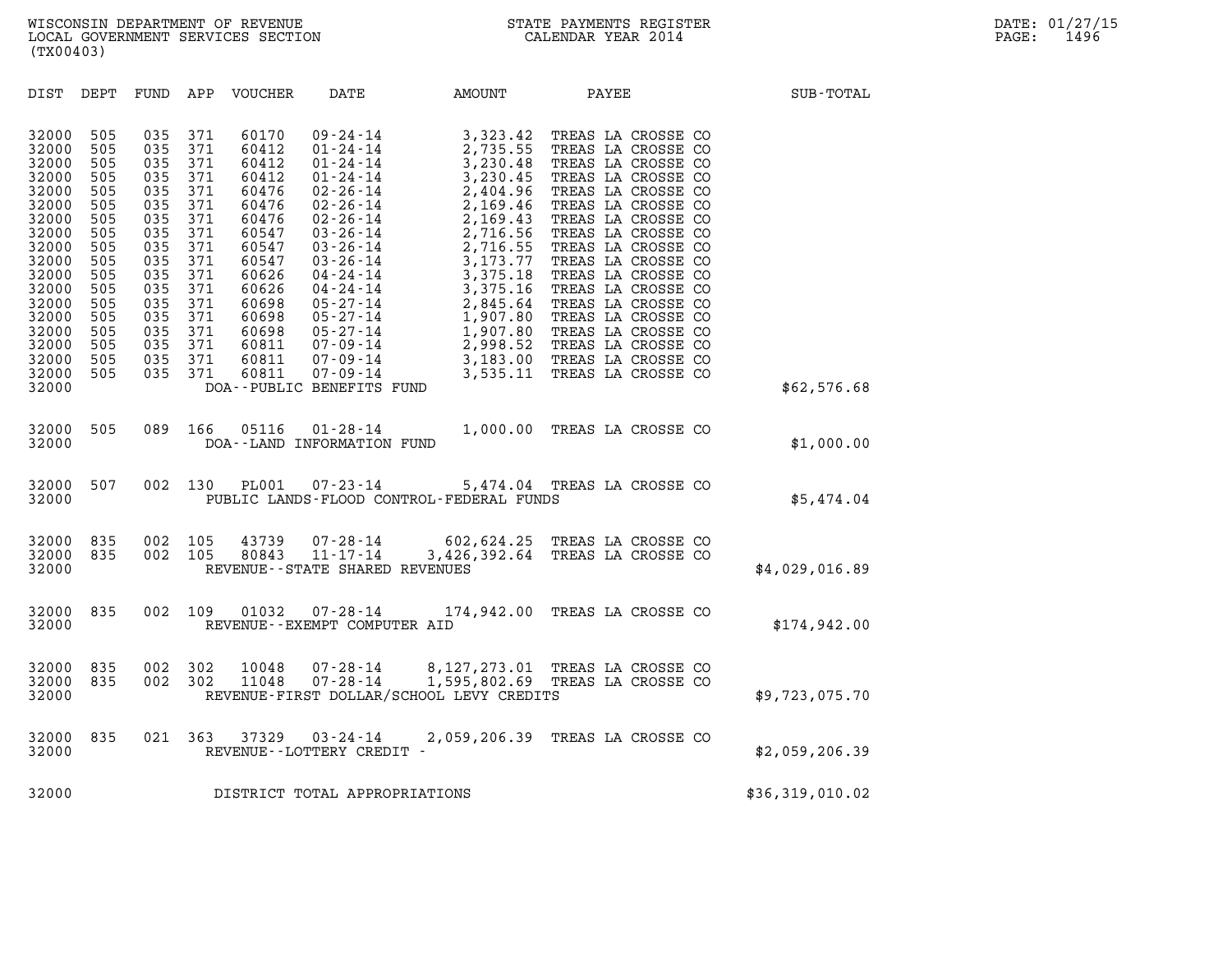| (TX00403)                                                                                                                                                                                                                                                                                                                                                                                                                  |                                                                                                                                                                                                                                                                                                                                                                                                                                                                                                                                                                                                                                  |                                                                                                                                                                                                                                                                                                                                                                                                                                                                                                                                                                                                                                    |                 |
|----------------------------------------------------------------------------------------------------------------------------------------------------------------------------------------------------------------------------------------------------------------------------------------------------------------------------------------------------------------------------------------------------------------------------|----------------------------------------------------------------------------------------------------------------------------------------------------------------------------------------------------------------------------------------------------------------------------------------------------------------------------------------------------------------------------------------------------------------------------------------------------------------------------------------------------------------------------------------------------------------------------------------------------------------------------------|------------------------------------------------------------------------------------------------------------------------------------------------------------------------------------------------------------------------------------------------------------------------------------------------------------------------------------------------------------------------------------------------------------------------------------------------------------------------------------------------------------------------------------------------------------------------------------------------------------------------------------|-----------------|
| DIST<br>DEPT<br>FUND                                                                                                                                                                                                                                                                                                                                                                                                       | APP<br><b>VOUCHER</b><br>DATE                                                                                                                                                                                                                                                                                                                                                                                                                                                                                                                                                                                                    | PAYEE<br>AMOUNT                                                                                                                                                                                                                                                                                                                                                                                                                                                                                                                                                                                                                    | SUB-TOTAL       |
| 32000<br>505<br>035<br>505<br>32000<br>035<br>32000<br>505<br>035<br>035<br>32000<br>505<br>035<br>32000<br>505<br>035<br>32000<br>505<br>32000<br>505<br>035<br>035<br>32000<br>505<br>035<br>32000<br>505<br>505<br>035<br>32000<br>32000<br>505<br>035<br>035<br>32000<br>505<br>035<br>32000<br>505<br>32000<br>505<br>035<br>035<br>32000<br>505<br>035<br>32000<br>505<br>035<br>32000<br>505<br>32000<br>505<br>035 | 371<br>60170<br>$09 - 24 - 14$<br>371<br>60412<br>$01 - 24 - 14$<br>371<br>60412<br>$01 - 24 - 14$<br>371<br>60412<br>$01 - 24 - 14$<br>371<br>60476<br>$02 - 26 - 14$<br>371<br>60476<br>$02 - 26 - 14$<br>371<br>60476<br>$02 - 26 - 14$<br>371<br>60547<br>$03 - 26 - 14$<br>371<br>60547<br>$03 - 26 - 14$<br>371<br>$03 - 26 - 14$<br>60547<br>371<br>60626<br>$04 - 24 - 14$<br>371<br>$04 - 24 - 14$<br>60626<br>371<br>60698<br>$05 - 27 - 14$<br>371<br>60698<br>$05 - 27 - 14$<br>371<br>60698<br>$05 - 27 - 14$<br>371<br>60811<br>$07 - 09 - 14$<br>371<br>$07 - 09 - 14$<br>60811<br>371<br>60811<br>$07 - 09 - 14$ | 3,323.42<br>TREAS LA CROSSE CO<br>2,735.55<br>TREAS LA CROSSE CO<br>3,230.48<br>TREAS LA CROSSE CO<br>3,230.45<br>TREAS LA CROSSE CO<br>2,404.96<br>TREAS LA CROSSE CO<br>2,169.46<br>TREAS LA CROSSE CO<br>2,169.43<br>TREAS LA CROSSE CO<br>2,716.56<br>TREAS LA CROSSE CO<br>2,716.55<br>TREAS LA CROSSE CO<br>3, 173. 77<br>TREAS LA CROSSE CO<br>3,375.18<br>TREAS LA CROSSE CO<br>3,375.16<br>TREAS LA CROSSE CO<br>TREAS LA CROSSE CO<br>2,845.64<br>1,907.80<br>TREAS LA CROSSE CO<br>1,907.80<br>TREAS LA CROSSE CO<br>2,998.52<br>TREAS LA CROSSE CO<br>TREAS LA CROSSE CO<br>3,183.00<br>3,535.11<br>TREAS LA CROSSE CO |                 |
| 32000                                                                                                                                                                                                                                                                                                                                                                                                                      | DOA--PUBLIC BENEFITS FUND                                                                                                                                                                                                                                                                                                                                                                                                                                                                                                                                                                                                        |                                                                                                                                                                                                                                                                                                                                                                                                                                                                                                                                                                                                                                    | \$62,576.68     |
| 505<br>089<br>32000<br>32000                                                                                                                                                                                                                                                                                                                                                                                               | 166<br>$01 - 28 - 14$<br>05116<br>DOA--LAND INFORMATION FUND                                                                                                                                                                                                                                                                                                                                                                                                                                                                                                                                                                     | 1,000.00<br>TREAS LA CROSSE CO                                                                                                                                                                                                                                                                                                                                                                                                                                                                                                                                                                                                     | \$1,000.00      |
| 32000<br>507<br>002<br>32000                                                                                                                                                                                                                                                                                                                                                                                               | 130<br><b>PL001</b><br>$07 - 23 - 14$<br>PUBLIC LANDS-FLOOD CONTROL-FEDERAL FUNDS                                                                                                                                                                                                                                                                                                                                                                                                                                                                                                                                                | 5,474.04 TREAS LA CROSSE CO                                                                                                                                                                                                                                                                                                                                                                                                                                                                                                                                                                                                        | \$5,474.04      |
| 32000<br>835<br>002<br>002<br>32000<br>835<br>32000                                                                                                                                                                                                                                                                                                                                                                        | 105<br>43739<br>$07 - 28 - 14$<br>105<br>80843<br>$11 - 17 - 14$<br>REVENUE - - STATE SHARED REVENUES                                                                                                                                                                                                                                                                                                                                                                                                                                                                                                                            | 602,624.25<br>TREAS LA CROSSE CO<br>3,426,392.64 TREAS LA CROSSE CO                                                                                                                                                                                                                                                                                                                                                                                                                                                                                                                                                                | \$4,029,016.89  |
| 002<br>835<br>32000<br>32000                                                                                                                                                                                                                                                                                                                                                                                               | 109<br>01032<br>$07 - 28 - 14$<br>REVENUE--EXEMPT COMPUTER AID                                                                                                                                                                                                                                                                                                                                                                                                                                                                                                                                                                   | 174,942.00<br>TREAS LA CROSSE CO                                                                                                                                                                                                                                                                                                                                                                                                                                                                                                                                                                                                   | \$174,942.00    |
| 32000<br>835<br>002<br>32000<br>002<br>835<br>32000                                                                                                                                                                                                                                                                                                                                                                        | 302<br>$07 - 28 - 14$<br>10048<br>302<br>$07 - 28 - 14$<br>11048<br>REVENUE-FIRST DOLLAR/SCHOOL LEVY CREDITS                                                                                                                                                                                                                                                                                                                                                                                                                                                                                                                     | 8,127,273.01<br>TREAS LA CROSSE CO<br>1,595,802.69 TREAS LA CROSSE CO                                                                                                                                                                                                                                                                                                                                                                                                                                                                                                                                                              | \$9,723,075.70  |
| 835<br>32000<br>021<br>32000                                                                                                                                                                                                                                                                                                                                                                                               | 363<br>37329<br>$03 - 24 - 14$<br>REVENUE - - LOTTERY CREDIT -                                                                                                                                                                                                                                                                                                                                                                                                                                                                                                                                                                   | 2,059,206.39<br>TREAS LA CROSSE CO                                                                                                                                                                                                                                                                                                                                                                                                                                                                                                                                                                                                 | \$2,059,206.39  |
| 32000                                                                                                                                                                                                                                                                                                                                                                                                                      | DISTRICT TOTAL APPROPRIATIONS                                                                                                                                                                                                                                                                                                                                                                                                                                                                                                                                                                                                    |                                                                                                                                                                                                                                                                                                                                                                                                                                                                                                                                                                                                                                    | \$36,319,010.02 |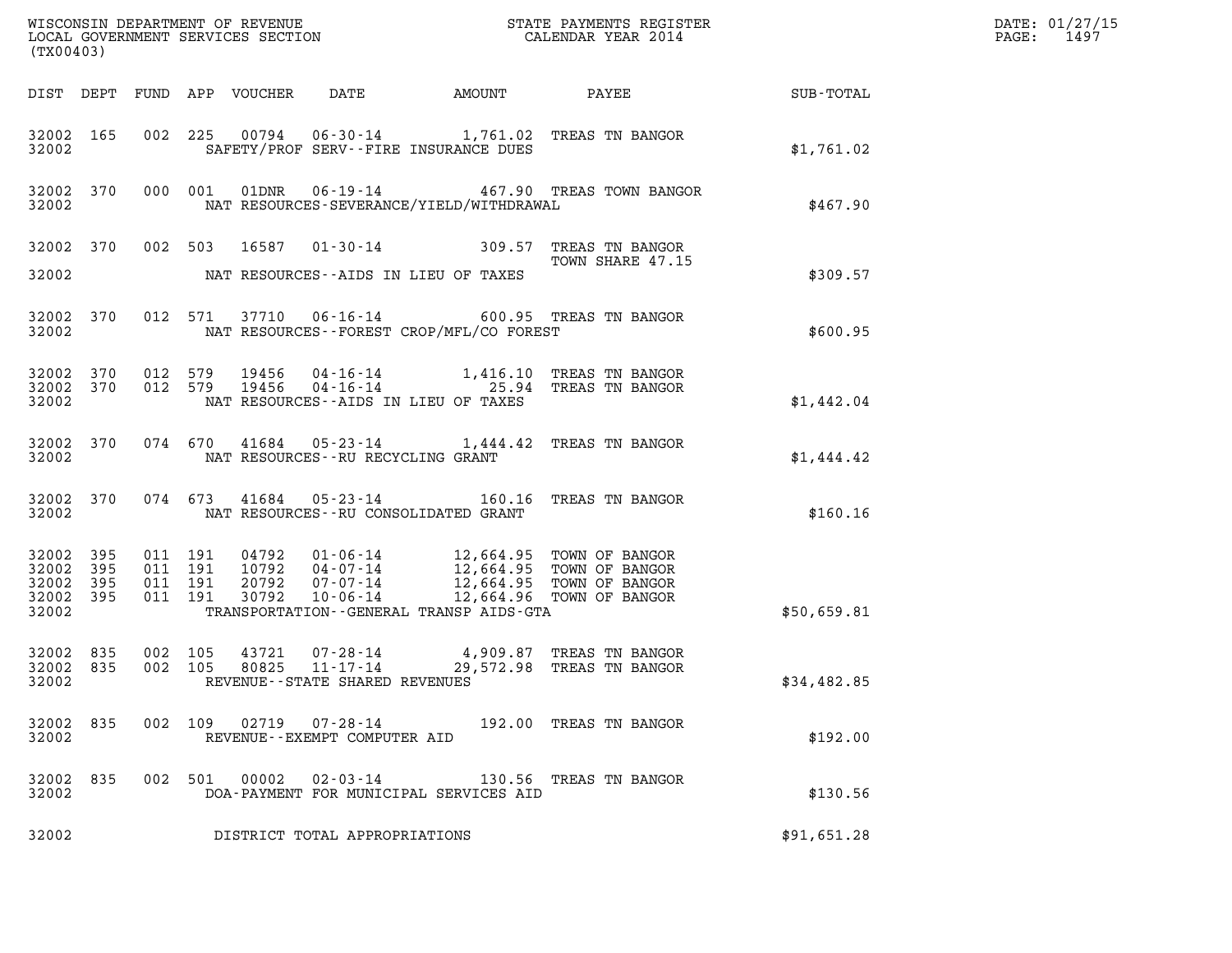| (TX00403)                                             |           |                               |         |  |                                                     |                                             |                                                                                                                                                                                                                                                                                                                                   | DATE: 01/27/15<br>1497<br>$\mathtt{PAGE:}$ |  |
|-------------------------------------------------------|-----------|-------------------------------|---------|--|-----------------------------------------------------|---------------------------------------------|-----------------------------------------------------------------------------------------------------------------------------------------------------------------------------------------------------------------------------------------------------------------------------------------------------------------------------------|--------------------------------------------|--|
|                                                       |           |                               |         |  |                                                     |                                             |                                                                                                                                                                                                                                                                                                                                   |                                            |  |
| 32002                                                 | 32002 165 |                               |         |  |                                                     | SAFETY/PROF SERV--FIRE INSURANCE DUES       | 002 225 00794 06-30-14 1,761.02 TREAS TN BANGOR                                                                                                                                                                                                                                                                                   | \$1,761.02                                 |  |
| 32002                                                 |           |                               |         |  |                                                     | NAT RESOURCES-SEVERANCE/YIELD/WITHDRAWAL    | 32002 370 000 001 01DNR 06-19-14 467.90 TREAS TOWN BANGOR                                                                                                                                                                                                                                                                         | \$467.90                                   |  |
| 32002                                                 |           |                               |         |  |                                                     | NAT RESOURCES--AIDS IN LIEU OF TAXES        | 32002 370 002 503 16587 01-30-14 309.57 TREAS TN BANGOR<br>TOWN SHARE 47.15<br>TOWN SHARE 47.15                                                                                                                                                                                                                                   | \$309.57                                   |  |
| 32002 370<br>32002                                    |           |                               |         |  |                                                     | NAT RESOURCES - - FOREST CROP/MFL/CO FOREST | 012 571 37710 06-16-14 600.95 TREAS TN BANGOR                                                                                                                                                                                                                                                                                     | \$600.95                                   |  |
| 32002                                                 |           |                               |         |  |                                                     | NAT RESOURCES--AIDS IN LIEU OF TAXES        | 32002 370 012 579 19456 04-16-14 1,416.10 TREAS TN BANGOR 32002 370 012 579 19456 04-16-14 25.94 TREAS TN BANGOR                                                                                                                                                                                                                  | \$1,442.04                                 |  |
|                                                       |           |                               |         |  | 32002 NAT RESOURCES--RU RECYCLING GRANT             |                                             | 32002 370 074 670 41684 05-23-14 1,444.42 TREAS TN BANGOR                                                                                                                                                                                                                                                                         | \$1,444.42                                 |  |
|                                                       |           |                               |         |  |                                                     | 32002 NAT RESOURCES--RU CONSOLIDATED GRANT  | 32002 370 074 673 41684 05-23-14 160.16 TREAS TN BANGOR                                                                                                                                                                                                                                                                           | \$160.16                                   |  |
| 32002 395<br>32002<br>32002 395<br>32002 395<br>32002 | 395       | 011 191<br>011 191<br>011 191 | 011 191 |  |                                                     | TRANSPORTATION--GENERAL TRANSP AIDS-GTA     | $\begin{array}{cccc} 04792 & 01\cdot 06\cdot 14 & 12\, ,664\, .95 & \text{TOWN OF BANGOR} \\ 10792 & 04\cdot 07\cdot 14 & 12\, ,664\, .95 & \text{TOWN OF BANGOR} \\ 20792 & 07\cdot 07\cdot 14 & 12\, ,664\, .95 & \text{TOWN OF BANGOR} \\ 30792 & 10\cdot 06\cdot 14 & 12\, ,664\, .96 & \text{TOWN OF BANGOR} \\ \end{array}$ | \$50,659.81                                |  |
| 32002 835<br>32002 835<br>32002                       |           | 002 105<br>002 105            |         |  | 80825 11-17-14<br>REVENUE - - STATE SHARED REVENUES |                                             | 43721 07-28-14 4,909.87 TREAS TN BANGOR<br>29,572.98 TREAS TN BANGOR                                                                                                                                                                                                                                                              | \$34,482.85                                |  |
| 32002 835<br>32002                                    |           |                               |         |  | REVENUE--EXEMPT COMPUTER AID                        |                                             | 002 109 02719 07-28-14 192.00 TREAS TN BANGOR                                                                                                                                                                                                                                                                                     | \$192.00                                   |  |
| 32002 835<br>32002                                    |           |                               |         |  |                                                     | DOA-PAYMENT FOR MUNICIPAL SERVICES AID      | 002 501 00002 02-03-14 130.56 TREAS TN BANGOR                                                                                                                                                                                                                                                                                     | \$130.56                                   |  |
| 32002                                                 |           |                               |         |  | DISTRICT TOTAL APPROPRIATIONS                       |                                             |                                                                                                                                                                                                                                                                                                                                   | \$91,651.28                                |  |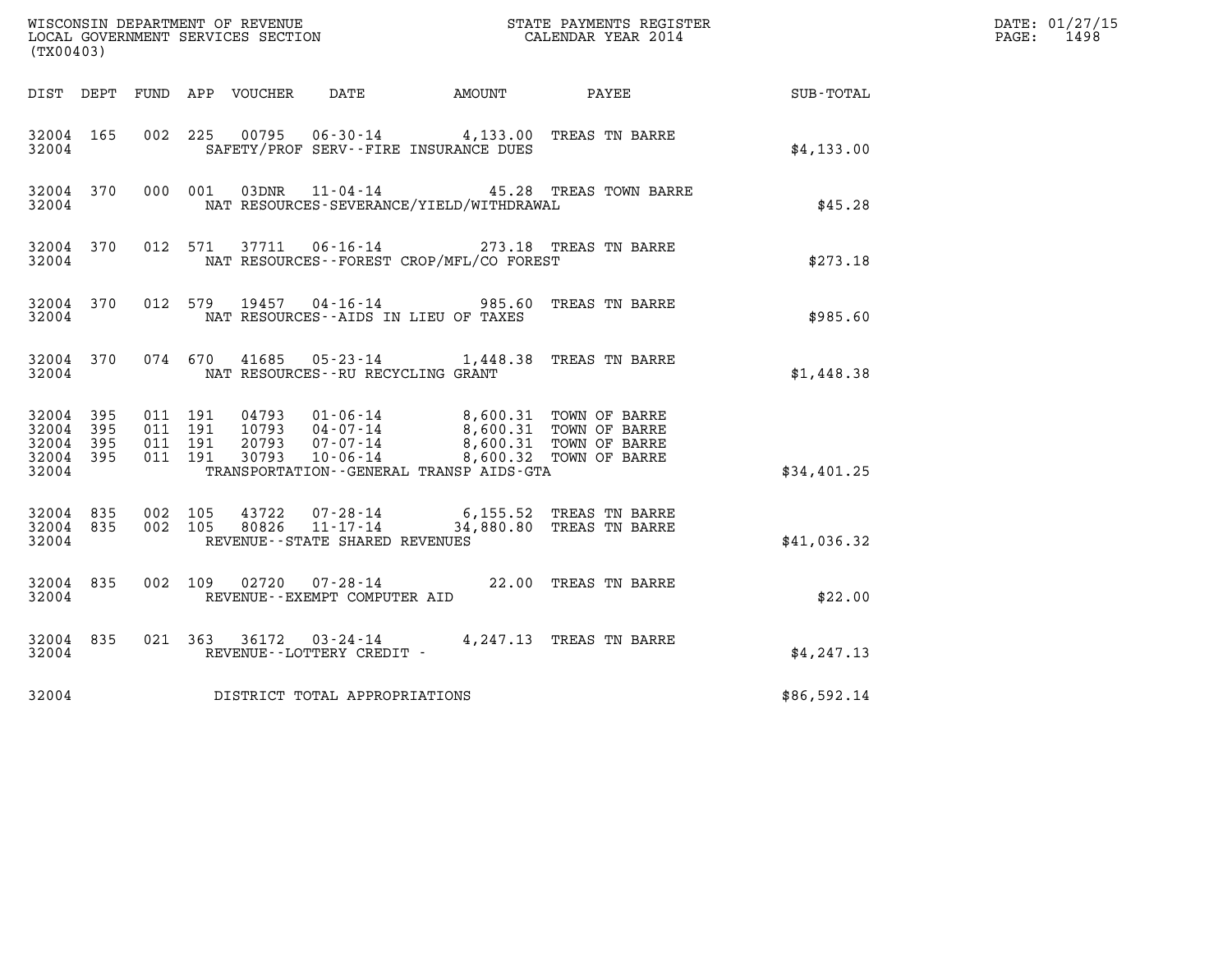| (TX00403)                                             |           |                                          |         |                |                                      |                                                                                                                                                                                                                         |                                                           |             | DATE: 01/27/15<br>$\mathtt{PAGE}$ :<br>1498 |
|-------------------------------------------------------|-----------|------------------------------------------|---------|----------------|--------------------------------------|-------------------------------------------------------------------------------------------------------------------------------------------------------------------------------------------------------------------------|-----------------------------------------------------------|-------------|---------------------------------------------|
|                                                       |           |                                          |         |                |                                      |                                                                                                                                                                                                                         | DIST DEPT FUND APP VOUCHER DATE AMOUNT PAYEE TO SUB-TOTAL |             |                                             |
| 32004 165<br>32004                                    |           |                                          |         |                |                                      | 002 225 00795 06-30-14 4,133.00 TREAS TN BARRE<br>SAFETY/PROF SERV--FIRE INSURANCE DUES                                                                                                                                 |                                                           | \$4,133.00  |                                             |
| 32004                                                 | 32004 370 |                                          | 000 001 |                |                                      | NAT RESOURCES-SEVERANCE/YIELD/WITHDRAWAL                                                                                                                                                                                | 03DNR  11-04-14  45.28 TREAS TOWN BARRE                   | \$45.28     |                                             |
| 32004 370<br>32004                                    |           |                                          | 012 571 |                |                                      | 37711  06-16-14  273.18  TREAS TN BARRE<br>NAT RESOURCES--FOREST CROP/MFL/CO FOREST                                                                                                                                     |                                                           | \$273.18    |                                             |
| 32004                                                 | 32004 370 |                                          |         |                |                                      | 012 579 19457 04-16-14 985.60 TREAS TN BARRE<br>NAT RESOURCES--AIDS IN LIEU OF TAXES                                                                                                                                    |                                                           | \$985.60    |                                             |
| 32004                                                 | 32004 370 |                                          |         |                | NAT RESOURCES - - RU RECYCLING GRANT | 074 670 41685 05-23-14 1,448.38 TREAS TN BARRE                                                                                                                                                                          |                                                           | \$1,448.38  |                                             |
| 32004 395<br>32004<br>32004 395<br>32004 395<br>32004 | - 395     | 011 191<br>011 191<br>011 191<br>011 191 |         |                |                                      | 04793  01-06-14  8,600.31  TOWN OF BARRE<br>10793  04-07-14  8,600.31  TOWN OF BARRE<br>20793  07-07-14  8,600.31  TOWN OF BARRE<br>30793  10-06-14  8,600.32  TOWN OF BARRE<br>TRANSPORTATION--GENERAL TRANSP AIDS-GTA |                                                           | \$34,401.25 |                                             |
| 32004 835<br>32004 835<br>32004                       |           | 002 105<br>002 105                       |         | 43722<br>80826 | REVENUE - - STATE SHARED REVENUES    | 07-28-14 6,155.52 TREAS TN BARRE<br>11-17-14 34,880.80 TREAS TN BARRE                                                                                                                                                   |                                                           | \$41,036.32 |                                             |
| 32004 835<br>32004                                    |           |                                          |         |                | REVENUE--EXEMPT COMPUTER AID         | 002 109 02720 07-28-14 22.00 TREAS TN BARRE                                                                                                                                                                             |                                                           | \$22.00     |                                             |
| 32004 835<br>32004                                    |           |                                          |         |                | REVENUE--LOTTERY CREDIT -            | 021 363 36172 03-24-14 4, 247.13 TREAS TN BARRE                                                                                                                                                                         |                                                           | \$4,247.13  |                                             |
| 32004                                                 |           |                                          |         |                | DISTRICT TOTAL APPROPRIATIONS        |                                                                                                                                                                                                                         |                                                           | \$86,592.14 |                                             |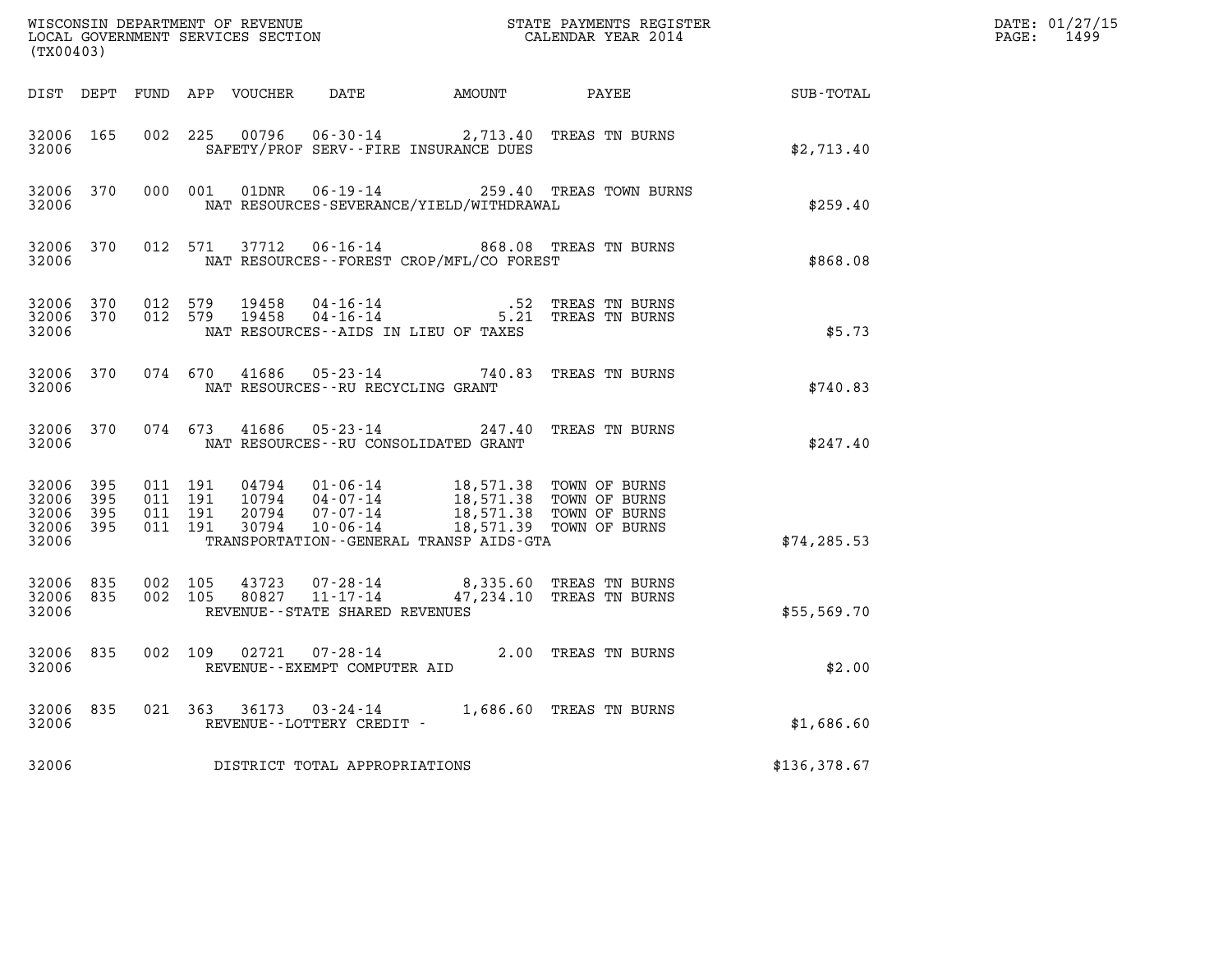| (TX00403)                   |                                 |         |                                          |                                   |                                                                                                                                                                                                                         | $\tt WISCONSIM DEPARTMENT OF REVENUE$ $\tt WISCONSIMENT$ SERVICES SECTION $\tt WISCONERNMENT$ SERVICES SECTION $\tt CALENDAR$ YEAR 2014 |                                                    | DATE: 01/27/15<br>PAGE: 1499 |
|-----------------------------|---------------------------------|---------|------------------------------------------|-----------------------------------|-------------------------------------------------------------------------------------------------------------------------------------------------------------------------------------------------------------------------|-----------------------------------------------------------------------------------------------------------------------------------------|----------------------------------------------------|------------------------------|
|                             |                                 |         |                                          |                                   |                                                                                                                                                                                                                         |                                                                                                                                         | DIST DEPT FUND APP VOUCHER DATE AMOUNT PAYEE TOTAL |                              |
| 32006                       | 32006 165                       |         |                                          |                                   | 002 225 00796 06-30-14 2,713.40 TREAS TN BURNS<br>SAFETY/PROF SERV--FIRE INSURANCE DUES                                                                                                                                 |                                                                                                                                         | \$2,713.40                                         |                              |
| 32006                       |                                 |         |                                          |                                   | NAT RESOURCES-SEVERANCE/YIELD/WITHDRAWAL                                                                                                                                                                                | 32006 370 000 001 01DNR 06-19-14 259.40 TREAS TOWN BURNS                                                                                | \$259.40                                           |                              |
| 32006                       |                                 |         |                                          |                                   | NAT RESOURCES--FOREST CROP/MFL/CO FOREST                                                                                                                                                                                | 32006 370 012 571 37712 06-16-14 868.08 TREAS TN BURNS                                                                                  | \$868.08                                           |                              |
| 32006 370<br>32006          | 32006 370 012 579               |         | 012 579                                  |                                   | 19458  04-16-14   52 TREAS TN BURNS<br>19458  04-16-14   5.21 TREAS TN BURNS<br>NAT RESOURCES--AIDS IN LIEU OF TAXES                                                                                                    |                                                                                                                                         | \$5.73                                             |                              |
| 32006                       |                                 |         |                                          | NAT RESOURCES--RU RECYCLING GRANT | 32006 370 074 670 41686 05-23-14 740.83 TREAS TN BURNS                                                                                                                                                                  |                                                                                                                                         | \$740.83                                           |                              |
|                             | 32006 2007                      |         |                                          |                                   | 32006 370 074 673 41686 05-23-14 247.40 TREAS TN BURNS<br>NAT RESOURCES--RU CONSOLIDATED GRANT                                                                                                                          |                                                                                                                                         | \$247.40                                           |                              |
| 32006 395<br>32006<br>32006 | - 395<br>32006 395<br>32006 395 |         | 011 191<br>011 191<br>011 191<br>011 191 |                                   | 04794  01-06-14  18,571.38 TOWN OF BURNS<br>10794  04-07-14  18,571.38 TOWN OF BURNS<br>20794  07-07-14  18,571.38 TOWN OF BURNS<br>30794  10-06-14  18,571.39 TOWN OF BURNS<br>TRANSPORTATION--GENERAL TRANSP AIDS-GTA |                                                                                                                                         | \$74, 285.53                                       |                              |
| 32006 835<br>32006          | 32006 835                       | 002 105 | 002 105                                  | REVENUE--STATE SHARED REVENUES    | 43723  07-28-14  8,335.60 TREAS TN BURNS<br>80827  11-17-14  47,234.10 TREAS TN BURNS                                                                                                                                   |                                                                                                                                         | \$55,569.70                                        |                              |
|                             | 32006 835<br>32006 2007         |         |                                          | REVENUE--EXEMPT COMPUTER AID      | 002 109 02721 07-28-14 2.00 TREAS TN BURNS                                                                                                                                                                              |                                                                                                                                         | \$2.00                                             |                              |
| 32006                       |                                 |         |                                          | REVENUE--LOTTERY CREDIT -         | 32006 835 021 363 36173 03-24-14 1,686.60 TREAS TN BURNS                                                                                                                                                                |                                                                                                                                         | \$1,686.60                                         |                              |
| 32006                       |                                 |         |                                          | DISTRICT TOTAL APPROPRIATIONS     |                                                                                                                                                                                                                         |                                                                                                                                         | \$136,378.67                                       |                              |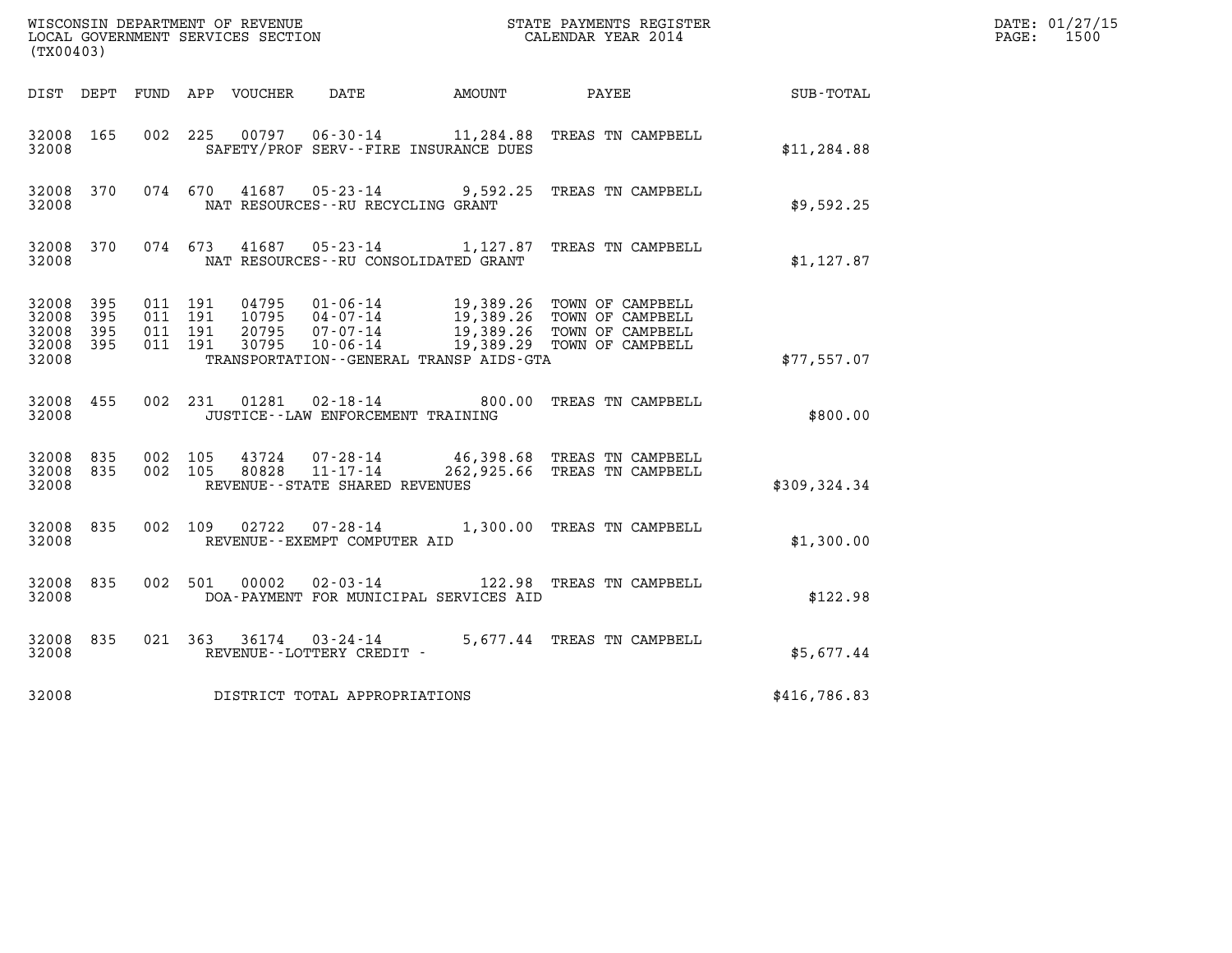| (TX00403)                                 |                            |                                          |         |                                  |                                                                       |                                              |                                                                                                                                        |              | DATE: 01/27/15<br>$\mathtt{PAGE:}$<br>1500 |
|-------------------------------------------|----------------------------|------------------------------------------|---------|----------------------------------|-----------------------------------------------------------------------|----------------------------------------------|----------------------------------------------------------------------------------------------------------------------------------------|--------------|--------------------------------------------|
|                                           |                            |                                          |         |                                  |                                                                       | DIST DEPT FUND APP VOUCHER DATE AMOUNT PAYEE |                                                                                                                                        | SUB-TOTAL    |                                            |
| 32008 165<br>32008                        |                            |                                          |         |                                  |                                                                       | SAFETY/PROF SERV--FIRE INSURANCE DUES        | 002 225 00797 06-30-14 11,284.88 TREAS TN CAMPBELL                                                                                     | \$11, 284.88 |                                            |
| 32008 370<br>32008                        |                            |                                          |         |                                  | NAT RESOURCES--RU RECYCLING GRANT                                     |                                              | 074 670 41687 05-23-14 9,592.25 TREAS TN CAMPBELL                                                                                      | \$9,592.25   |                                            |
| 32008 370<br>32008                        |                            | 074 673                                  |         |                                  |                                                                       | NAT RESOURCES - - RU CONSOLIDATED GRANT      | 41687 05-23-14 1,127.87 TREAS TN CAMPBELL                                                                                              | \$1,127.87   |                                            |
| 32008<br>32008<br>32008<br>32008<br>32008 | 395<br>395<br>395<br>- 395 | 011 191<br>011 191<br>011 191<br>011 191 |         | 04795<br>10795<br>20795<br>30795 | 07-07-14<br>10-06-14                                                  | TRANSPORTATION--GENERAL TRANSP AIDS-GTA      | 01-06-14 19,389.26 TOWN OF CAMPBELL<br>04-07-14 19,389.26 TOWN OF CAMPBELL<br>19,389.26 TOWN OF CAMPBELL<br>19,389.29 TOWN OF CAMPBELL | \$77,557.07  |                                            |
| 32008 455<br>32008                        |                            |                                          |         |                                  | JUSTICE - - LAW ENFORCEMENT TRAINING                                  |                                              | 002 231 01281 02-18-14 600.00 TREAS TN CAMPBELL                                                                                        | \$800.00     |                                            |
| 32008<br>32008 835<br>32008               | 835                        | 002 105<br>002 105                       |         |                                  | 43724 07-28-14<br>80828 11-17-14<br>REVENUE - - STATE SHARED REVENUES |                                              | 46,398.68 TREAS TN CAMPBELL<br>262,925.66 TREAS TN CAMPBELL                                                                            | \$309,324.34 |                                            |
| 32008 835<br>32008                        |                            |                                          | 002 109 |                                  | REVENUE--EXEMPT COMPUTER AID                                          |                                              | 1,300.00 TREAS TN CAMPBELL                                                                                                             | \$1,300.00   |                                            |
| 32008 835<br>32008                        |                            | 002 501                                  |         | 00002                            | $02 - 03 - 14$                                                        | DOA-PAYMENT FOR MUNICIPAL SERVICES AID       | 122.98 TREAS TN CAMPBELL                                                                                                               | \$122.98     |                                            |
| 32008 835<br>32008                        |                            |                                          |         |                                  | REVENUE--LOTTERY CREDIT -                                             |                                              | 021 363 36174 03-24-14 5,677.44 TREAS TN CAMPBELL                                                                                      | \$5,677.44   |                                            |
| 32008                                     |                            |                                          |         |                                  | DISTRICT TOTAL APPROPRIATIONS                                         |                                              |                                                                                                                                        | \$416,786.83 |                                            |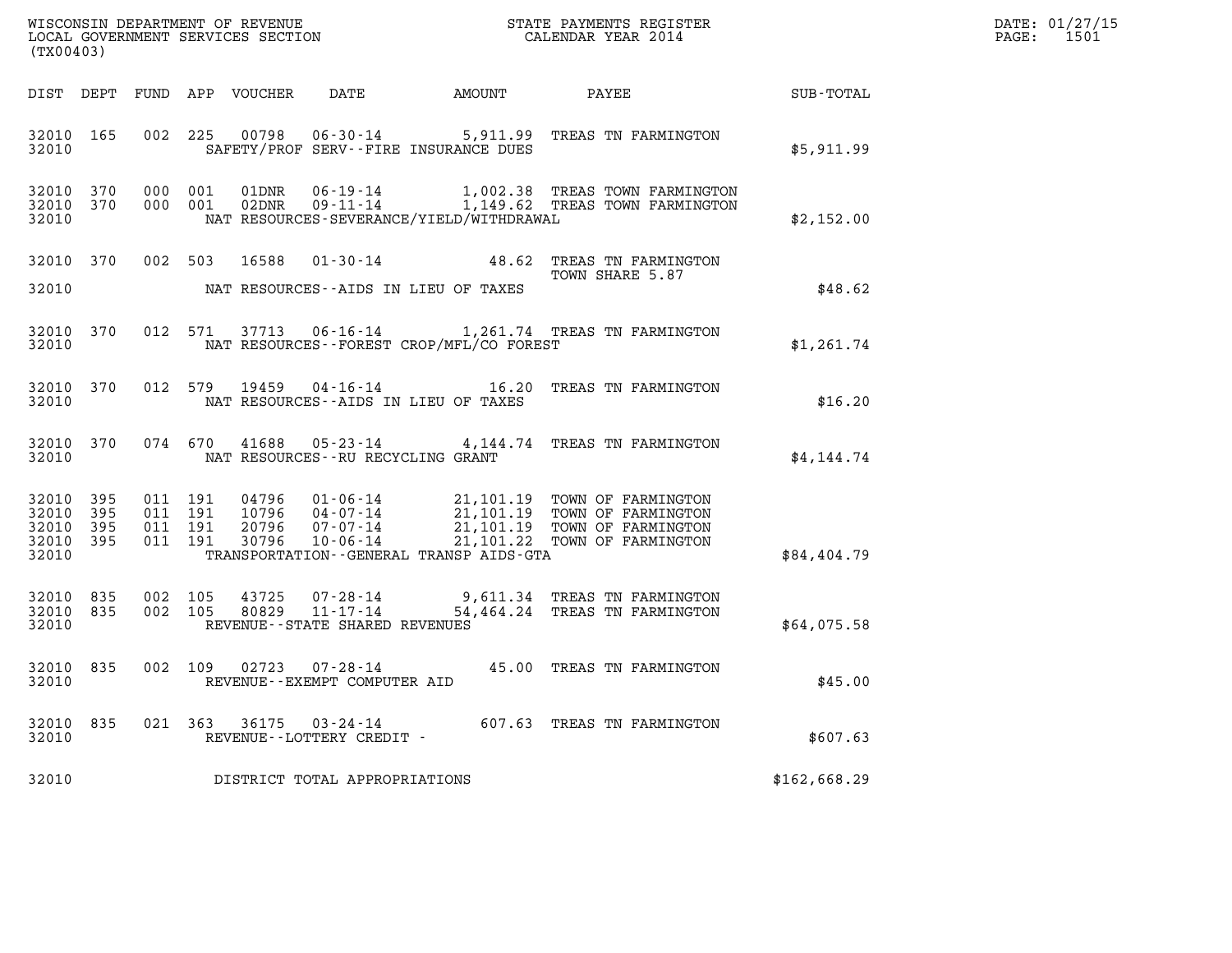| WISCONSIN DEPARTMENT OF REVENUE<br>LOCAL GOVERNMENT SERVICES SECTION<br>$(mv \wedge \wedge \wedge \wedge)$ | STATE PAYMENTS REGISTER<br>CALENDAR YEAR 2014 | DATE: 01/27/15<br>1501<br>PAGE: |
|------------------------------------------------------------------------------------------------------------|-----------------------------------------------|---------------------------------|

| (TX00403)                                 |                          |                          |                          |                                  |                                                                       |                                                                    |                                                                                                          |                  |
|-------------------------------------------|--------------------------|--------------------------|--------------------------|----------------------------------|-----------------------------------------------------------------------|--------------------------------------------------------------------|----------------------------------------------------------------------------------------------------------|------------------|
| DIST                                      | DEPT                     | FUND                     | APP                      | VOUCHER                          | DATE                                                                  | AMOUNT                                                             | PAYEE                                                                                                    | <b>SUB-TOTAL</b> |
| 32010<br>32010                            | 165                      | 002                      | 225                      | 00798                            | $06 - 30 - 14$                                                        | 5,911.99<br>SAFETY/PROF SERV--FIRE INSURANCE DUES                  | TREAS TN FARMINGTON                                                                                      | \$5,911.99       |
| 32010<br>32010<br>32010                   | 370<br>370               | 000<br>000               | 001<br>001               | 01DNR<br>02DNR                   | $06 - 19 - 14$<br>$09 - 11 - 14$                                      | NAT RESOURCES-SEVERANCE/YIELD/WITHDRAWAL                           | 1,002.38 TREAS TOWN FARMINGTON<br>1,149.62 TREAS TOWN FARMINGTON                                         | \$2,152.00       |
| 32010<br>32010                            | 370                      | 002                      | 503                      | 16588                            | $01 - 30 - 14$                                                        | 48.62<br>NAT RESOURCES - AIDS IN LIEU OF TAXES                     | TREAS TN FARMINGTON<br>TOWN SHARE 5.87                                                                   | \$48.62          |
| 32010<br>32010                            | 370                      | 012                      | 571                      | 37713                            | $06 - 16 - 14$                                                        | NAT RESOURCES--FOREST CROP/MFL/CO FOREST                           | 1,261.74 TREAS TN FARMINGTON                                                                             | \$1,261.74       |
| 32010<br>32010                            | 370                      | 012                      | 579                      | 19459                            | $04 - 16 - 14$                                                        | 16.20<br>NAT RESOURCES--AIDS IN LIEU OF TAXES                      | TREAS TN FARMINGTON                                                                                      | \$16.20          |
| 32010<br>32010                            | 370                      |                          | 074 670                  | 41688                            | $05 - 23 - 14$<br>NAT RESOURCES - - RU RECYCLING GRANT                | 4,144.74                                                           | TREAS TN FARMINGTON                                                                                      | \$4,144.74       |
| 32010<br>32010<br>32010<br>32010<br>32010 | 395<br>395<br>395<br>395 | 011<br>011<br>011<br>011 | 191<br>191<br>191<br>191 | 04796<br>10796<br>20796<br>30796 | $01 - 06 - 14$<br>04-07-14<br>$07 - 07 - 14$<br>$10 - 06 - 14$        | 21,101.19<br>21, 101.22<br>TRANSPORTATION--GENERAL TRANSP AIDS-GTA | 21,101.19 TOWN OF FARMINGTON<br>TOWN OF FARMINGTON<br>21,101.19 TOWN OF FARMINGTON<br>TOWN OF FARMINGTON | \$84,404.79      |
| 32010<br>32010<br>32010                   | 835<br>835               | 002<br>002               | 105<br>105               | 43725<br>80829                   | $07 - 28 - 14$<br>$11 - 17 - 14$<br>REVENUE - - STATE SHARED REVENUES | 54,464.24                                                          | 9,611.34 TREAS TN FARMINGTON<br>TREAS TN FARMINGTON                                                      | \$64,075.58      |
| 32010<br>32010                            | 835                      | 002                      | 109                      | 02723                            | $07 - 28 - 14$<br>REVENUE--EXEMPT COMPUTER AID                        | 45.00                                                              | TREAS TN FARMINGTON                                                                                      | \$45.00          |
| 32010<br>32010                            | 835                      | 021                      | 363                      | 36175                            | $03 - 24 - 14$<br>REVENUE--LOTTERY CREDIT -                           |                                                                    | 607.63 TREAS TN FARMINGTON                                                                               | \$607.63         |
| 32010                                     |                          |                          |                          |                                  | DISTRICT TOTAL APPROPRIATIONS                                         |                                                                    |                                                                                                          | \$162,668.29     |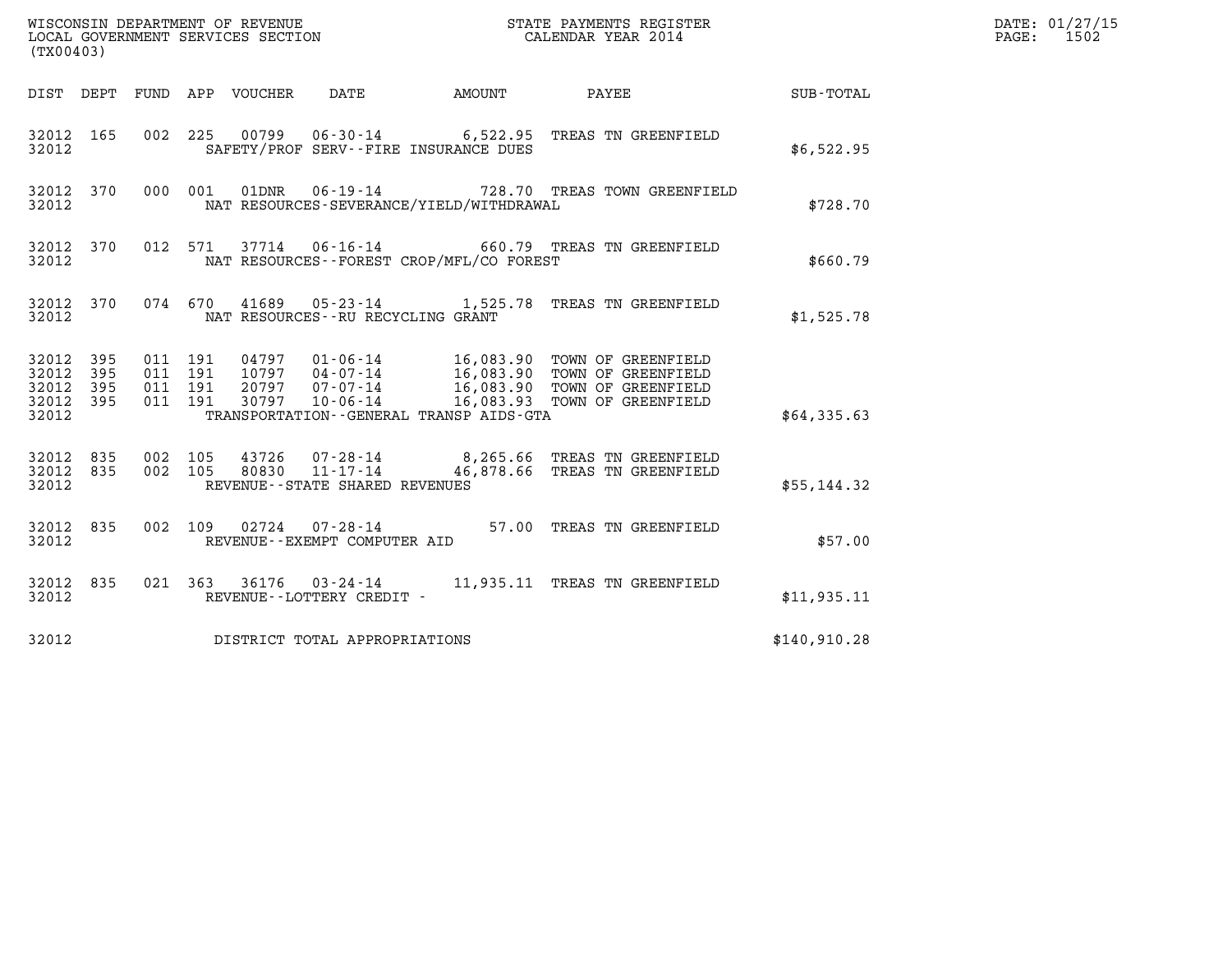| (TX00403)                                                                                                                                                                                                                                                                                                                                                  | DATE: 01/27/15<br>$\mathtt{PAGE:}$<br>1502 |
|------------------------------------------------------------------------------------------------------------------------------------------------------------------------------------------------------------------------------------------------------------------------------------------------------------------------------------------------------------|--------------------------------------------|
| AMOUNT PAYEE SUB-TOTAL<br>DIST DEPT FUND APP VOUCHER<br>DATE                                                                                                                                                                                                                                                                                               |                                            |
| 00799   06-30-14   6,522.95   TREAS TN GREENFIELD<br>32012 165<br>002 225<br>32012<br>SAFETY/PROF SERV--FIRE INSURANCE DUES                                                                                                                                                                                                                                | \$6,522.95                                 |
| $06 - 19 - 14$<br>000 001<br>32012 370<br>01DNR<br>728.70 TREAS TOWN GREENFIELD<br>32012<br>NAT RESOURCES-SEVERANCE/YIELD/WITHDRAWAL                                                                                                                                                                                                                       | \$728.70                                   |
| 37714  06-16-14  660.79  TREAS TN GREENFIELD<br>32012 370<br>012 571<br>NAT RESOURCES - - FOREST CROP/MFL/CO FOREST<br>32012                                                                                                                                                                                                                               | \$660.79                                   |
| 32012 370<br>074  670  41689  05-23-14  1,525.78  TREAS TN GREENFIELD<br>32012<br>NAT RESOURCES -- RU RECYCLING GRANT                                                                                                                                                                                                                                      | \$1,525.78                                 |
| 32012 395<br>011 191<br>04797  01-06-14  16,083.90 TOWN OF GREENFIELD<br>10797  04-07-14  16,083.90 TOWN OF GREENFIELD<br>20797  07-07-14  16,083.90 TOWN OF GREENFIELD<br>30797  10-06-14  16,083.93 TOWN OF GREENFIELD<br>32012<br>395<br>011 191<br>395<br>011 191<br>32012<br>32012 395<br>011 191<br>TRANSPORTATION--GENERAL TRANSP AIDS-GTA<br>32012 | \$64,335.63                                |
| 002 105<br>43726  07-28-14  8,265.66  TREAS TN GREENFIELD<br>32012 835<br>80830  11-17-14  46,878.66  TREAS TN GREENFIELD<br>002 105<br>32012 835<br>REVENUE - - STATE SHARED REVENUES<br>32012                                                                                                                                                            | \$55,144.32                                |
| 02724  07-28-14  57.00 TREAS TN GREENFIELD<br>32012 835<br>002 109<br>32012<br>REVENUE--EXEMPT COMPUTER AID                                                                                                                                                                                                                                                | \$57.00                                    |
| 021 363 36176 03-24-14 11,935.11 TREAS TN GREENFIELD<br>32012 835<br>32012<br>REVENUE--LOTTERY CREDIT -                                                                                                                                                                                                                                                    | \$11,935.11                                |
| DISTRICT TOTAL APPROPRIATIONS<br>32012                                                                                                                                                                                                                                                                                                                     | \$140,910.28                               |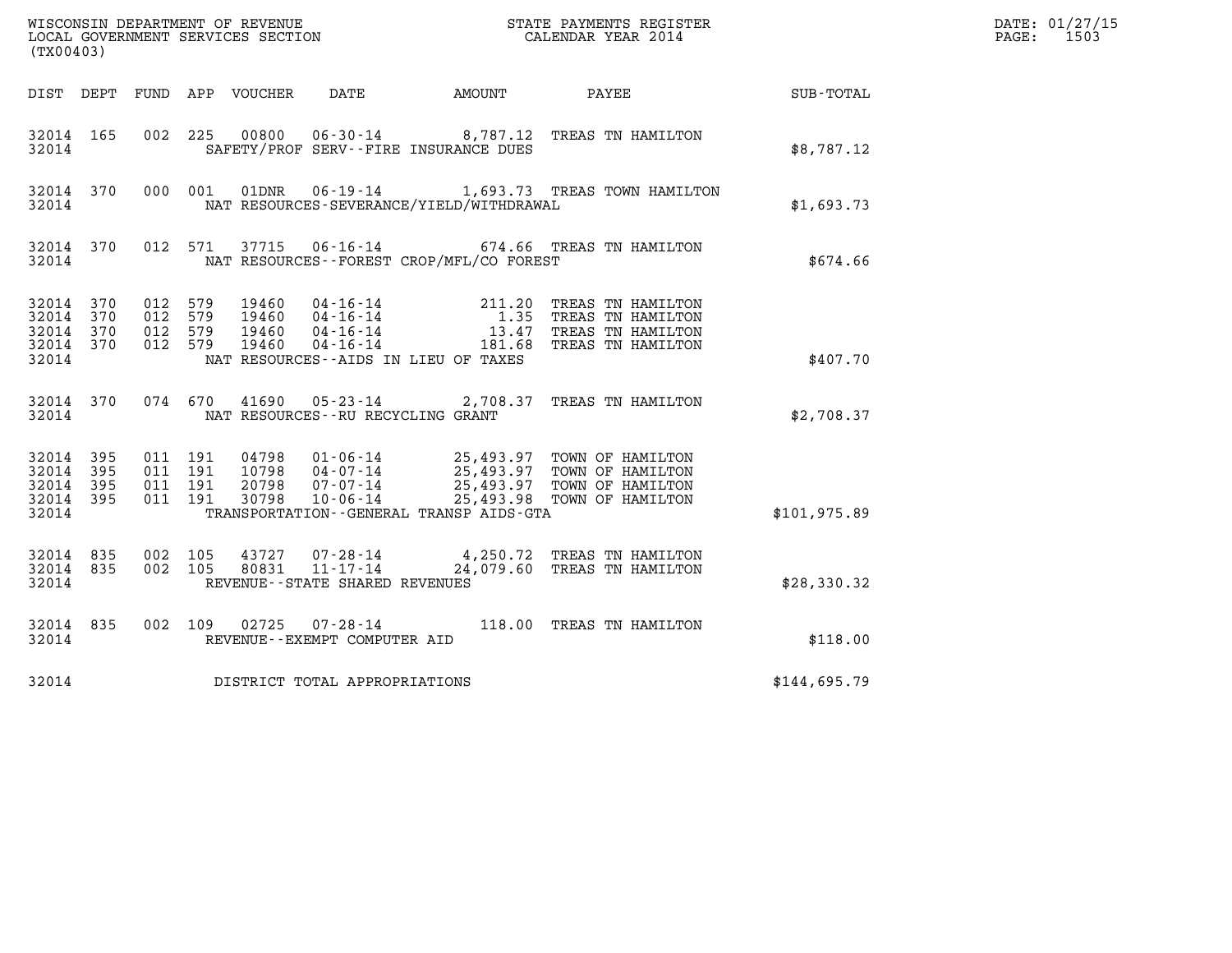| (TX00403)                                             |           |                                          |                                  |                                                  |                                              | ${\tt WISCOONSIM} \begin{tabular}{lcccc} DEPARTMENT OF REVIEW & \multicolumn{2}{c}{\bullet} & \multicolumn{2}{c}{\bullet} & \multicolumn{2}{c}{\bullet} & \multicolumn{2}{c}{\bullet} & \multicolumn{2}{c}{\tt STATE} \end{tabular} \begin{tabular}{lcccc} DICAL GOVERNMENT S ERVICES SECTION & \multicolumn{2}{c}{\bullet} & \multicolumn{2}{c}{\bullet} & \multicolumn{2}{c}{\tt STATE} \end{tabular} \begin{tabular}{lcccc} DICAL ENDAR YEAR & 2014 & \multicolumn{2}{c}{\bullet} & \multicolumn{2}{c}{\bullet} & \multicolumn{2$ |                  | DATE: 01/27/15<br>PAGE: 1503 |
|-------------------------------------------------------|-----------|------------------------------------------|----------------------------------|--------------------------------------------------|----------------------------------------------|--------------------------------------------------------------------------------------------------------------------------------------------------------------------------------------------------------------------------------------------------------------------------------------------------------------------------------------------------------------------------------------------------------------------------------------------------------------------------------------------------------------------------------------|------------------|------------------------------|
|                                                       |           |                                          |                                  |                                                  | DIST DEPT FUND APP VOUCHER DATE AMOUNT PAYEE |                                                                                                                                                                                                                                                                                                                                                                                                                                                                                                                                      | <b>SUB-TOTAL</b> |                              |
| 32014 165<br>32014                                    |           |                                          |                                  |                                                  | SAFETY/PROF SERV--FIRE INSURANCE DUES        | 002 225 00800 06-30-14 8,787.12 TREAS TN HAMILTON                                                                                                                                                                                                                                                                                                                                                                                                                                                                                    | \$8,787.12       |                              |
| 32014                                                 | 32014 370 |                                          |                                  |                                                  | NAT RESOURCES-SEVERANCE/YIELD/WITHDRAWAL     | 000 001 01DNR  06-19-14   1,693.73 TREAS TOWN HAMILTON                                                                                                                                                                                                                                                                                                                                                                                                                                                                               | \$1,693.73       |                              |
| 32014                                                 |           |                                          |                                  |                                                  | NAT RESOURCES--FOREST CROP/MFL/CO FOREST     | 32014 370 012 571 37715 06-16-14 674.66 TREAS TN HAMILTON                                                                                                                                                                                                                                                                                                                                                                                                                                                                            | \$674.66         |                              |
| 32014 370<br>32014<br>32014 370<br>32014 370<br>32014 | 370       | 012 579<br>012 579<br>012 579<br>012 579 | 19460<br>19460<br>19460<br>19460 |                                                  | NAT RESOURCES--AIDS IN LIEU OF TAXES         | 04-16-14 211.20 TREAS TN HAMILTON<br>04-16-14 1.35 TREAS TN HAMILTON<br>04-16-14 13.47 TREAS TN HAMILTON<br>04-16-14 181.68 TREAS TN HAMILTON                                                                                                                                                                                                                                                                                                                                                                                        | \$407.70         |                              |
| 32014                                                 |           |                                          |                                  |                                                  | NAT RESOURCES -- RU RECYCLING GRANT          | 32014 370 074 670 41690 05-23-14 2,708.37 TREAS TN HAMILTON                                                                                                                                                                                                                                                                                                                                                                                                                                                                          | \$2,708.37       |                              |
| 32014 395<br>32014<br>32014 395<br>32014 395<br>32014 | 395       | 011 191<br>011 191<br>011 191<br>011 191 |                                  |                                                  | TRANSPORTATION - - GENERAL TRANSP AIDS - GTA | 04798  01-06-14  25,493.97  TOWN OF HAMILTON<br>10798  04-07-14  25,493.97  TOWN OF HAMILTON<br>20798  07-07-14  25,493.97  TOWN OF HAMILTON<br>30798  10-06-14  25,493.98  TOWN OF HAMILTON                                                                                                                                                                                                                                                                                                                                         | \$101, 975.89    |                              |
| 32014 835<br>32014 835<br>32014                       |           | 002 105<br>002 105                       | 80831                            | $11 - 17 - 14$<br>REVENUE--STATE SHARED REVENUES |                                              | 43727 07-28-14 4,250.72 TREAS TN HAMILTON<br>24,079.60 TREAS TN HAMILTON                                                                                                                                                                                                                                                                                                                                                                                                                                                             | \$28,330.32      |                              |
| 32014 835<br>32014                                    |           |                                          |                                  | REVENUE--EXEMPT COMPUTER AID                     |                                              | 002 109 02725 07-28-14 118.00 TREAS TN HAMILTON                                                                                                                                                                                                                                                                                                                                                                                                                                                                                      | \$118.00         |                              |
| 32014                                                 |           |                                          |                                  | DISTRICT TOTAL APPROPRIATIONS                    |                                              |                                                                                                                                                                                                                                                                                                                                                                                                                                                                                                                                      | \$144,695.79     |                              |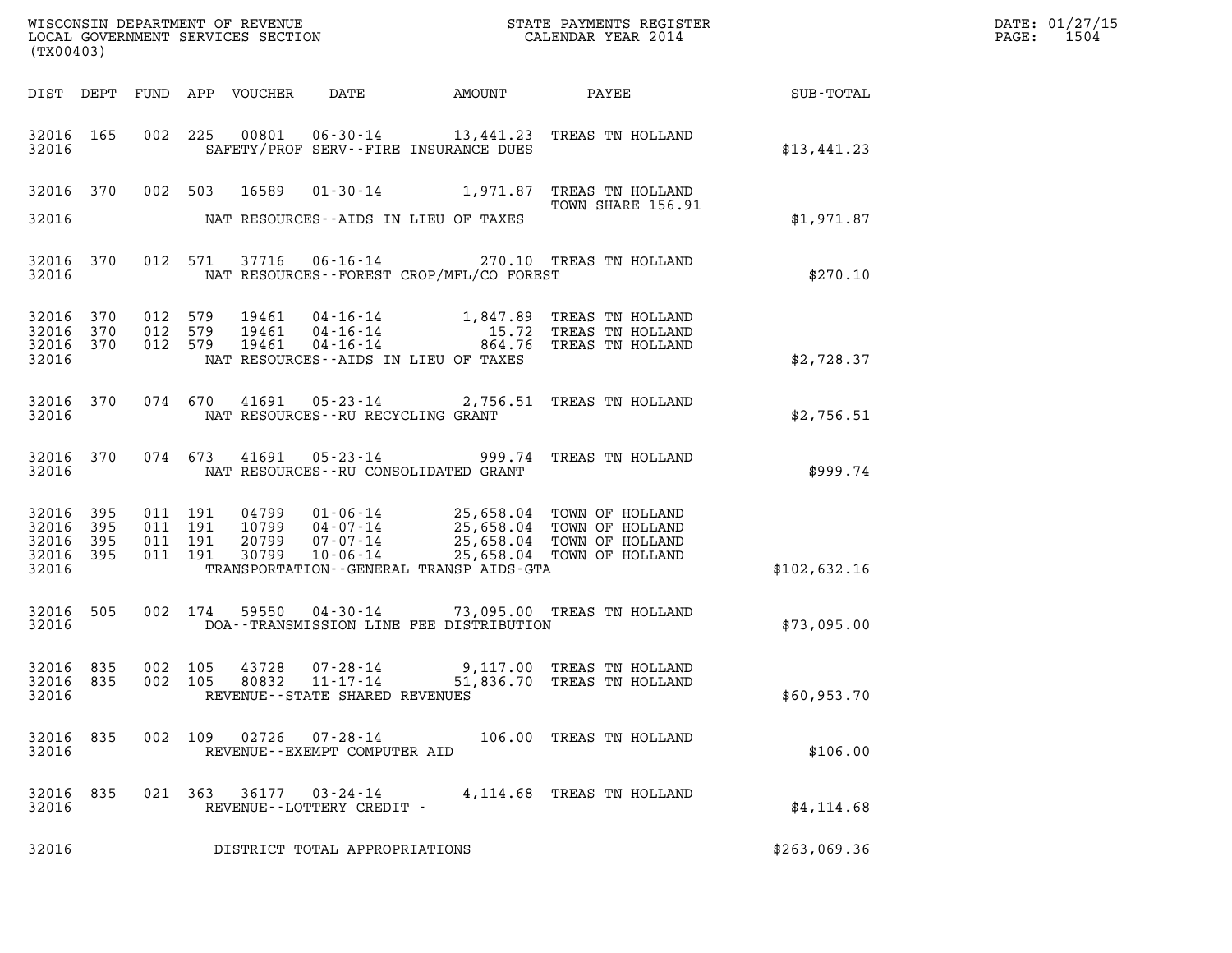| (TX00403)                                 |                          |                                          |                                  |                                                                               |              |                                                                                                                                    |              | DATE: 01/27/15<br>$\mathtt{PAGE}$ :<br>1504 |
|-------------------------------------------|--------------------------|------------------------------------------|----------------------------------|-------------------------------------------------------------------------------|--------------|------------------------------------------------------------------------------------------------------------------------------------|--------------|---------------------------------------------|
|                                           |                          |                                          | DIST DEPT FUND APP VOUCHER       | DATE                                                                          | AMOUNT PAYEE |                                                                                                                                    | SUB-TOTAL    |                                             |
| 32016 165<br>32016                        |                          |                                          |                                  | SAFETY/PROF SERV--FIRE INSURANCE DUES                                         |              | 002 225 00801 06-30-14 13,441.23 TREAS TN HOLLAND                                                                                  | \$13,441.23  |                                             |
| 32016 370<br>32016                        |                          |                                          | 002 503<br>16589                 | NAT RESOURCES--AIDS IN LIEU OF TAXES                                          |              | 01-30-14 1,971.87 TREAS TN HOLLAND<br>TOWN SHARE 156.91                                                                            | \$1,971.87   |                                             |
| 32016 370<br>32016                        |                          |                                          | 012 571                          | NAT RESOURCES--FOREST CROP/MFL/CO FOREST                                      |              | 37716  06-16-14  270.10  TREAS TN HOLLAND                                                                                          | \$270.10     |                                             |
| 32016<br>32016<br>32016<br>32016          | 370<br>370<br>370        | 012 579<br>012 579<br>012 579            | 19461<br>19461<br>19461          | 04-16-14<br>$04 - 16 - 14$<br>NAT RESOURCES -- AIDS IN LIEU OF TAXES          |              | 04-16-14 1,847.89 TREAS TN HOLLAND<br>15.72 TREAS TN HOLLAND<br>864.76 TREAS TN HOLLAND                                            | \$2,728.37   |                                             |
| 32016 370<br>32016                        |                          |                                          | 41691<br>074 670                 | NAT RESOURCES--RU RECYCLING GRANT                                             |              | 05-23-14 2,756.51 TREAS TN HOLLAND                                                                                                 | \$2,756.51   |                                             |
| 32016 370<br>32016                        |                          |                                          | 41691<br>074 673                 | 05-23-14<br>NAT RESOURCES -- RU CONSOLIDATED GRANT                            |              | 999.74 TREAS TN HOLLAND                                                                                                            | \$999.74     |                                             |
| 32016<br>32016<br>32016<br>32016<br>32016 | 395<br>395<br>395<br>395 | 011 191<br>011 191<br>011 191<br>011 191 | 04799<br>10799<br>20799<br>30799 | 07-07-14<br>$10 - 06 - 14$<br>TRANSPORTATION--GENERAL TRANSP AIDS-GTA         |              | 01-06-14 25,658.04 TOWN OF HOLLAND<br>04-07-14 25,658.04 TOWN OF HOLLAND<br>25,658.04 TOWN OF HOLLAND<br>25,658.04 TOWN OF HOLLAND | \$102,632.16 |                                             |
| 32016 505<br>32016                        |                          |                                          | 002 174                          | DOA--TRANSMISSION LINE FEE DISTRIBUTION                                       |              | 59550  04-30-14  73,095.00 TREAS TN HOLLAND                                                                                        | \$73,095.00  |                                             |
| 32016 835<br>32016 835<br>32016           |                          |                                          | 002 105                          | 43728 07-28-14<br>002 105 80832 11-17-14<br>REVENUE - - STATE SHARED REVENUES |              | 9,117.00 TREAS TN HOLLAND<br>51,836.70 TREAS TN HOLLAND                                                                            | \$60,953.70  |                                             |
| 32016 835<br>32016                        |                          |                                          |                                  | 002 109 02726 07-28-14<br>REVENUE--EXEMPT COMPUTER AID                        |              | 106.00 TREAS TN HOLLAND                                                                                                            | \$106.00     |                                             |
| 32016 835<br>32016                        |                          |                                          |                                  | 021 363 36177 03-24-14<br>REVENUE--LOTTERY CREDIT -                           |              | 4,114.68 TREAS TN HOLLAND                                                                                                          | \$4,114.68   |                                             |
| 32016                                     |                          |                                          |                                  | DISTRICT TOTAL APPROPRIATIONS                                                 |              |                                                                                                                                    | \$263,069.36 |                                             |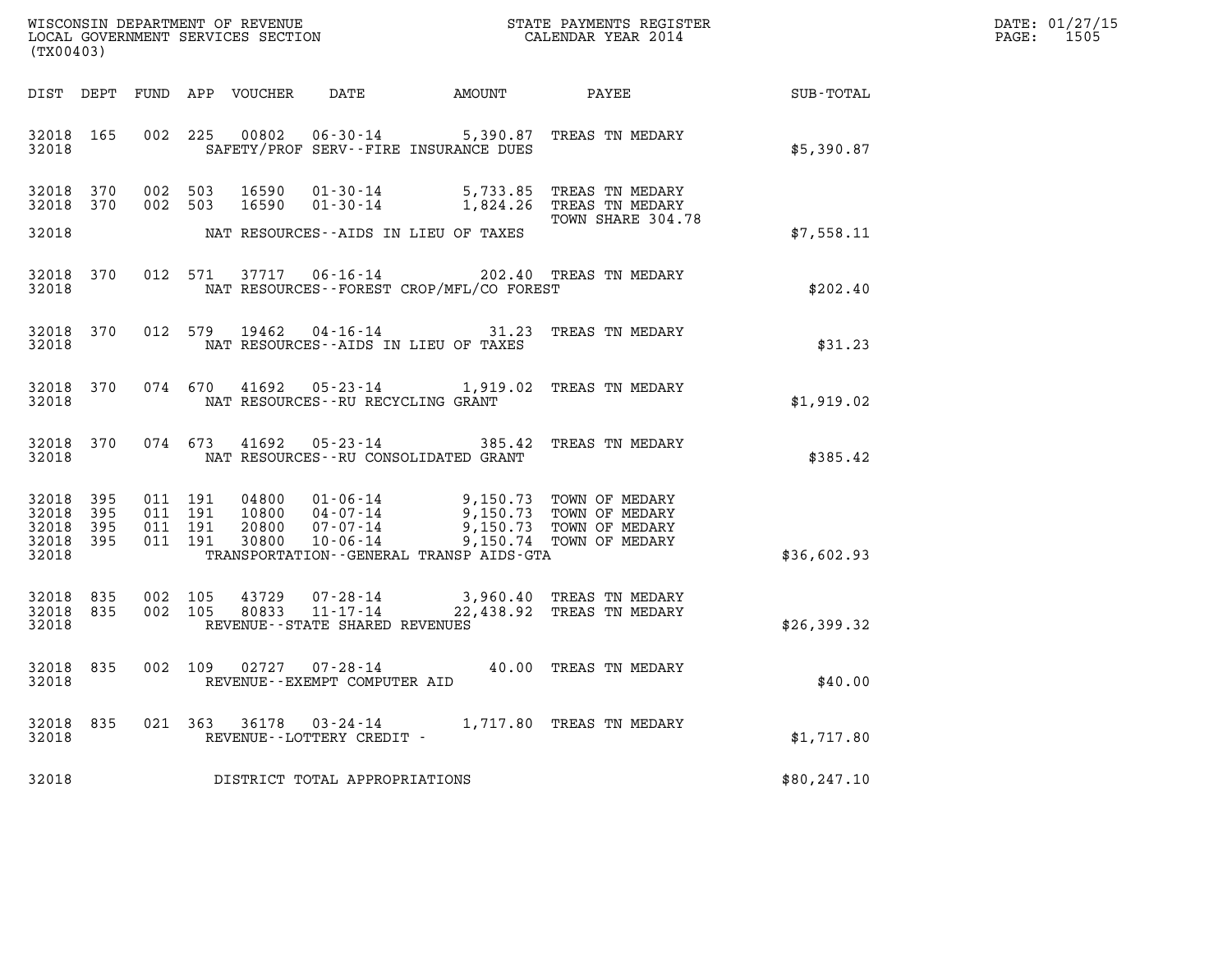| DATE: | 01/27/15 |
|-------|----------|
| PAGE: | 1505     |

| (TX00403)                                         |            |                    |       |                                             |                                              |                                                                                                                                                                                                                                                                                                                                                      |                                                              | DATE: 01/27/15<br>1505<br>$\mathtt{PAGE:}$ |
|---------------------------------------------------|------------|--------------------|-------|---------------------------------------------|----------------------------------------------|------------------------------------------------------------------------------------------------------------------------------------------------------------------------------------------------------------------------------------------------------------------------------------------------------------------------------------------------------|--------------------------------------------------------------|--------------------------------------------|
|                                                   |            |                    |       |                                             |                                              |                                                                                                                                                                                                                                                                                                                                                      | DIST DEPT FUND APP VOUCHER DATE AMOUNT PAYEE PAYEE SUB-TOTAL |                                            |
| 32018 165<br>32018                                |            |                    |       |                                             | SAFETY/PROF SERV--FIRE INSURANCE DUES        | 002 225 00802 06-30-14 5,390.87 TREAS TN MEDARY                                                                                                                                                                                                                                                                                                      | \$5,390.87                                                   |                                            |
| 32018 370<br>32018 370<br>32018                   |            |                    |       |                                             | NAT RESOURCES--AIDS IN LIEU OF TAXES         | 002 503 16590 01-30-14 5,733.85 TREAS TN MEDARY<br>002 503 16590 01-30-14 1,824.26 TREAS TN MEDARY<br>TOWN SHARE 304.78                                                                                                                                                                                                                              | \$7,558.11                                                   |                                            |
| 32018                                             |            |                    |       |                                             | NAT RESOURCES--FOREST CROP/MFL/CO FOREST     | 32018 370 012 571 37717 06-16-14 202.40 TREAS TN MEDARY                                                                                                                                                                                                                                                                                              | \$202.40                                                     |                                            |
| 32018                                             |            |                    |       |                                             | NAT RESOURCES--AIDS IN LIEU OF TAXES         | 32018 370 012 579 19462 04-16-14 31.23 TREAS TN MEDARY                                                                                                                                                                                                                                                                                               | \$31.23                                                      |                                            |
| 32018                                             |            |                    |       |                                             | NAT RESOURCES--RU RECYCLING GRANT            | 32018 370 074 670 41692 05-23-14 1,919.02 TREAS TN MEDARY                                                                                                                                                                                                                                                                                            | \$1,919.02                                                   |                                            |
| 32018                                             |            |                    |       |                                             | NAT RESOURCES -- RU CONSOLIDATED GRANT       | 32018 370 074 673 41692 05-23-14 385.42 TREAS TN MEDARY                                                                                                                                                                                                                                                                                              | \$385.42                                                     |                                            |
| 32018 395<br>32018<br>32018<br>32018 395<br>32018 | 395<br>395 |                    |       |                                             | TRANSPORTATION - - GENERAL TRANSP AIDS - GTA | $\begin{array}{cccccc} 011 & 191 & 04800 & 01\cdot 06\cdot 14 & 9,150.73 & \text{TOWN OF MEDARY} \\ 011 & 191 & 10800 & 04\cdot 07\cdot 14 & 9,150.73 & \text{TOWN OF MEDARY} \\ 011 & 191 & 20800 & 07\cdot 07\cdot 14 & 9,150.73 & \text{TOWN OF MEDARY} \\ 011 & 191 & 30800 & 10\cdot 06\cdot 14 & 9,150.74 & \text{TOWN OF MEDARY} \end{array}$ | \$36,602.93                                                  |                                            |
| 32018 835<br>32018 835<br>32018                   |            | 002 105<br>002 105 |       | REVENUE--STATE SHARED REVENUES              |                                              | $\begin{array}{cccc} 43729 & 07\text{-}28\text{-}14 & 3,960.40 & \text{TREAS TN MEDARY} \\ 80833 & 11\text{-}17\text{-}14 & 22,438.92 & \text{TREAS TN MEDARY} \end{array}$                                                                                                                                                                          | \$26,399.32                                                  |                                            |
| 32018                                             |            |                    |       | REVENUE - - EXEMPT COMPUTER AID             |                                              | 32018 835 002 109 02727 07-28-14 40.00 TREAS TN MEDARY                                                                                                                                                                                                                                                                                               | \$40.00                                                      |                                            |
| 32018<br>32018                                    | 835        | 021 363            | 36178 | $03 - 24 - 14$<br>REVENUE--LOTTERY CREDIT - |                                              | 1,717.80 TREAS TN MEDARY                                                                                                                                                                                                                                                                                                                             | \$1,717.80                                                   |                                            |
| 32018                                             |            |                    |       | DISTRICT TOTAL APPROPRIATIONS               |                                              |                                                                                                                                                                                                                                                                                                                                                      | \$80,247.10                                                  |                                            |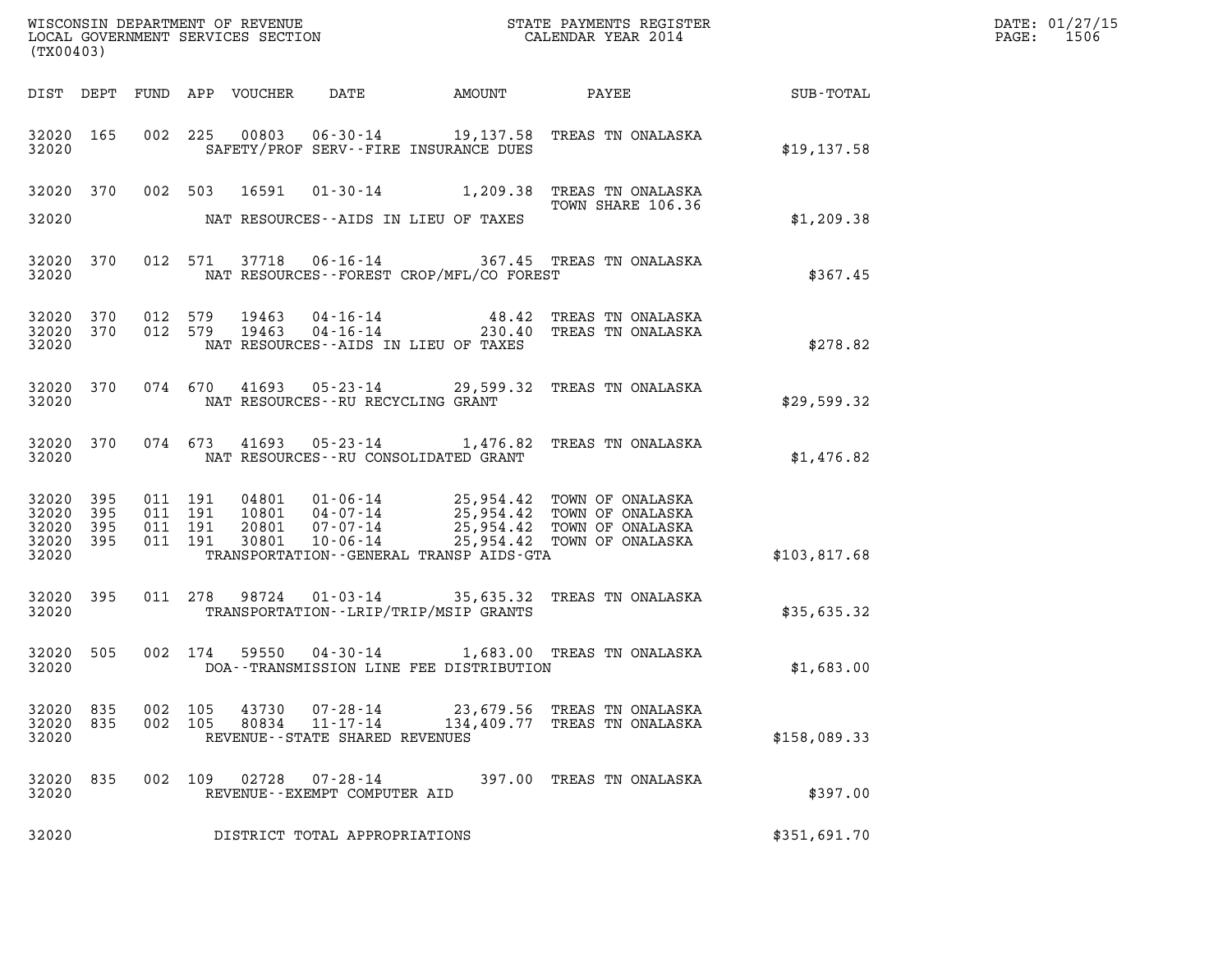| (TX00403)                                     |                        |                               |         |                |                                            |                                          |                                                                                                                                                                                  |              | DATE: 01/27/15<br>PAGE: 1506 |
|-----------------------------------------------|------------------------|-------------------------------|---------|----------------|--------------------------------------------|------------------------------------------|----------------------------------------------------------------------------------------------------------------------------------------------------------------------------------|--------------|------------------------------|
|                                               |                        |                               |         |                | DIST DEPT FUND APP VOUCHER DATE            |                                          | AMOUNT PAYEE SUB-TOTAL                                                                                                                                                           |              |                              |
| 32020 165<br>32020                            |                        |                               |         |                |                                            | SAFETY/PROF SERV--FIRE INSURANCE DUES    | 002 225 00803 06-30-14 19,137.58 TREAS TN ONALASKA                                                                                                                               | \$19,137.58  |                              |
| 32020                                         |                        |                               |         |                |                                            | NAT RESOURCES--AIDS IN LIEU OF TAXES     | 32020 370 002 503 16591 01-30-14 1,209.38 TREAS TN ONALASKA<br>TOWN SHARE 106.36<br>TOWN SHARE 106.36                                                                            | \$1,209.38   |                              |
| 32020                                         | 32020 370              |                               |         |                |                                            | NAT RESOURCES--FOREST CROP/MFL/CO FOREST | 012 571 37718 06-16-14 367.45 TREAS TN ONALASKA                                                                                                                                  | \$367.45     |                              |
| 32020                                         | 32020 370<br>32020 370 |                               |         |                |                                            | NAT RESOURCES--AIDS IN LIEU OF TAXES     | 012 579 19463 04-16-14 48.42 TREAS TN ONALASKA<br>012 579 19463 04-16-14 230.40 TREAS TN ONALASKA                                                                                | \$278.82     |                              |
| 32020                                         | 32020 370              |                               |         |                | NAT RESOURCES -- RU RECYCLING GRANT        |                                          | 074 670 41693 05-23-14 29,599.32 TREAS TN ONALASKA                                                                                                                               | \$29,599.32  |                              |
| 32020                                         | 32020 370              |                               |         |                |                                            | NAT RESOURCES--RU CONSOLIDATED GRANT     | 074 673 41693 05-23-14 1,476.82 TREAS TN ONALASKA                                                                                                                                | \$1,476.82   |                              |
| 32020 395<br>32020<br>32020<br>32020<br>32020 | 395<br>395<br>395      | 011 191<br>011 191<br>011 191 | 011 191 |                |                                            | TRANSPORTATION--GENERAL TRANSP AIDS-GTA  | 04801 01-06-14 25,954.42 TOWN OF ONALASKA<br>10801 04-07-14 25,954.42 TOWN OF ONALASKA<br>20801 07-07-14 25,954.42 TOWN OF ONALASKA<br>30801 10-06-14 25,954.42 TOWN OF ONALASKA | \$103,817.68 |                              |
| 32020 395<br>32020                            |                        |                               |         |                |                                            | TRANSPORTATION - - LRIP/TRIP/MSIP GRANTS | 011 278 98724 01-03-14 35,635.32 TREAS TN ONALASKA                                                                                                                               | \$35,635.32  |                              |
| 32020 505<br>32020                            |                        |                               |         |                |                                            | DOA--TRANSMISSION LINE FEE DISTRIBUTION  | 002 174 59550 04-30-14 1,683.00 TREAS TN ONALASKA                                                                                                                                | \$1,683.00   |                              |
| 32020 835<br>32020 835<br>32020               |                        | 002 105<br>002 105            |         | 43730<br>80834 | 11-17-14<br>REVENUE--STATE SHARED REVENUES |                                          | 07-28-14 23,679.56 TREAS TN ONALASKA<br>134,409.77 TREAS TN ONALASKA                                                                                                             | \$158,089.33 |                              |
| 32020 835<br>32020                            |                        |                               | 002 109 | 02728          | 07-28-14<br>REVENUE--EXEMPT COMPUTER AID   |                                          | 397.00 TREAS TN ONALASKA                                                                                                                                                         | \$397.00     |                              |
| 32020                                         |                        |                               |         |                | DISTRICT TOTAL APPROPRIATIONS              |                                          |                                                                                                                                                                                  | \$351,691.70 |                              |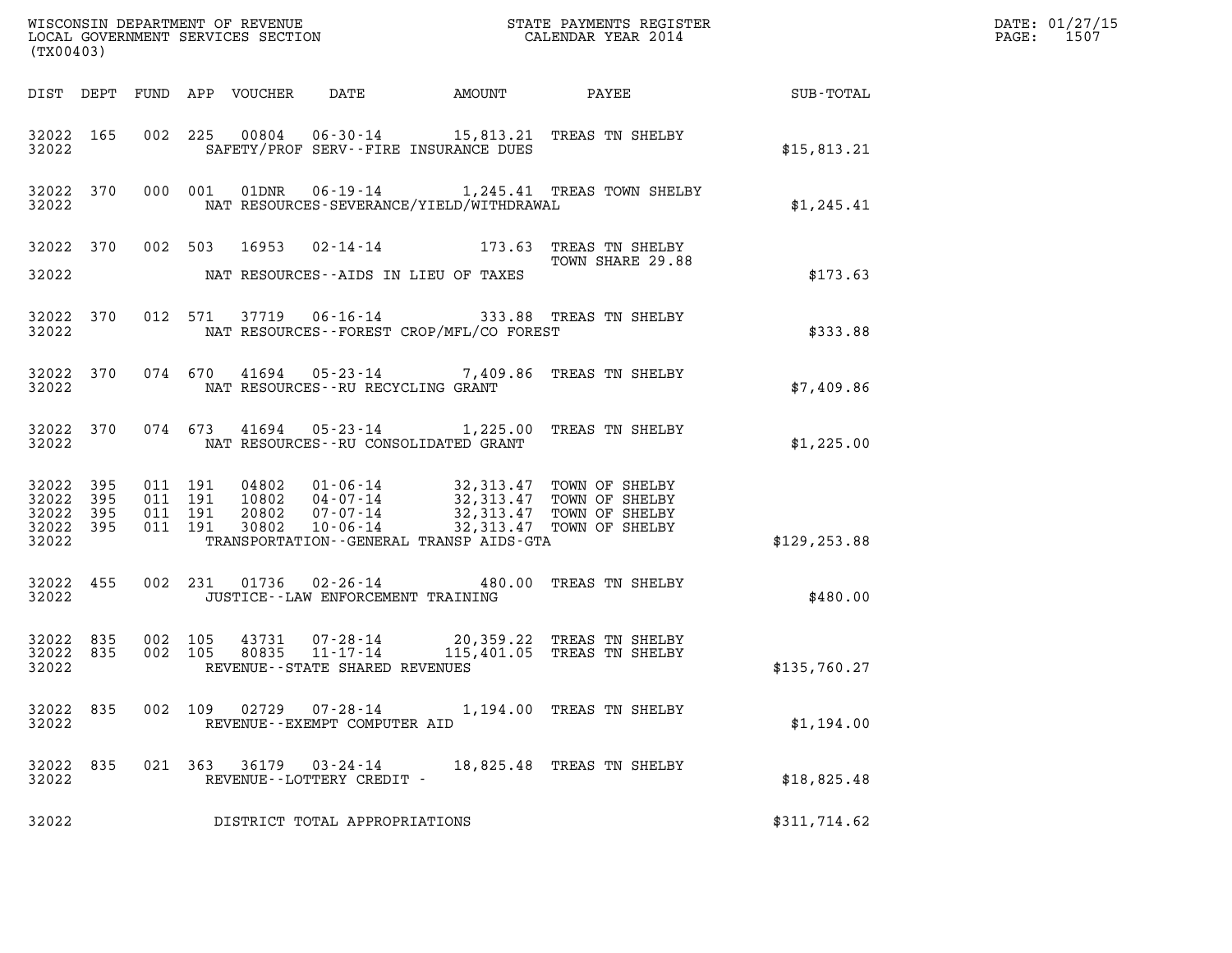| (TX00403)                       |           |                                         |         |                                                     |                                                |                                                                                                                                                                                  |               | DATE: 01/27/15<br>PAGE: 1507 |
|---------------------------------|-----------|-----------------------------------------|---------|-----------------------------------------------------|------------------------------------------------|----------------------------------------------------------------------------------------------------------------------------------------------------------------------------------|---------------|------------------------------|
|                                 |           |                                         |         |                                                     |                                                |                                                                                                                                                                                  |               |                              |
| 32022                           |           |                                         |         |                                                     | SAFETY/PROF SERV--FIRE INSURANCE DUES          | 32022 165 002 225 00804 06-30-14 15,813.21 TREAS TN SHELBY                                                                                                                       | \$15,813.21   |                              |
|                                 |           | 32022 2020                              |         |                                                     | NAT RESOURCES-SEVERANCE/YIELD/WITHDRAWAL       | 32022 370 000 001 01DNR 06-19-14 1,245.41 TREAS TOWN SHELBY                                                                                                                      | \$1,245.41    |                              |
|                                 |           |                                         |         |                                                     | 32022 NAT RESOURCES--AIDS IN LIEU OF TAXES     | 32022 370 002 503 16953 02-14-14 173.63 TREAS TN SHELBY<br>TOWN SHARE 29.88                                                                                                      | \$173.63      |                              |
|                                 |           |                                         |         |                                                     | 32022 NAT RESOURCES--FOREST CROP/MFL/CO FOREST | 32022 370 012 571 37719 06-16-14 333.88 TREAS TN SHELBY                                                                                                                          | \$333.88      |                              |
|                                 |           |                                         |         |                                                     | 32022 NAT RESOURCES--RU RECYCLING GRANT        | 32022 370 074 670 41694 05-23-14 7,409.86 TREAS TN SHELBY                                                                                                                        | \$7,409.86    |                              |
|                                 |           |                                         |         |                                                     | 32022 NAT RESOURCES--RU CONSOLIDATED GRANT     | 32022 370 074 673 41694 05-23-14 1,225.00 TREAS TN SHELBY                                                                                                                        | \$1,225.00    |                              |
| 32022 395<br>32022 395<br>32022 | 32022 395 | 32022 395 011 191<br>011 191<br>011 191 | 011 191 |                                                     | TRANSPORTATION--GENERAL TRANSP AIDS-GTA        | 04802  01-06-14  32,313.47 TOWN OF SHELBY<br>10802  04-07-14  32,313.47 TOWN OF SHELBY<br>20802  07-07-14  32,313.47 TOWN OF SHELBY<br>30802  10-06-14  32,313.47 TOWN OF SHELBY | \$129, 253.88 |                              |
|                                 |           | 32022 2020                              |         |                                                     | JUSTICE - - LAW ENFORCEMENT TRAINING           | 32022 455 002 231 01736 02-26-14 480.00 TREAS TN SHELBY                                                                                                                          | \$480.00      |                              |
| 32022                           |           |                                         |         | REVENUE--STATE SHARED REVENUES                      |                                                | 32022 835 002 105 43731 07-28-14 20,359.22 TREAS TN SHELBY<br>32022 835 002 105 80835 11-17-14 115,401.05 TREAS TN SHELBY                                                        | \$135,760.27  |                              |
| 32022 835<br>32022              |           | 002 109                                 |         | REVENUE--EXEMPT COMPUTER AID                        |                                                | 02729  07-28-14  1,194.00 TREAS TN SHELBY                                                                                                                                        | \$1,194.00    |                              |
| 32022 835<br>32022              |           |                                         |         | 021 363 36179 03-24-14<br>REVENUE--LOTTERY CREDIT - |                                                | 18,825.48 TREAS TN SHELBY                                                                                                                                                        | \$18,825.48   |                              |
| 32022                           |           |                                         |         | DISTRICT TOTAL APPROPRIATIONS                       |                                                |                                                                                                                                                                                  | \$311,714.62  |                              |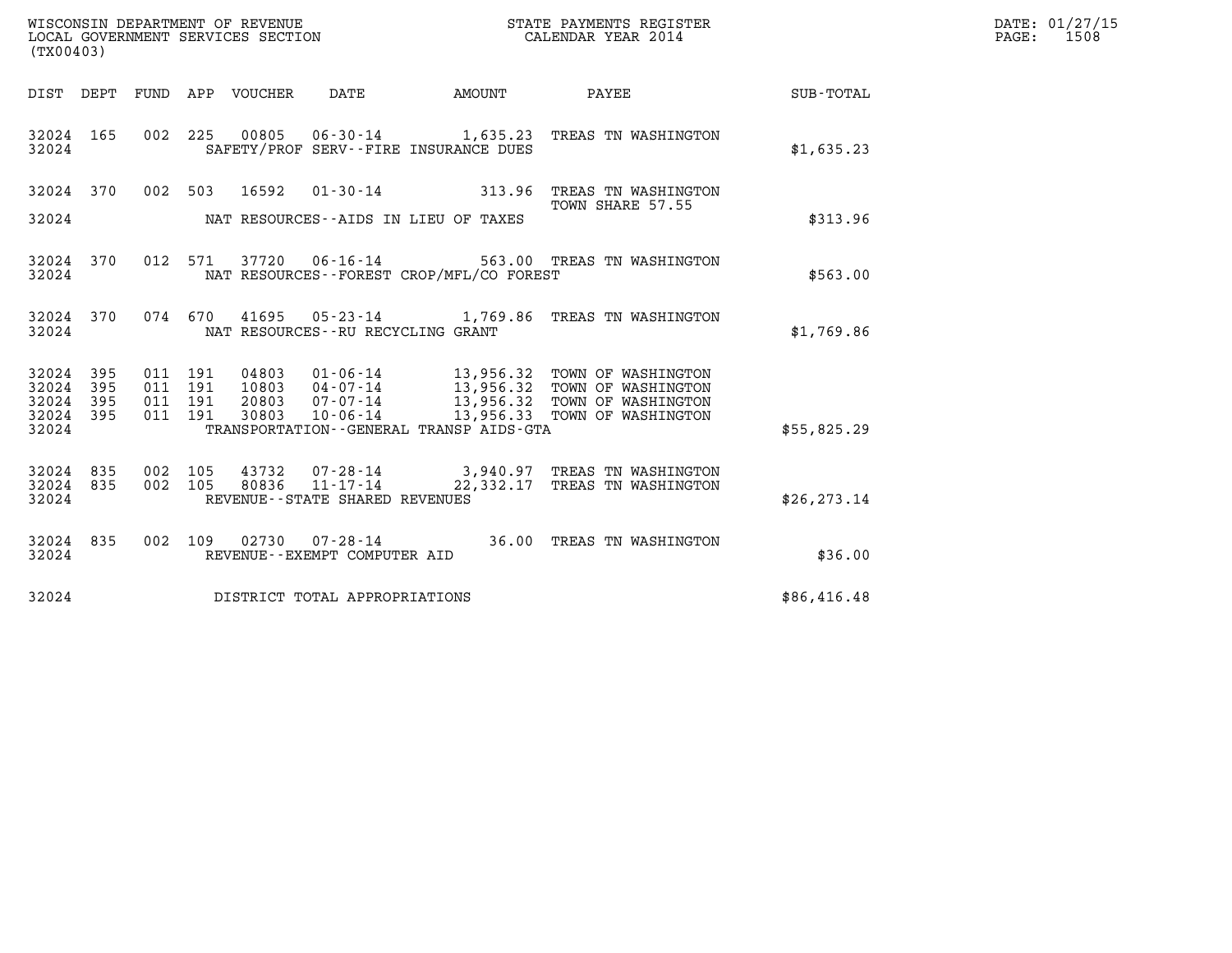| (TX00403)                        |                          |                                          |         |                                 |                                                                       | WISCONSIN DEPARTMENT OF REVENUE<br>LOCAL GOVERNMENT SERVICES SECTION<br>STATE PAYMENTS REGISTER<br>CALENDAR YEAR 2014 |                                                                                                                                                                                    |              | DATE: 01/27/15<br>$\mathtt{PAGE:}$<br>1508 |
|----------------------------------|--------------------------|------------------------------------------|---------|---------------------------------|-----------------------------------------------------------------------|-----------------------------------------------------------------------------------------------------------------------|------------------------------------------------------------------------------------------------------------------------------------------------------------------------------------|--------------|--------------------------------------------|
|                                  |                          |                                          |         | DIST DEPT FUND APP VOUCHER DATE |                                                                       | AMOUNT                                                                                                                | <b>PAYEE</b>                                                                                                                                                                       | SUB-TOTAL    |                                            |
| 32024 165<br>32024               |                          |                                          |         |                                 |                                                                       | SAFETY/PROF SERV--FIRE INSURANCE DUES                                                                                 | 002 225 00805 06-30-14 1,635.23 TREAS TN WASHINGTON                                                                                                                                | \$1,635.23   |                                            |
|                                  |                          |                                          |         | 32024 370 002 503 16592         |                                                                       |                                                                                                                       | 01-30-14 313.96 TREAS TN WASHINGTON                                                                                                                                                |              |                                            |
| 32024                            |                          |                                          |         |                                 |                                                                       | NAT RESOURCES--AIDS IN LIEU OF TAXES                                                                                  | TOWN SHARE 57.55                                                                                                                                                                   | \$313.96     |                                            |
| 32024 370<br>32024               |                          |                                          | 012 571 |                                 |                                                                       | NAT RESOURCES - - FOREST CROP/MFL/CO FOREST                                                                           | 37720  06-16-14  563.00 TREAS TN WASHINGTON                                                                                                                                        | \$563.00     |                                            |
| 32024 370<br>32024               |                          |                                          |         |                                 | NAT RESOURCES - - RU RECYCLING GRANT                                  |                                                                                                                       | 074 670 41695 05-23-14 1,769.86 TREAS TN WASHINGTON                                                                                                                                | \$1,769.86   |                                            |
| 32024<br>32024<br>32024<br>32024 | 395<br>395<br>395<br>395 | 011 191<br>011 191<br>011 191<br>011 191 |         | 30803                           | $10 - 06 - 14$                                                        |                                                                                                                       | 04803  01-06-14  13,956.32  TOWN OF WASHINGTON<br>10803  04-07-14  13,956.32  TOWN OF WASHINGTON<br>20803  07-07-14  13,956.32  TOWN OF WASHINGTON<br>13,956.33 TOWN OF WASHINGTON |              |                                            |
| 32024                            |                          |                                          |         |                                 |                                                                       | TRANSPORTATION--GENERAL TRANSP AIDS-GTA                                                                               |                                                                                                                                                                                    | \$55,825.29  |                                            |
| 32024 835<br>32024 835<br>32024  |                          | 002 105<br>002 105                       |         | 80836                           | 43732 07-28-14<br>$11 - 17 - 14$<br>REVENUE - - STATE SHARED REVENUES |                                                                                                                       | 3,940.97 TREAS TN WASHINGTON<br>22,332.17 TREAS TN WASHINGTON                                                                                                                      | \$26, 273.14 |                                            |
| 32024 835<br>32024               |                          |                                          |         |                                 | REVENUE--EXEMPT COMPUTER AID                                          |                                                                                                                       | 002 109 02730 07-28-14 36.00 TREAS TN WASHINGTON                                                                                                                                   | \$36.00      |                                            |
| 32024                            |                          |                                          |         |                                 | DISTRICT TOTAL APPROPRIATIONS                                         |                                                                                                                       |                                                                                                                                                                                    | \$86,416.48  |                                            |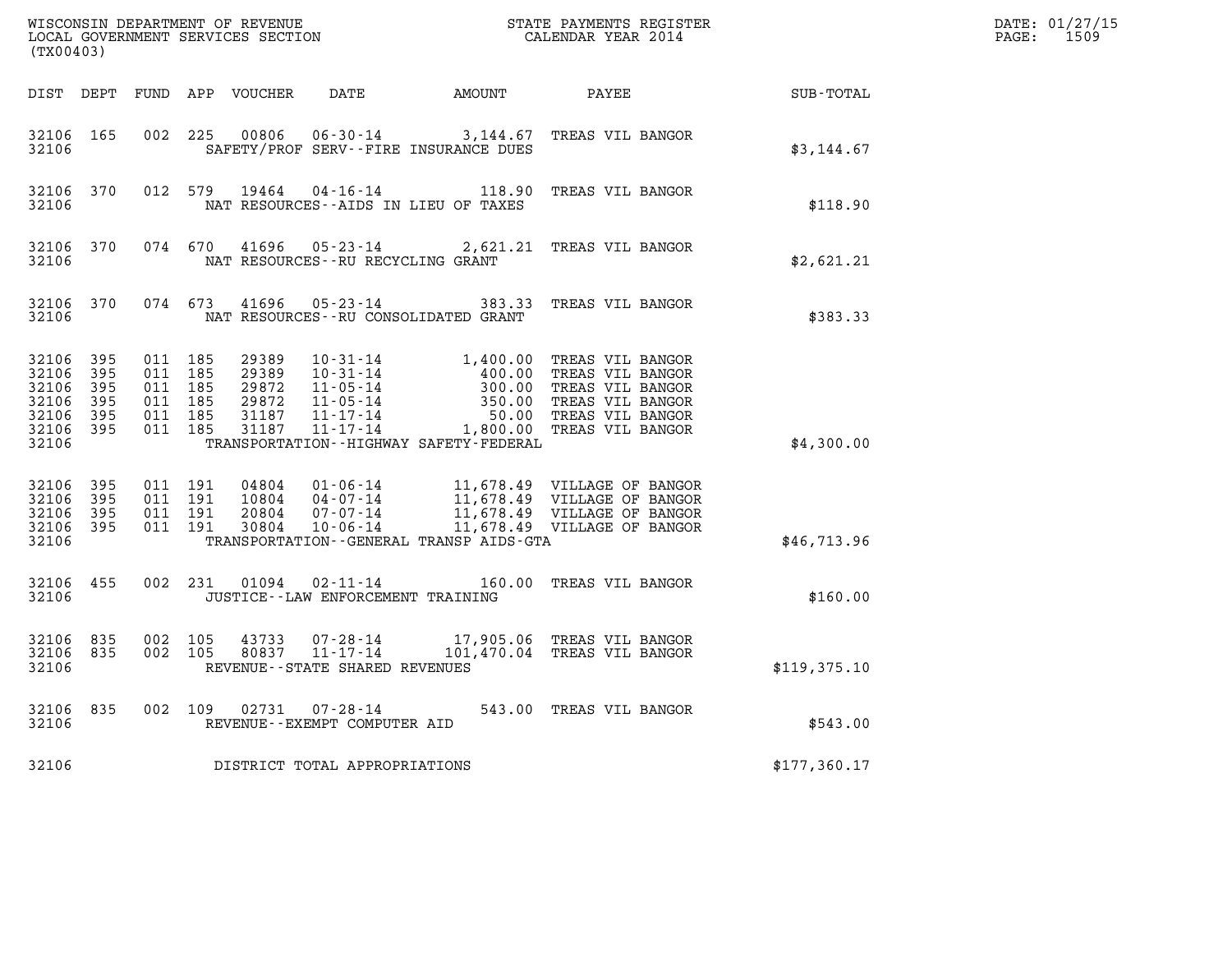| %WISCONSIN DEPARTMENT OF REVENUE $$\tt STATE~PAYMEMTS~REGISTER~LOCAL~GOVERNMENT~SERVICES~SECTION~CALENDAR~YEAR~2014$<br>(TX00403) |                        |                               |                                          |                         |                                       |                                              |                                                                                                                                                                                                                                        |              | DATE: 01/27/15<br>PAGE: 1509 |
|-----------------------------------------------------------------------------------------------------------------------------------|------------------------|-------------------------------|------------------------------------------|-------------------------|---------------------------------------|----------------------------------------------|----------------------------------------------------------------------------------------------------------------------------------------------------------------------------------------------------------------------------------------|--------------|------------------------------|
|                                                                                                                                   |                        |                               |                                          |                         |                                       |                                              | DIST DEPT FUND APP VOUCHER DATE AMOUNT PAYEE SUB-TOTAL                                                                                                                                                                                 |              |                              |
| 32106                                                                                                                             | 32106 165              |                               |                                          |                         | SAFETY/PROF SERV--FIRE INSURANCE DUES |                                              | 002 225 00806 06-30-14 3,144.67 TREAS VIL BANGOR                                                                                                                                                                                       | \$3,144.67   |                              |
| 32106                                                                                                                             |                        |                               |                                          | 32106 370 012 579 19464 | NAT RESOURCES--AIDS IN LIEU OF TAXES  |                                              | 04-16-14 118.90 TREAS VIL BANGOR                                                                                                                                                                                                       | \$118.90     |                              |
| 32106                                                                                                                             |                        |                               |                                          |                         | NAT RESOURCES--RU RECYCLING GRANT     |                                              | 32106 370 074 670 41696 05-23-14 2,621.21 TREAS VIL BANGOR                                                                                                                                                                             | \$2,621.21   |                              |
| 32106                                                                                                                             |                        |                               |                                          |                         | NAT RESOURCES--RU CONSOLIDATED GRANT  |                                              | 32106 370 074 673 41696 05-23-14 383.33 TREAS VIL BANGOR                                                                                                                                                                               | \$383.33     |                              |
| 32106 395<br>32106 395<br>32106<br>32106<br>32106 395<br>32106 395<br>32106                                                       | 395<br>- 395           | 011 185<br>011 185<br>011 185 | 011 185<br>011 185<br>011 185            |                         |                                       | TRANSPORTATION - - HIGHWAY SAFETY - FEDERAL  | 29389   10-31-14   1,400.00   TREAS VIL BANGOR<br>29389   10-31-14   400.00   TREAS VIL BANGOR<br>29872   11-05-14   300.00   TREAS VIL BANGOR<br>29872   11-05-14   350.00   TREAS VIL BANGOR<br>31187   11-17-14   50.00   TREAS VIL | \$4,300.00   |                              |
| 32106 395<br>32106<br>32106 395<br>32106 395<br>32106                                                                             | - 395                  |                               | 011 191<br>011 191<br>011 191<br>011 191 |                         |                                       | TRANSPORTATION - - GENERAL TRANSP AIDS - GTA | 04804  01-06-14  11,678.49  VILLAGE OF BANGOR<br>10804  04-07-14  11,678.49  VILLAGE OF BANGOR<br>20804  07-07-14  11,678.49  VILLAGE OF BANGOR<br>30804  10-06-14  11,678.49  VILLAGE OF BANGOR                                       | \$46,713.96  |                              |
| 32106                                                                                                                             | 32106 455              |                               |                                          |                         | JUSTICE - - LAW ENFORCEMENT TRAINING  |                                              | 002 231 01094 02-11-14 160.00 TREAS VIL BANGOR                                                                                                                                                                                         | \$160.00     |                              |
| 32106                                                                                                                             | 32106 835<br>32106 835 | 002 105                       | 002 105                                  |                         | REVENUE - - STATE SHARED REVENUES     |                                              | 43733  07-28-14  17,905.06  TREAS  VIL BANGOR<br>80837  11-17-14  101,470.04  TREAS  VIL BANGOR                                                                                                                                        | \$119,375.10 |                              |
| 32106                                                                                                                             |                        |                               |                                          |                         | REVENUE--EXEMPT COMPUTER AID          |                                              | 32106 835 002 109 02731 07-28-14 543.00 TREAS VIL BANGOR                                                                                                                                                                               | \$543.00     |                              |
| 32106                                                                                                                             |                        |                               |                                          |                         | DISTRICT TOTAL APPROPRIATIONS         |                                              |                                                                                                                                                                                                                                        | \$177,360.17 |                              |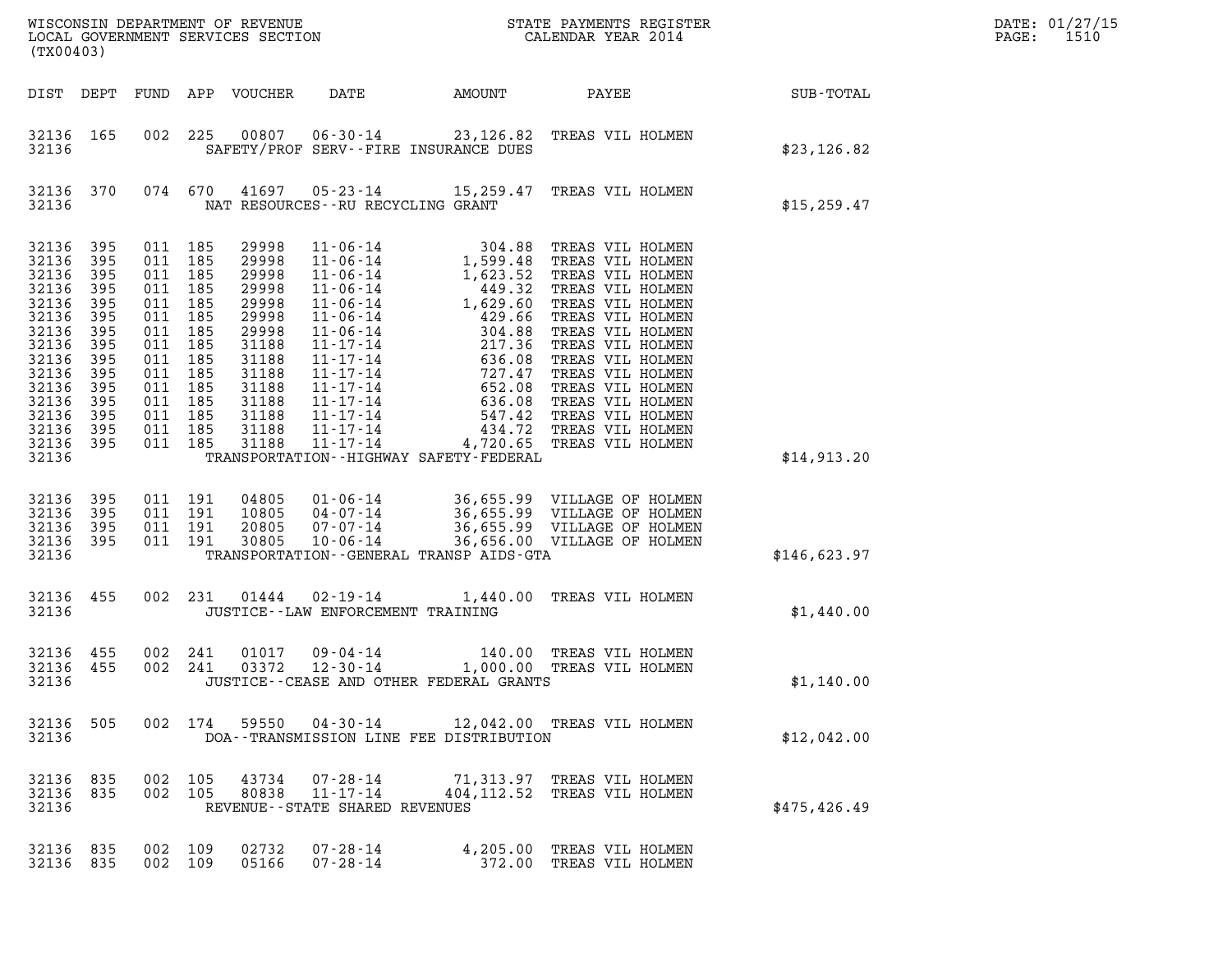| (TX00403)                                                                                                                                    |                                                                                                       |                                                                                                                                             |                                          |                                                                                                                                     |                                                          |                                              |                                                                                                                                                              |               | DATE: 01/27/15<br>$\mathtt{PAGE:}$<br>1510 |
|----------------------------------------------------------------------------------------------------------------------------------------------|-------------------------------------------------------------------------------------------------------|---------------------------------------------------------------------------------------------------------------------------------------------|------------------------------------------|-------------------------------------------------------------------------------------------------------------------------------------|----------------------------------------------------------|----------------------------------------------|--------------------------------------------------------------------------------------------------------------------------------------------------------------|---------------|--------------------------------------------|
|                                                                                                                                              |                                                                                                       |                                                                                                                                             |                                          | DIST DEPT FUND APP VOUCHER                                                                                                          | DATE                                                     | AMOUNT                                       | PAYEE                                                                                                                                                        | SUB-TOTAL     |                                            |
| 32136 165<br>32136                                                                                                                           |                                                                                                       |                                                                                                                                             |                                          |                                                                                                                                     |                                                          | SAFETY/PROF SERV--FIRE INSURANCE DUES        | 002 225 00807 06-30-14 23,126.82 TREAS VIL HOLMEN                                                                                                            | \$23,126.82   |                                            |
| 32136 370<br>32136                                                                                                                           |                                                                                                       |                                                                                                                                             |                                          |                                                                                                                                     | NAT RESOURCES -- RU RECYCLING GRANT                      |                                              | 074 670 41697 05-23-14 15,259.47 TREAS VIL HOLMEN                                                                                                            | \$15, 259.47  |                                            |
| 32136<br>32136<br>32136<br>32136<br>32136<br>32136<br>32136<br>32136<br>32136<br>32136<br>32136<br>32136<br>32136<br>32136<br>32136<br>32136 | 395<br>395<br>395<br>395<br>395<br>395<br>395<br>395<br>395<br>395<br>395<br>395<br>395<br>395<br>395 | 011 185<br>011 185<br>011 185<br>011 185<br>011 185<br>011 185<br>011 185<br>011 185<br>011 185<br>011 185<br>011 185<br>011 185<br>011 185 | 011 185<br>011 185                       | 29998<br>29998<br>29998<br>29998<br>29998<br>29998<br>29998<br>31188<br>31188<br>31188<br>31188<br>31188<br>31188<br>31188<br>31188 | 11-17-14                                                 | TRANSPORTATION - - HIGHWAY SAFETY - FEDERAL  | 4,720.65 TREAS VIL HOLMEN                                                                                                                                    | \$14,913.20   |                                            |
| 32136<br>32136<br>32136<br>32136<br>32136                                                                                                    | 395<br>395<br>395<br>395                                                                              |                                                                                                                                             | 011 191<br>011 191<br>011 191<br>011 191 | 04805<br>10805<br>20805<br>30805                                                                                                    |                                                          | TRANSPORTATION - - GENERAL TRANSP AIDS - GTA | 01-06-14 36,655.99 VILLAGE OF HOLMEN<br>04-07-14 36,655.99 VILLAGE OF HOLMEN<br>07-07-14 36,655.99 VILLAGE OF HOLMEN<br>10-06-14 36,656.00 VILLAGE OF HOLMEN | \$146,623.97  |                                            |
| 32136 455<br>32136                                                                                                                           |                                                                                                       |                                                                                                                                             |                                          |                                                                                                                                     | JUSTICE -- LAW ENFORCEMENT TRAINING                      |                                              | 002 231 01444 02-19-14 1,440.00 TREAS VIL HOLMEN                                                                                                             | \$1,440.00    |                                            |
| 32136 455<br>32136 455<br>32136                                                                                                              |                                                                                                       |                                                                                                                                             | 002 241<br>002 241                       | 01017<br>03372                                                                                                                      | 09-04-14<br>12-30-14                                     | JUSTICE - - CEASE AND OTHER FEDERAL GRANTS   | 140.00 TREAS VIL HOLMEN<br>1,000.00 TREAS VIL HOLMEN                                                                                                         | \$1,140.00    |                                            |
| 32136 505<br>32136                                                                                                                           |                                                                                                       |                                                                                                                                             |                                          |                                                                                                                                     |                                                          | DOA--TRANSMISSION LINE FEE DISTRIBUTION      | 002 174 59550 04-30-14 12,042.00 TREAS VIL HOLMEN                                                                                                            | \$12,042.00   |                                            |
| 32136 835<br>32136<br>32136                                                                                                                  | 835                                                                                                   |                                                                                                                                             |                                          |                                                                                                                                     | 002 105 43734 07-28-14<br>REVENUE--STATE SHARED REVENUES |                                              | 71,313.97 TREAS VIL HOLMEN<br>002 105 80838 11-17-14 404, 112.52 TREAS VIL HOLMEN                                                                            | \$475, 426.49 |                                            |
| 32136 835<br>32136 835                                                                                                                       |                                                                                                       | 002 109<br>002 109                                                                                                                          |                                          | 02732<br>05166                                                                                                                      | 07-28-14<br>07-28-14                                     |                                              | 4,205.00 TREAS VIL HOLMEN<br>372.00 TREAS VIL HOLMEN                                                                                                         |               |                                            |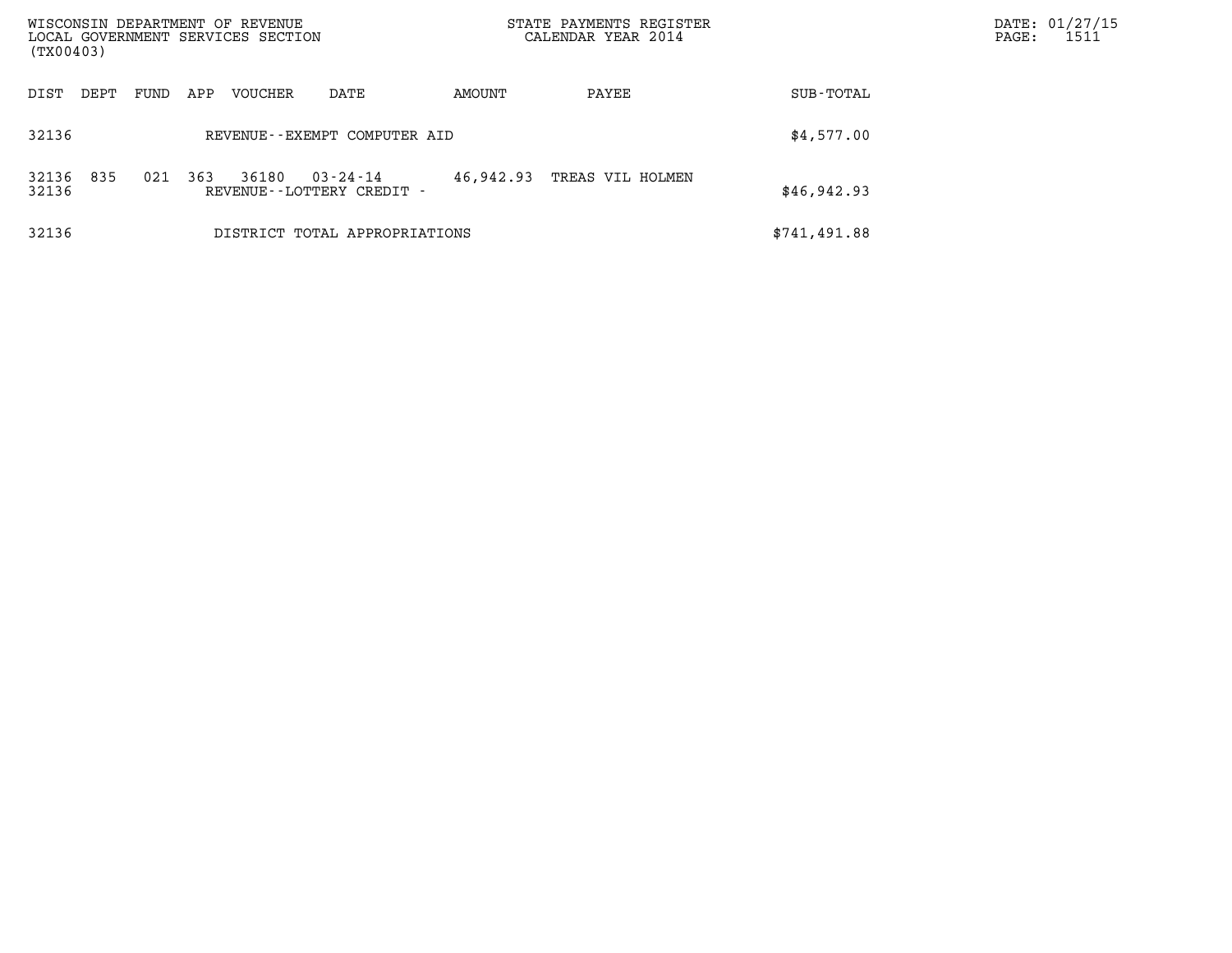| WISCONSIN DEPARTMENT OF REVENUE                |                                                |           | STATE PAYMENTS REGISTER |              | DATE: 01/27/15            |
|------------------------------------------------|------------------------------------------------|-----------|-------------------------|--------------|---------------------------|
| LOCAL GOVERNMENT SERVICES SECTION<br>(TX00403) |                                                |           | CALENDAR YEAR 2014      |              | 1511<br>$\mathtt{PAGE}$ : |
| VOUCHER<br>DIST<br>DEPT<br>FUND<br>APP         | DATE                                           | AMOUNT    | PAYEE                   | SUB-TOTAL    |                           |
| 32136                                          | REVENUE - - EXEMPT COMPUTER AID                |           |                         | \$4,577.00   |                           |
| 835<br>32136<br>021<br>363<br>36180<br>32136   | $03 - 24 - 14$<br>REVENUE - - LOTTERY CREDIT - | 46,942.93 | TREAS VIL HOLMEN        | \$46,942.93  |                           |
| 32136                                          | DISTRICT TOTAL APPROPRIATIONS                  |           |                         | \$741,491.88 |                           |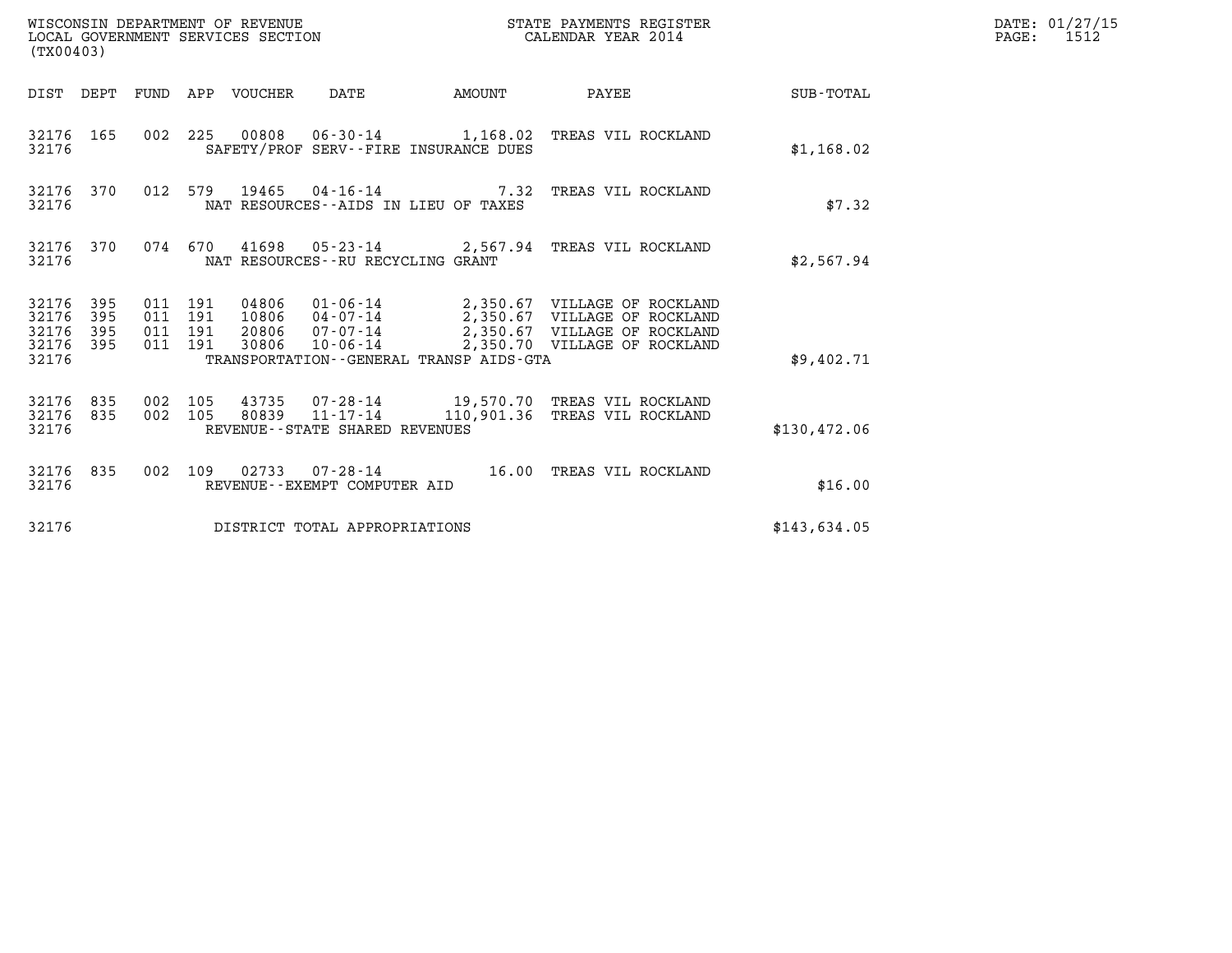| (TX00403)                                                       | WISCONSIN DEPARTMENT OF REVENUE<br>LOCAL GOVERNMENT SERVICES SECTION                                                                                                                                                                                                                        | STATE PAYMENTS REGISTER<br>CALENDAR YEAR 2014 |                        |              | DATE: 01/27/15<br>PAGE: 1512 |
|-----------------------------------------------------------------|---------------------------------------------------------------------------------------------------------------------------------------------------------------------------------------------------------------------------------------------------------------------------------------------|-----------------------------------------------|------------------------|--------------|------------------------------|
|                                                                 | DIST DEPT FUND APP VOUCHER DATE                                                                                                                                                                                                                                                             |                                               | AMOUNT PAYEE SUB-TOTAL |              |                              |
| 32176 165<br>32176                                              | 002 225 00808 06-30-14 1,168.02 TREAS VIL ROCKLAND<br>SAFETY/PROF SERV--FIRE INSURANCE DUES                                                                                                                                                                                                 |                                               |                        | \$1,168.02   |                              |
| 32176 370<br>32176                                              | 012 579 19465 04-16-14 7.32 TREAS VIL ROCKLAND<br>NAT RESOURCES--AIDS IN LIEU OF TAXES                                                                                                                                                                                                      |                                               |                        | \$7.32       |                              |
| 32176                                                           | 32176 370 074 670 41698 05-23-14 2,567.94 TREAS VIL ROCKLAND<br>NAT RESOURCES--RU RECYCLING GRANT                                                                                                                                                                                           |                                               |                        | \$2,567.94   |                              |
| 32176 395<br>32176<br>395<br>32176<br>395<br>32176 395<br>32176 | 04806  01-06-14  2,350.67  VILLAGE OF ROCKLAND<br>10806  04-07-14  2,350.67  VILLAGE OF ROCKLAND<br>20806  07-07-14  2,350.67  VILLAGE OF ROCKLAND<br>011 191<br>011 191<br>011 191<br>30806  10-06-14  2,350.70  VILLAGE OF ROCKLAND<br>011 191<br>TRANSPORTATION--GENERAL TRANSP AIDS-GTA |                                               |                        | \$9,402.71   |                              |
|                                                                 |                                                                                                                                                                                                                                                                                             |                                               |                        |              |                              |
| 32176 835<br>32176 835<br>32176                                 | 43735  07-28-14  19,570.70  TREAS  VIL ROCKLAND<br>80839  11-17-14  110,901.36  TREAS  VIL ROCKLAND<br>002 105<br>002 105<br>REVENUE--STATE SHARED REVENUES                                                                                                                                 |                                               |                        | \$130,472.06 |                              |
| 32176                                                           | 32176 835 002 109 02733 07-28-14 16.00 TREAS VIL ROCKLAND<br>REVENUE--EXEMPT COMPUTER AID                                                                                                                                                                                                   |                                               |                        | \$16.00      |                              |
| 32176                                                           | DISTRICT TOTAL APPROPRIATIONS                                                                                                                                                                                                                                                               |                                               |                        | \$143,634.05 |                              |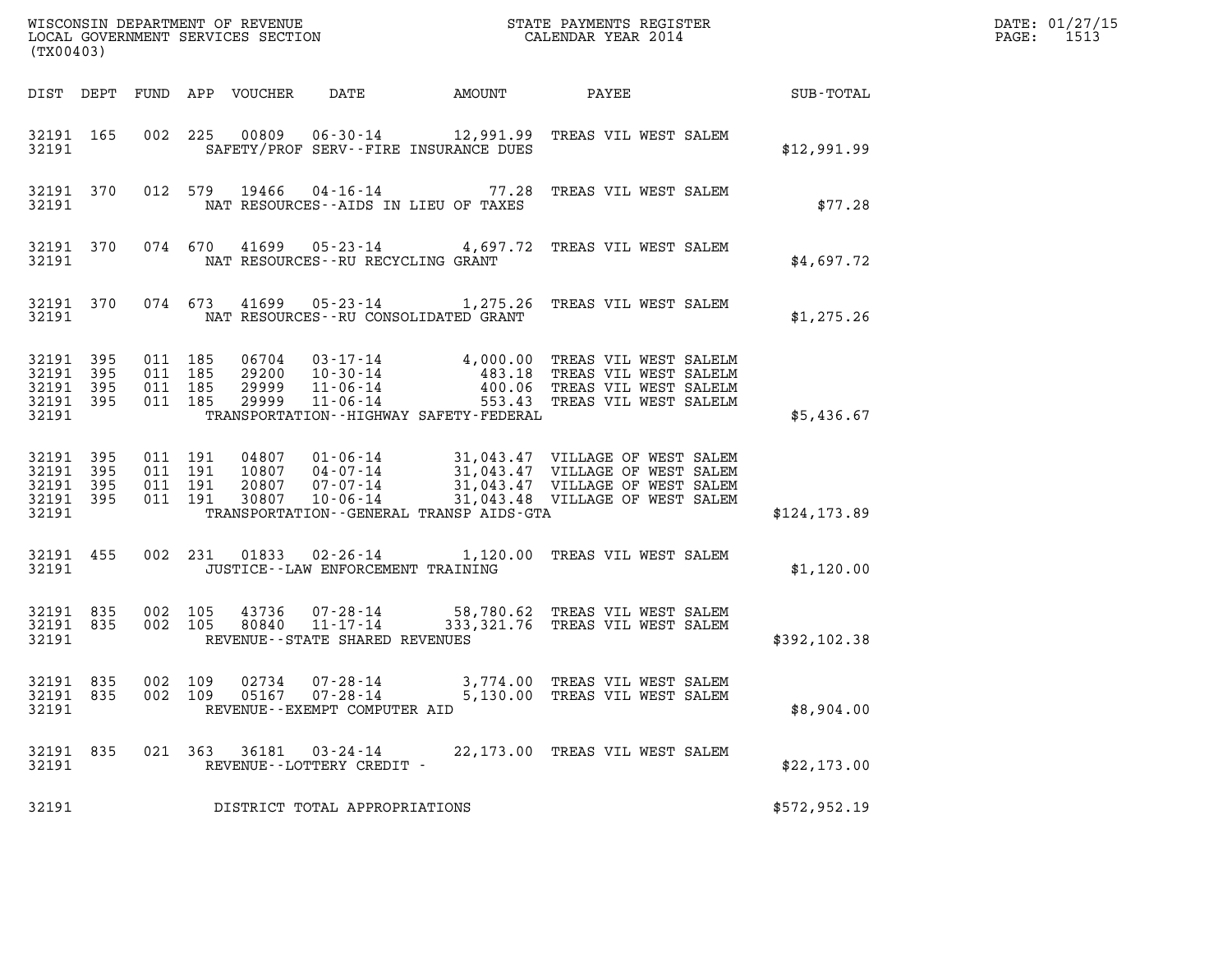|                                                           |           |                                          |  |                                 |                                                                     | DATE: 01/27/15<br>$\mathtt{PAGE:}$<br>1513 |                                                                                                                                                                                                                  |               |  |
|-----------------------------------------------------------|-----------|------------------------------------------|--|---------------------------------|---------------------------------------------------------------------|--------------------------------------------|------------------------------------------------------------------------------------------------------------------------------------------------------------------------------------------------------------------|---------------|--|
|                                                           | (TX00403) |                                          |  |                                 |                                                                     |                                            |                                                                                                                                                                                                                  |               |  |
|                                                           |           |                                          |  | DIST DEPT FUND APP VOUCHER DATE |                                                                     |                                            |                                                                                                                                                                                                                  |               |  |
| 32191 165<br>32191                                        |           |                                          |  |                                 | SAFETY/PROF SERV--FIRE INSURANCE DUES                               |                                            | 002 225 00809 06-30-14 12,991.99 TREAS VIL WEST SALEM                                                                                                                                                            | \$12,991.99   |  |
| 32191                                                     |           |                                          |  |                                 | NAT RESOURCES--AIDS IN LIEU OF TAXES                                |                                            | 32191 370 012 579 19466 04-16-14 77.28 TREAS VIL WEST SALEM                                                                                                                                                      | \$77.28       |  |
| 32191                                                     |           |                                          |  |                                 | NAT RESOURCES--RU RECYCLING GRANT                                   |                                            | 32191 370 074 670 41699 05-23-14 4,697.72 TREAS VIL WEST SALEM                                                                                                                                                   | \$4,697.72    |  |
| 32191                                                     |           |                                          |  |                                 | NAT RESOURCES - - RU CONSOLIDATED GRANT                             |                                            | 32191 370 074 673 41699 05-23-14 1,275.26 TREAS VIL WEST SALEM                                                                                                                                                   | \$1,275.26    |  |
| 32191 395<br>32191 395<br>32191 395<br>32191 395<br>32191 |           | 011 185<br>011 185<br>011 185<br>011 185 |  |                                 | TRANSPORTATION - - HIGHWAY SAFETY - FEDERAL                         |                                            | 06704  03-17-14  4,000.00 TREAS VIL WEST SALELM<br>29200  10-30-14  483.18 TREAS VIL WEST SALELM<br>29999  11-06-14  400.06 TREAS VIL WEST SALELM<br>29999  11-06-14  553.43 TREAS VIL WEST SALELM               | \$5,436.67    |  |
| 32191 395<br>32191 395<br>32191 395<br>32191 395<br>32191 |           | 011 191<br>011 191<br>011 191<br>011 191 |  |                                 | TRANSPORTATION--GENERAL TRANSP AIDS-GTA                             |                                            | 04807  01-06-14  31,043.47  VILLAGE OF WEST SALEM<br>10807  04-07-14  31,043.47  VILLAGE OF WEST SALEM<br>20807  07-07-14  31,043.47  VILLAGE OF WEST SALEM<br>30807  10-06-14  31,043.48  VILLAGE OF WEST SALEM | \$124, 173.89 |  |
| 32191                                                     |           |                                          |  |                                 | JUSTICE - - LAW ENFORCEMENT TRAINING                                |                                            | 32191 455 002 231 01833 02-26-14 1,120.00 TREAS VIL WEST SALEM                                                                                                                                                   | \$1,120.00    |  |
| 32191 835<br>32191 835<br>32191                           |           | 002 105<br>002 105                       |  | 80840                           | $11 - 17 - 14$<br>REVENUE--STATE SHARED REVENUES                    |                                            | 43736 07-28-14 58,780.62 TREAS VIL WEST SALEM<br>333, 321.76 TREAS VIL WEST SALEM                                                                                                                                | \$392,102.38  |  |
| 32191 835<br>32191 835<br>32191                           |           | 002 109<br>002 109                       |  | 02734<br>05167                  | $07 - 28 - 14$<br>$07 - 28 - 14$<br>REVENUE - - EXEMPT COMPUTER AID |                                            | 3,774.00 TREAS VIL WEST SALEM<br>5,130.00 TREAS VIL WEST SALEM                                                                                                                                                   | \$8,904.00    |  |
| 32191 835<br>32191                                        |           |                                          |  | 021 363 36181                   | 03-24-14<br>REVENUE - - LOTTERY CREDIT -                            |                                            | 22,173.00 TREAS VIL WEST SALEM                                                                                                                                                                                   | \$22, 173.00  |  |
| 32191                                                     |           |                                          |  |                                 | DISTRICT TOTAL APPROPRIATIONS                                       |                                            |                                                                                                                                                                                                                  | \$572,952.19  |  |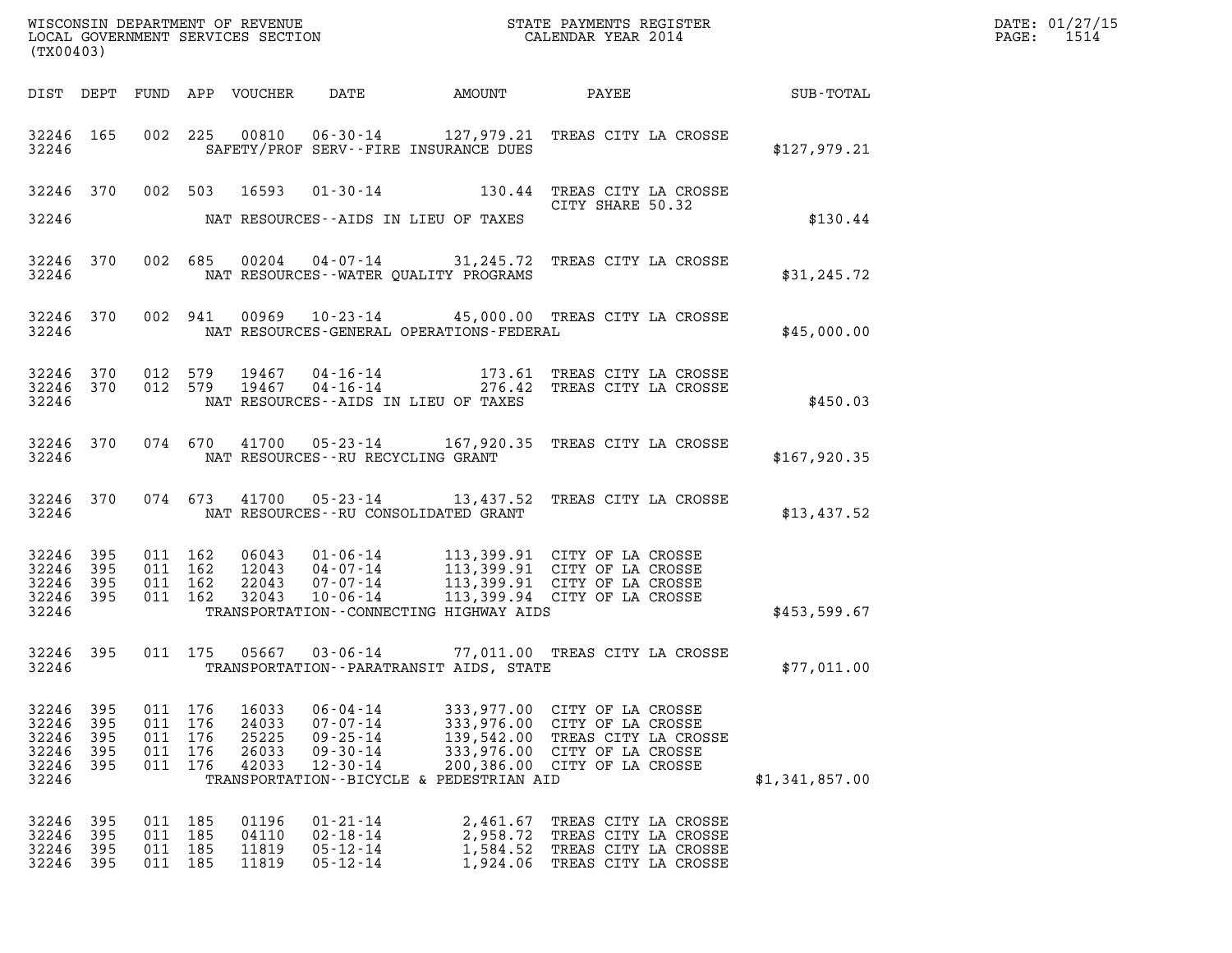| WISCONSIN DEPARTMENT OF REVENUE<br>LOCAL GOVERNMENT SERVICES SECTION<br>CALENDAR YEAR 2014<br>(TX00403) |                                   |                                                     |  |                                           |                                                                                        |                                                        |                                                                                                                                                                                                                    |                | DATE: 01/27/15<br>PAGE: 1514 |
|---------------------------------------------------------------------------------------------------------|-----------------------------------|-----------------------------------------------------|--|-------------------------------------------|----------------------------------------------------------------------------------------|--------------------------------------------------------|--------------------------------------------------------------------------------------------------------------------------------------------------------------------------------------------------------------------|----------------|------------------------------|
|                                                                                                         |                                   |                                                     |  |                                           |                                                                                        |                                                        |                                                                                                                                                                                                                    |                |                              |
| 32246                                                                                                   |                                   |                                                     |  |                                           |                                                                                        | SAFETY/PROF SERV--FIRE INSURANCE DUES                  | 32246 165 002 225 00810 06-30-14 127,979.21 TREAS CITY LA CROSSE                                                                                                                                                   | \$127,979.21   |                              |
|                                                                                                         |                                   |                                                     |  |                                           |                                                                                        |                                                        | 32246 370 002 503 16593 01-30-14 130.44 TREAS CITY LA CROSSE<br>CITY SHARE 50.32                                                                                                                                   |                |                              |
| 32246                                                                                                   |                                   |                                                     |  |                                           |                                                                                        | NAT RESOURCES--AIDS IN LIEU OF TAXES                   |                                                                                                                                                                                                                    | \$130.44       |                              |
|                                                                                                         |                                   |                                                     |  |                                           |                                                                                        | 32246 MAT RESOURCES--WATER QUALITY PROGRAMS            | 32246 370 002 685 00204 04-07-14 31,245.72 TREAS CITY LA CROSSE                                                                                                                                                    | \$31, 245.72   |                              |
|                                                                                                         |                                   |                                                     |  |                                           |                                                                                        |                                                        | 32246 370 002 941 00969 10-23-14 45,000.00 TREAS CITY LA CROSSE                                                                                                                                                    | \$45,000.00    |                              |
| 32246                                                                                                   |                                   |                                                     |  |                                           |                                                                                        | NAT RESOURCES--AIDS IN LIEU OF TAXES                   | $\begin{array}{cccccc} 32246 & 370 & 012 & 579 & 19467 & 04-16-14 & & & 173.61 & \text{TREAS CITY LA CROSSE} \\ 32246 & 370 & 012 & 579 & 19467 & 04-16-14 & & & 276.42 & \text{TREAS CITY LA CROSSE} \end{array}$ | \$450.03       |                              |
|                                                                                                         |                                   |                                                     |  |                                           | 32246 NAT RESOURCES--RU RECYCLING GRANT                                                |                                                        | 32246 370 074 670 41700 05-23-14 167,920.35 TREAS CITY LA CROSSE                                                                                                                                                   | \$167,920.35   |                              |
|                                                                                                         |                                   |                                                     |  |                                           |                                                                                        | 32246 NAT RESOURCES--RU CONSOLIDATED GRANT             | 32246 370 074 673 41700 05-23-14 13,437.52 TREAS CITY LA CROSSE                                                                                                                                                    | \$13,437.52    |                              |
| 32246 395<br>32246<br>32246 395<br>32246 395<br>32246                                                   | 395                               | 011 162<br>011 162<br>011 162<br>011 162            |  |                                           |                                                                                        | TRANSPORTATION--CONNECTING HIGHWAY AIDS                | 06043  01-06-14  113,399.91  CITY OF LA CROSSE<br>12043  04-07-14  113,399.91  CITY OF LA CROSSE<br>22043  07-07-14  113,399.91  CITY OF LA CROSSE<br>32043  10-06-14  113,399.94  CITY OF LA CROSSE               | \$453,599.67   |                              |
| 32246 395<br>32246                                                                                      |                                   |                                                     |  |                                           |                                                                                        | TRANSPORTATION - - PARATRANSIT AIDS, STATE             | 011 175 05667 03-06-14 77,011.00 TREAS CITY LA CROSSE                                                                                                                                                              | \$77,011.00    |                              |
| 32246<br>32246<br>32246<br>32246<br>32246<br>32246                                                      | 395<br>395<br>395<br>395<br>- 395 | 011 176<br>011 176<br>011 176<br>011 176<br>011 176 |  | 16033<br>24033<br>25225<br>26033<br>42033 | $06 - 04 - 14$<br>$07 - 07 - 14$<br>$09 - 25 - 14$<br>$09 - 30 - 14$<br>$12 - 30 - 14$ | 139,542.00<br>TRANSPORTATION--BICYCLE & PEDESTRIAN AID | 333,977.00 CITY OF LA CROSSE<br>333,976.00 CITY OF LA CROSSE<br>TREAS CITY LA CROSSE<br>333,976.00 CITY OF LA CROSSE<br>200,386.00 CITY OF LA CROSSE                                                               | \$1,341,857.00 |                              |
| 32246<br>32246<br>32246<br>32246                                                                        | 395<br>395<br>395<br>395          | 011 185<br>011 185<br>011 185<br>011 185            |  | 01196<br>04110<br>11819<br>11819          | $01 - 21 - 14$<br>$02 - 18 - 14$<br>$05 - 12 - 14$<br>$05 - 12 - 14$                   | 2,461.67<br>2,958.72<br>1,584.52<br>1,924.06           | TREAS CITY LA CROSSE<br>TREAS CITY LA CROSSE<br>TREAS CITY LA CROSSE<br>TREAS CITY LA CROSSE                                                                                                                       |                |                              |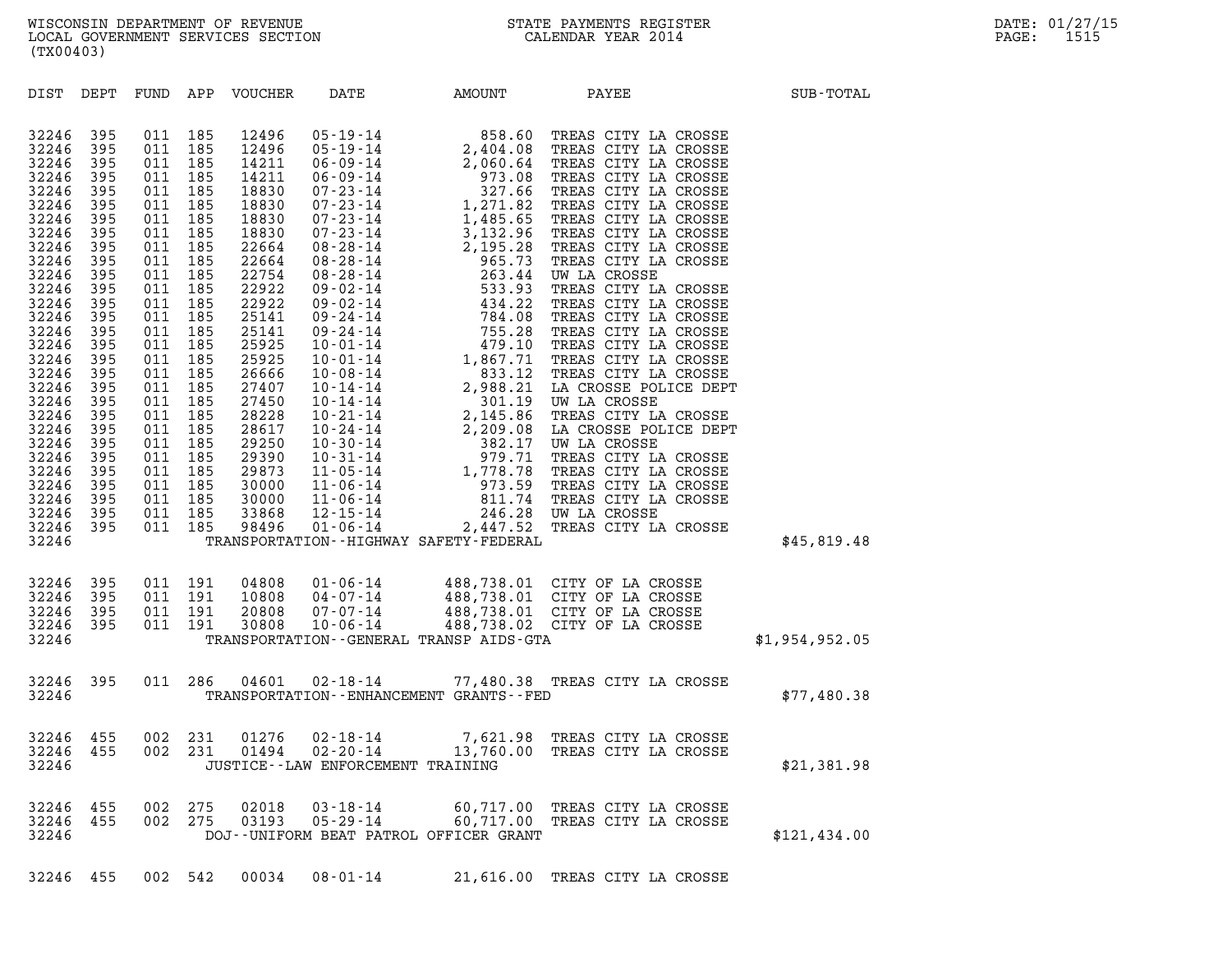| (TX00403)                                                                                                                                                                                                                                                                  |                                                                                                                                                                                               |                                                                                                                                                                                                   |                                                                                                                                                                             |                                 |                                     |                                                                                                                    |                                                                                                                                                                                                                                                                                                                                                 |                |
|----------------------------------------------------------------------------------------------------------------------------------------------------------------------------------------------------------------------------------------------------------------------------|-----------------------------------------------------------------------------------------------------------------------------------------------------------------------------------------------|---------------------------------------------------------------------------------------------------------------------------------------------------------------------------------------------------|-----------------------------------------------------------------------------------------------------------------------------------------------------------------------------|---------------------------------|-------------------------------------|--------------------------------------------------------------------------------------------------------------------|-------------------------------------------------------------------------------------------------------------------------------------------------------------------------------------------------------------------------------------------------------------------------------------------------------------------------------------------------|----------------|
|                                                                                                                                                                                                                                                                            |                                                                                                                                                                                               |                                                                                                                                                                                                   |                                                                                                                                                                             | DIST DEPT FUND APP VOUCHER DATE |                                     |                                                                                                                    | AMOUNT PAYEE                                                                                                                                                                                                                                                                                                                                    | SUB-TOTAL      |
| 32246<br>32246<br>32246<br>32246<br>32246<br>32246<br>32246<br>32246<br>32246<br>32246<br>32246<br>32246<br>32246<br>32246<br>32246<br>32246<br>32246<br>32246<br>32246<br>32246<br>32246<br>32246<br>32246<br>32246<br>32246<br>32246<br>32246<br>32246<br>32246<br>32246 | 395<br>395<br>395<br>395<br>395<br>395<br>395<br>395<br>395<br>395<br>395<br>395<br>395<br>395<br>395<br>395<br>395<br>395<br>- 395<br>395<br>395<br>395<br>395<br>395<br>395<br>- 395<br>395 | 011<br>011<br>011<br>011<br>011<br>011<br>011<br>011<br>011<br>011<br>011<br>011<br>011<br>011<br>011<br>011<br>011<br>011<br>011<br>011<br>011<br>011<br>011<br>011<br>011<br>011 185<br>011 185 | 185<br>185<br>185<br>185<br>185<br>185<br>185<br>185<br>185<br>185<br>185<br>185<br>185<br>185<br>185<br>185<br>185<br>185<br>185<br>185<br>185<br>185<br>185<br>185<br>185 |                                 |                                     | 395 011 185 33868 12-15-14 246.28<br>395 011 185 98496 01-06-14 2,447.52<br>TRANSPORTATION--HIGHWAY SAFETY-FEDERAL | $\begin{tabular}{ c c c c c c c c} 12496 & 05-19-14 & 858.60 & \text{TREAS CITY LA CROSSE} \\ 12496 & 05-19-14 & 2,404.08 & \text{TREAS CITY LA CROSSE} \\ 14211 & 06-09-14 & 97.08 & \text{TREAS CITY LA CROSSE} \\ 18810 & 07-23-14 & 1271.82 & \text{TERAS CITY LA CROSSE} \\ 18830 & 07-23-14 & 1,485.65 & \text{TERBS CITY LA CROSSE} \\ $ | \$45,819.48    |
| 32246<br>32246<br>32246<br>32246<br>32246                                                                                                                                                                                                                                  | 395<br>395<br>395                                                                                                                                                                             | 011 191<br>011 191<br>395   011   191<br>395   011   191                                                                                                                                          |                                                                                                                                                                             |                                 |                                     | TRANSPORTATION - - GENERAL TRANSP AIDS - GTA                                                                       | 04808  01-06-14  488,738.01  CITY OF LA CROSSE<br>10808  04-07-14  488,738.01  CITY OF LA CROSSE<br>20808  07-07-14  488,738.01  CITY OF LA CROSSE<br>30808  10-06-14  488,738.02  CITY OF LA CROSSE                                                                                                                                            | \$1,954,952.05 |
| 32246<br>32246                                                                                                                                                                                                                                                             |                                                                                                                                                                                               |                                                                                                                                                                                                   |                                                                                                                                                                             |                                 |                                     | TRANSPORTATION - - ENHANCEMENT GRANTS - - FED                                                                      | 395 011 286 04601 02-18-14 77,480.38 TREAS CITY LA CROSSE                                                                                                                                                                                                                                                                                       | \$77,480.38    |
| 32246<br>32246<br>32246                                                                                                                                                                                                                                                    |                                                                                                                                                                                               |                                                                                                                                                                                                   |                                                                                                                                                                             |                                 | JUSTICE -- LAW ENFORCEMENT TRAINING |                                                                                                                    | 455 002 231 01276 02-18-14 7,621.98 TREAS CITY LA CROSSE<br>455 002 231 01494 02-20-14 13,760.00 TREAS CITY LA CROSSE                                                                                                                                                                                                                           | \$21,381.98    |
| 32246<br>32246<br>32246                                                                                                                                                                                                                                                    | 455                                                                                                                                                                                           | 455 002 275<br>455 002 275                                                                                                                                                                        | 002 275                                                                                                                                                                     | 02018<br>03193                  |                                     | DOJ--UNIFORM BEAT PATROL OFFICER GRANT                                                                             | 03-18-14 60,717.00 TREAS CITY LA CROSSE<br>05-29-14 60,717.00 TREAS CITY LA CROSSE                                                                                                                                                                                                                                                              | \$121, 434.00  |
|                                                                                                                                                                                                                                                                            |                                                                                                                                                                                               |                                                                                                                                                                                                   |                                                                                                                                                                             |                                 |                                     |                                                                                                                    |                                                                                                                                                                                                                                                                                                                                                 |                |

32246 455 002 542 00034 08-01-14 21,616.00 TREAS CITY LA CROSSE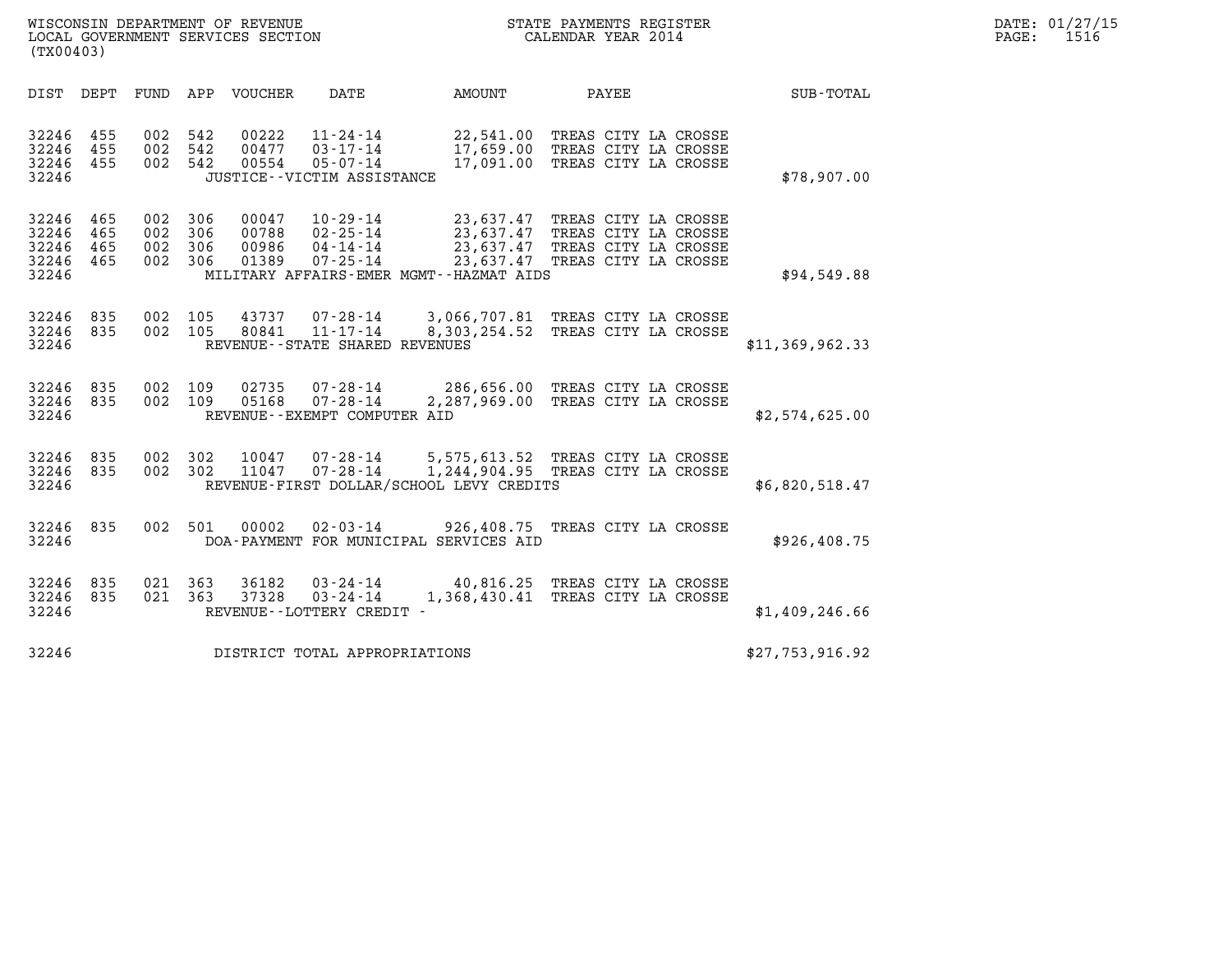| (TX00403)                                 |                          |                                          |         | WISCONSIN DEPARTMENT OF REVENUE<br>LOCAL GOVERNMENT SERVICES SECTION |                                                                               |                                          | STATE PAYMENTS REGISTER<br>CALENDAR YEAR 2014                                                                                        |                 | DATE: 01/27/15<br>PAGE:<br>1516 |
|-------------------------------------------|--------------------------|------------------------------------------|---------|----------------------------------------------------------------------|-------------------------------------------------------------------------------|------------------------------------------|--------------------------------------------------------------------------------------------------------------------------------------|-----------------|---------------------------------|
|                                           |                          |                                          |         | DIST DEPT FUND APP VOUCHER                                           | DATE                                                                          | AMOUNT                                   | PAYEE                                                                                                                                | SUB-TOTAL       |                                 |
| 32246 455<br>32246<br>32246<br>32246      | 455<br>455               | 002 542<br>002 542<br>002 542            |         | 00222<br>00477<br>00554                                              | 11-24-14<br>$03 - 17 - 14$<br>$05 - 07 - 14$<br>JUSTICE - - VICTIM ASSISTANCE |                                          | 22,541.00 TREAS CITY LA CROSSE<br>17,659.00 TREAS CITY LA CROSSE<br>17,091.00 TREAS CITY LA CROSSE                                   | \$78,907.00     |                                 |
| 32246<br>32246<br>32246<br>32246<br>32246 | 465<br>465<br>465<br>465 | 002 306<br>002 306<br>002 306<br>002 306 |         | 00047<br>00788<br>00986<br>01389                                     | 10-29-14<br>02-25-14<br>04-14-14<br>07-25-14                                  | MILITARY AFFAIRS-EMER MGMT--HAZMAT AIDS  | 23,637.47 TREAS CITY LA CROSSE<br>23,637.47 TREAS CITY LA CROSSE<br>23,637.47 TREAS CITY LA CROSSE<br>23,637.47 TREAS CITY LA CROSSE | \$94,549.88     |                                 |
| 32246<br>32246 835<br>32246               | 835                      | 002 105<br>002 105                       |         | 43737<br>80841                                                       | 07-28-14<br>11-17-14<br>REVENUE - - STATE SHARED REVENUES                     |                                          | 3,066,707.81 TREAS CITY LA CROSSE<br>8,303,254.52 TREAS CITY LA CROSSE                                                               | \$11,369,962.33 |                                 |
| 32246 835<br>32246 835<br>32246           |                          | 002 109<br>002 109                       |         | 02735<br>05168                                                       | $07 - 28 - 14$<br>$07 - 28 - 14$<br>REVENUE--EXEMPT COMPUTER AID              |                                          | 286,656.00 TREAS CITY LA CROSSE<br>2,287,969.00 TREAS CITY LA CROSSE                                                                 | \$2,574,625.00  |                                 |
| 32246 835<br>32246<br>32246               | 835                      | 002 302<br>002 302                       |         | 10047<br>11047                                                       | $07 - 28 - 14$<br>$07 - 28 - 14$                                              | REVENUE-FIRST DOLLAR/SCHOOL LEVY CREDITS | 5,575,613.52 TREAS CITY LA CROSSE<br>1,244,904.95 TREAS CITY LA CROSSE                                                               | \$6,820,518.47  |                                 |
| 32246 835<br>32246                        |                          |                                          | 002 501 | 00002                                                                | $02 - 03 - 14$                                                                | DOA-PAYMENT FOR MUNICIPAL SERVICES AID   | 926,408.75 TREAS CITY LA CROSSE                                                                                                      | \$926,408.75    |                                 |
| 32246 835<br>32246 835<br>32246           |                          | 021 363<br>021 363                       |         | 36182<br>37328                                                       | $03 - 24 - 14$<br>$03 - 24 - 14$<br>REVENUE--LOTTERY CREDIT -                 |                                          | 40,816.25 TREAS CITY LA CROSSE<br>1,368,430.41 TREAS CITY LA CROSSE                                                                  | \$1,409,246.66  |                                 |
| 32246                                     |                          |                                          |         |                                                                      | DISTRICT TOTAL APPROPRIATIONS                                                 |                                          |                                                                                                                                      | \$27,753,916.92 |                                 |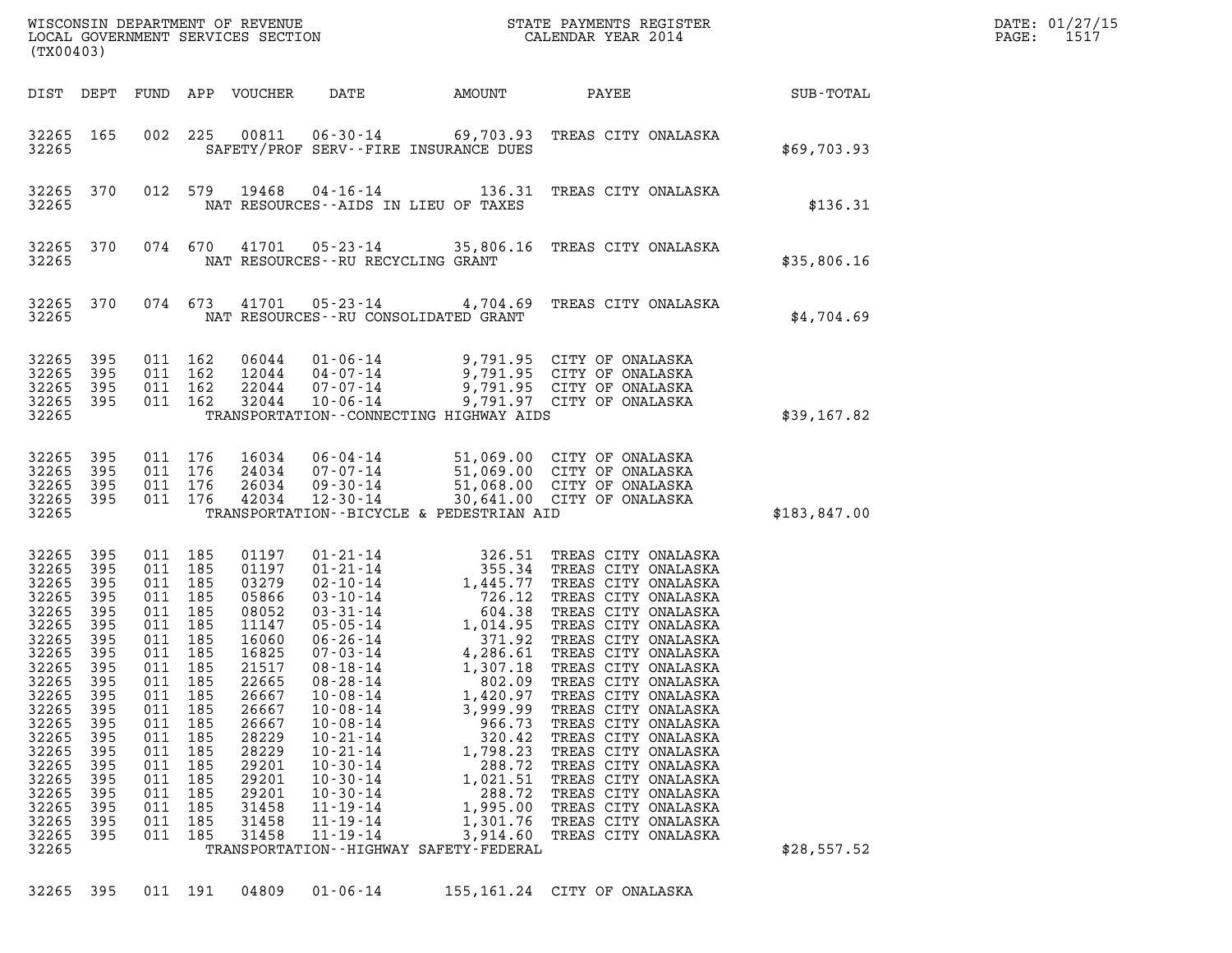| (TX00403)                                                                                                                                                                                          |                                                                                                                                                 |                                                                                                                                                                         |                                                                                                       |                                                                                                                                                                                           |                                                                                                                                                                                                    |                                      |                                                                                                                                                                         |                                                                                                                                                                                                                                                                                                                                                                                                                                                                                                                     |                  | DATE: 01/27/15<br>PAGE:<br>1517 |
|----------------------------------------------------------------------------------------------------------------------------------------------------------------------------------------------------|-------------------------------------------------------------------------------------------------------------------------------------------------|-------------------------------------------------------------------------------------------------------------------------------------------------------------------------|-------------------------------------------------------------------------------------------------------|-------------------------------------------------------------------------------------------------------------------------------------------------------------------------------------------|----------------------------------------------------------------------------------------------------------------------------------------------------------------------------------------------------|--------------------------------------|-------------------------------------------------------------------------------------------------------------------------------------------------------------------------|---------------------------------------------------------------------------------------------------------------------------------------------------------------------------------------------------------------------------------------------------------------------------------------------------------------------------------------------------------------------------------------------------------------------------------------------------------------------------------------------------------------------|------------------|---------------------------------|
| DIST DEPT                                                                                                                                                                                          |                                                                                                                                                 |                                                                                                                                                                         |                                                                                                       | FUND APP VOUCHER                                                                                                                                                                          | DATE                                                                                                                                                                                               |                                      | AMOUNT                                                                                                                                                                  | PAYEE                                                                                                                                                                                                                                                                                                                                                                                                                                                                                                               | <b>SUB-TOTAL</b> |                                 |
| 32265 165<br>32265                                                                                                                                                                                 |                                                                                                                                                 |                                                                                                                                                                         | 002 225                                                                                               | 00811                                                                                                                                                                                     |                                                                                                                                                                                                    |                                      | SAFETY/PROF SERV--FIRE INSURANCE DUES                                                                                                                                   | 06-30-14 69,703.93 TREAS CITY ONALASKA                                                                                                                                                                                                                                                                                                                                                                                                                                                                              | \$69,703.93      |                                 |
| 32265 370<br>32265                                                                                                                                                                                 |                                                                                                                                                 |                                                                                                                                                                         | 012 579                                                                                               | 19468                                                                                                                                                                                     |                                                                                                                                                                                                    |                                      | NAT RESOURCES -- AIDS IN LIEU OF TAXES                                                                                                                                  | 04-16-14 136.31 TREAS CITY ONALASKA                                                                                                                                                                                                                                                                                                                                                                                                                                                                                 | \$136.31         |                                 |
| 32265 370<br>32265                                                                                                                                                                                 |                                                                                                                                                 |                                                                                                                                                                         | 074 670                                                                                               | 41701                                                                                                                                                                                     |                                                                                                                                                                                                    | NAT RESOURCES - - RU RECYCLING GRANT |                                                                                                                                                                         | 05-23-14 35,806.16 TREAS CITY ONALASKA                                                                                                                                                                                                                                                                                                                                                                                                                                                                              | \$35,806.16      |                                 |
| 32265 370<br>32265                                                                                                                                                                                 |                                                                                                                                                 | 074 673                                                                                                                                                                 |                                                                                                       | 41701                                                                                                                                                                                     |                                                                                                                                                                                                    |                                      | NAT RESOURCES - - RU CONSOLIDATED GRANT                                                                                                                                 | 05-23-14 4,704.69 TREAS CITY ONALASKA                                                                                                                                                                                                                                                                                                                                                                                                                                                                               | \$4,704.69       |                                 |
| 32265<br>32265<br>32265<br>32265 395<br>32265                                                                                                                                                      | 395<br>395<br>395                                                                                                                               | 011 162<br>011 162<br>011 162<br>011 162                                                                                                                                |                                                                                                       | 06044<br>12044<br>22044<br>32044                                                                                                                                                          | 04-07-14<br>$07 - 07 - 14$<br>$10 - 06 - 14$                                                                                                                                                       |                                      | TRANSPORTATION - - CONNECTING HIGHWAY AIDS                                                                                                                              | 01-06-14 9,791.95 CITY OF ONALASKA<br>9,791.95 CITY OF ONALASKA<br>9.791.95 CITY OF ONALASKA<br>9,791.95 CITY OF ONALASKA<br>9,791.97 CITY OF ONALASKA                                                                                                                                                                                                                                                                                                                                                              | \$39,167.82      |                                 |
| 32265<br>32265<br>32265<br>32265 395<br>32265                                                                                                                                                      | 395<br>395<br>395                                                                                                                               | 011 176<br>011 176<br>011 176<br>011 176                                                                                                                                |                                                                                                       | 16034<br>24034<br>26034<br>42034                                                                                                                                                          | 06-04-14<br>07-07-14<br>$09 - 30 - 14$<br>12-30-14                                                                                                                                                 |                                      | TRANSPORTATION--BICYCLE & PEDESTRIAN AID                                                                                                                                | 51,069.00 CITY OF ONALASKA<br>51,069.00 CITY OF ONALASKA<br>51,068.00 CITY OF ONALASKA<br>30,641.00 CITY OF ONALASKA                                                                                                                                                                                                                                                                                                                                                                                                | \$183,847.00     |                                 |
| 32265<br>32265<br>32265<br>32265<br>32265<br>32265<br>32265<br>32265<br>32265<br>32265<br>32265<br>32265<br>32265<br>32265<br>32265<br>32265<br>32265<br>32265<br>32265<br>32265<br>32265<br>32265 | 395<br>395<br>395<br>395<br>395<br>395<br>395<br>395<br>395<br>395<br>395<br>395<br>395<br>395<br>395<br>395<br>395<br>395<br>395<br>395<br>395 | 011 185<br>011<br>011 185<br>011 185<br>011 185<br>011<br>011 185<br>011<br>011 185<br>011<br>011<br>011<br>011<br>011<br>011<br>011<br>011<br>011<br>011<br>011<br>011 | 185<br>185<br>185<br>185<br>185<br>185<br>185<br>185<br>185<br>185<br>185<br>185<br>185<br>185<br>185 | 01197<br>01197<br>03279<br>05866<br>08052<br>11147<br>16060<br>16825<br>21517<br>22665<br>26667<br>26667<br>26667<br>28229<br>28229<br>29201<br>29201<br>29201<br>31458<br>31458<br>31458 | $10 - 08 - 14$<br>$10 - 08 - 14$<br>$10 - 08 - 14$<br>$10 - 21 - 14$<br>$10 - 21 - 14$<br>$10 - 30 - 14$<br>$10 - 30 - 14$<br>$10 - 30 - 14$<br>$11 - 19 - 14$<br>$11 - 19 - 14$<br>$11 - 19 - 14$ |                                      | 1,420.97<br>3,999.99<br>966.73<br>320.42<br>1,798.23<br>288.72<br>1,021.51<br>288.72<br>1,995.00<br>1,301.76<br>3,914.60<br>TRANSPORTATION - - HIGHWAY SAFETY - FEDERAL | 01-21-14<br>02-10-14<br>02-10-14<br>1,445.77 TREAS CITY ONALASKA<br>03-10-14<br>726.12 TREAS CITY ONALASKA<br>05-05-14<br>1,014.95 TREAS CITY ONALASKA<br>06-26-14<br>4,286.61 TREAS CITY ONALASK?<br>07-03-14<br>4,286.61 TREAS CITY ONALASK?<br>1,30<br>TREAS CITY ONALASKA<br>TREAS CITY ONALASKA<br>TREAS CITY ONALASKA<br>TREAS CITY ONALASKA<br>TREAS CITY ONALASKA<br>TREAS CITY ONALASKA<br>TREAS CITY ONALASKA<br>TREAS CITY ONALASKA<br>TREAS CITY ONALASKA<br>TREAS CITY ONALASKA<br>TREAS CITY ONALASKA | \$28,557.52      |                                 |

32265 395 011 191 04809 01-06-14 155,161.24 CITY OF ONALASKA